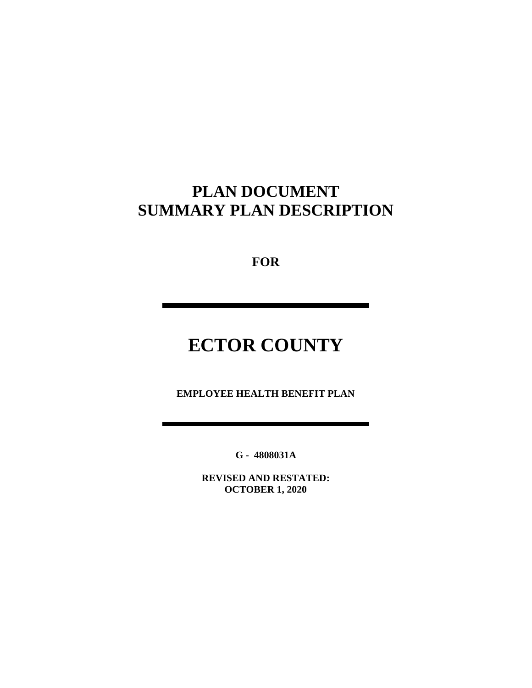## **PLAN DOCUMENT SUMMARY PLAN DESCRIPTION**

**FOR**

# **ECTOR COUNTY**

**EMPLOYEE HEALTH BENEFIT PLAN**

**G - 4808031A**

**REVISED AND RESTATED: OCTOBER 1, 2020**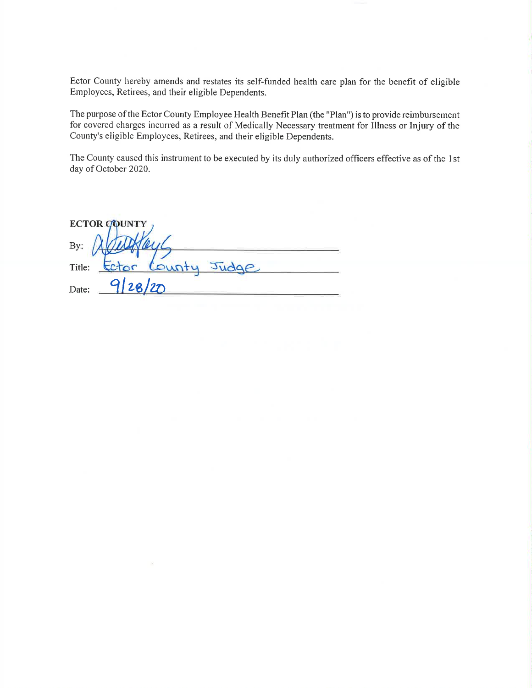Ector County hereby amends and restates its self-funded health care plan for the benefit of eligible Employees, Retirees, and their eligible Dependents.

The purpose of the Ector County Employee Health Benefit Plan (the "Plan") is to provide reimbursement for covered charges incurred as a result of Medically Necessary treatment for Illness or Injury of the County's eligible Employees, Retirees, and their eligible Dependents.

The County caused this instrument to be executed by its duly authorized officers effective as of the 1st day of October 2020.

| <b>ECTOR COUNTY</b>         |
|-----------------------------|
| By:                         |
| County<br>Title:<br>$2$ tor |
| 2a/2D<br>Date:              |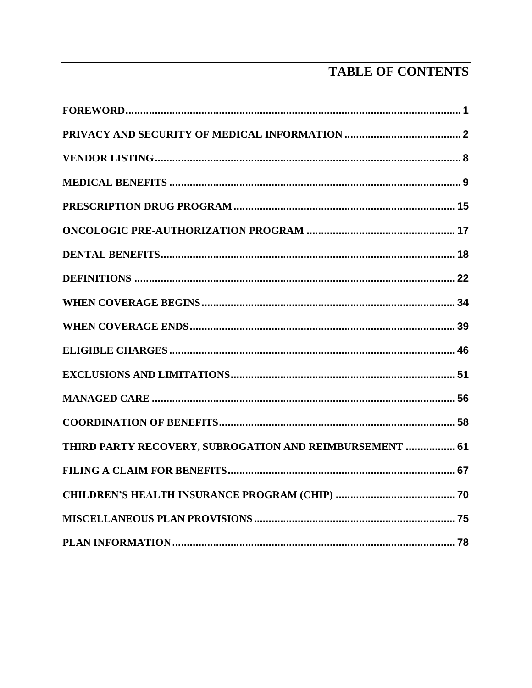## TABLE OF CONTENTS

| THIRD PARTY RECOVERY, SUBROGATION AND REIMBURSEMENT  61 |  |
|---------------------------------------------------------|--|
|                                                         |  |
|                                                         |  |
|                                                         |  |
|                                                         |  |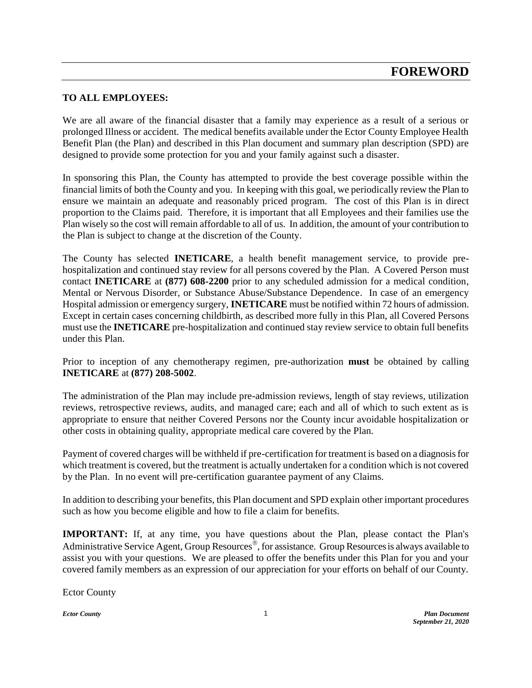#### <span id="page-3-0"></span>**TO ALL EMPLOYEES:**

We are all aware of the financial disaster that a family may experience as a result of a serious or prolonged Illness or accident. The medical benefits available under the Ector County Employee Health Benefit Plan (the Plan) and described in this Plan document and summary plan description (SPD) are designed to provide some protection for you and your family against such a disaster.

In sponsoring this Plan, the County has attempted to provide the best coverage possible within the financial limits of both the County and you. In keeping with this goal, we periodically review the Plan to ensure we maintain an adequate and reasonably priced program. The cost of this Plan is in direct proportion to the Claims paid. Therefore, it is important that all Employees and their families use the Plan wisely so the cost will remain affordable to all of us. In addition, the amount of your contribution to the Plan is subject to change at the discretion of the County.

The County has selected **INETICARE**, a health benefit management service, to provide prehospitalization and continued stay review for all persons covered by the Plan. A Covered Person must contact **INETICARE** at **(877) 608-2200** prior to any scheduled admission for a medical condition, Mental or Nervous Disorder, or Substance Abuse/Substance Dependence. In case of an emergency Hospital admission or emergency surgery, **INETICARE** must be notified within 72 hours of admission. Except in certain cases concerning childbirth, as described more fully in this Plan, all Covered Persons must use the **INETICARE** pre-hospitalization and continued stay review service to obtain full benefits under this Plan.

Prior to inception of any chemotherapy regimen, pre-authorization **must** be obtained by calling **INETICARE** at **(877) 208-5002**.

The administration of the Plan may include pre-admission reviews, length of stay reviews, utilization reviews, retrospective reviews, audits, and managed care; each and all of which to such extent as is appropriate to ensure that neither Covered Persons nor the County incur avoidable hospitalization or other costs in obtaining quality, appropriate medical care covered by the Plan.

Payment of covered charges will be withheld if pre-certification for treatment is based on a diagnosis for which treatment is covered, but the treatment is actually undertaken for a condition which is not covered by the Plan. In no event will pre-certification guarantee payment of any Claims.

In addition to describing your benefits, this Plan document and SPD explain other important procedures such as how you become eligible and how to file a claim for benefits.

**IMPORTANT:** If, at any time, you have questions about the Plan, please contact the Plan's Administrative Service Agent, Group Resources<sup>®</sup>, for assistance. Group Resources is always available to assist you with your questions. We are pleased to offer the benefits under this Plan for you and your covered family members as an expression of our appreciation for your efforts on behalf of our County.

Ector County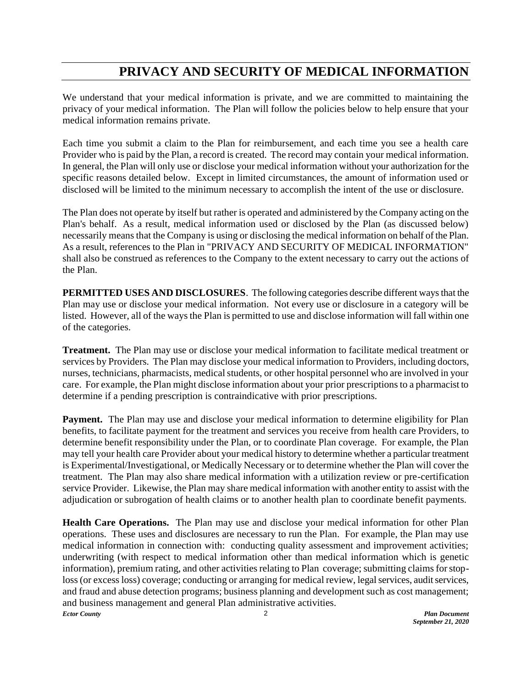## **PRIVACY AND SECURITY OF MEDICAL INFORMATION**

<span id="page-4-0"></span>We understand that your medical information is private, and we are committed to maintaining the privacy of your medical information. The Plan will follow the policies below to help ensure that your medical information remains private.

Each time you submit a claim to the Plan for reimbursement, and each time you see a health care Provider who is paid by the Plan, a record is created. The record may contain your medical information. In general, the Plan will only use or disclose your medical information without your authorization for the specific reasons detailed below. Except in limited circumstances, the amount of information used or disclosed will be limited to the minimum necessary to accomplish the intent of the use or disclosure.

The Plan does not operate by itself but rather is operated and administered by the Company acting on the Plan's behalf. As a result, medical information used or disclosed by the Plan (as discussed below) necessarily means that the Company is using or disclosing the medical information on behalf of the Plan. As a result, references to the Plan in "PRIVACY AND SECURITY OF MEDICAL INFORMATION" shall also be construed as references to the Company to the extent necessary to carry out the actions of the Plan.

**PERMITTED USES AND DISCLOSURES**. The following categories describe different ways that the Plan may use or disclose your medical information. Not every use or disclosure in a category will be listed. However, all of the ways the Plan is permitted to use and disclose information will fall within one of the categories.

**Treatment.** The Plan may use or disclose your medical information to facilitate medical treatment or services by Providers. The Plan may disclose your medical information to Providers, including doctors, nurses, technicians, pharmacists, medical students, or other hospital personnel who are involved in your care. For example, the Plan might disclose information about your prior prescriptions to a pharmacist to determine if a pending prescription is contraindicative with prior prescriptions.

**Payment.** The Plan may use and disclose your medical information to determine eligibility for Plan benefits, to facilitate payment for the treatment and services you receive from health care Providers, to determine benefit responsibility under the Plan, or to coordinate Plan coverage. For example, the Plan may tell your health care Provider about your medical history to determine whether a particular treatment is Experimental/Investigational, or Medically Necessary or to determine whether the Plan will cover the treatment. The Plan may also share medical information with a utilization review or pre-certification service Provider. Likewise, the Plan may share medical information with another entity to assist with the adjudication or subrogation of health claims or to another health plan to coordinate benefit payments.

*Ector County Plan Document* 2 **Health Care Operations.** The Plan may use and disclose your medical information for other Plan operations. These uses and disclosures are necessary to run the Plan. For example, the Plan may use medical information in connection with: conducting quality assessment and improvement activities; underwriting (with respect to medical information other than medical information which is genetic information), premium rating, and other activities relating to Plan coverage; submitting claims for stoploss (or excess loss) coverage; conducting or arranging for medical review, legal services, audit services, and fraud and abuse detection programs; business planning and development such as cost management; and business management and general Plan administrative activities.

*September 21, 2020*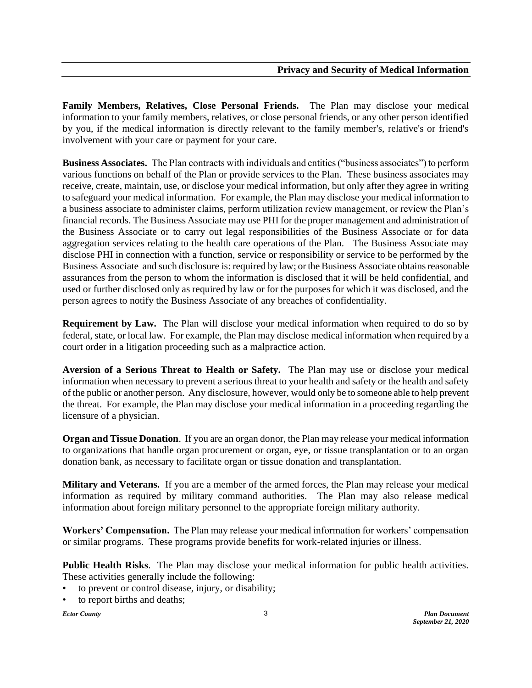**Family Members, Relatives, Close Personal Friends.** The Plan may disclose your medical information to your family members, relatives, or close personal friends, or any other person identified by you, if the medical information is directly relevant to the family member's, relative's or friend's involvement with your care or payment for your care.

**Business Associates.** The Plan contracts with individuals and entities ("business associates") to perform various functions on behalf of the Plan or provide services to the Plan. These business associates may receive, create, maintain, use, or disclose your medical information, but only after they agree in writing to safeguard your medical information. For example, the Plan may disclose your medical information to a business associate to administer claims, perform utilization review management, or review the Plan's financial records. The Business Associate may use PHI for the proper management and administration of the Business Associate or to carry out legal responsibilities of the Business Associate or for data aggregation services relating to the health care operations of the Plan. The Business Associate may disclose PHI in connection with a function, service or responsibility or service to be performed by the Business Associate and such disclosure is: required by law; or the Business Associate obtains reasonable assurances from the person to whom the information is disclosed that it will be held confidential, and used or further disclosed only as required by law or for the purposes for which it was disclosed, and the person agrees to notify the Business Associate of any breaches of confidentiality.

**Requirement by Law.** The Plan will disclose your medical information when required to do so by federal, state, or local law. For example, the Plan may disclose medical information when required by a court order in a litigation proceeding such as a malpractice action.

**Aversion of a Serious Threat to Health or Safety.** The Plan may use or disclose your medical information when necessary to prevent a serious threat to your health and safety or the health and safety of the public or another person. Any disclosure, however, would only be to someone able to help prevent the threat. For example, the Plan may disclose your medical information in a proceeding regarding the licensure of a physician.

**Organ and Tissue Donation**. If you are an organ donor, the Plan may release your medical information to organizations that handle organ procurement or organ, eye, or tissue transplantation or to an organ donation bank, as necessary to facilitate organ or tissue donation and transplantation.

**Military and Veterans.** If you are a member of the armed forces, the Plan may release your medical information as required by military command authorities. The Plan may also release medical information about foreign military personnel to the appropriate foreign military authority.

**Workers' Compensation.** The Plan may release your medical information for workers' compensation or similar programs. These programs provide benefits for work-related injuries or illness.

**Public Health Risks**. The Plan may disclose your medical information for public health activities. These activities generally include the following:

- to prevent or control disease, injury, or disability;
- to report births and deaths;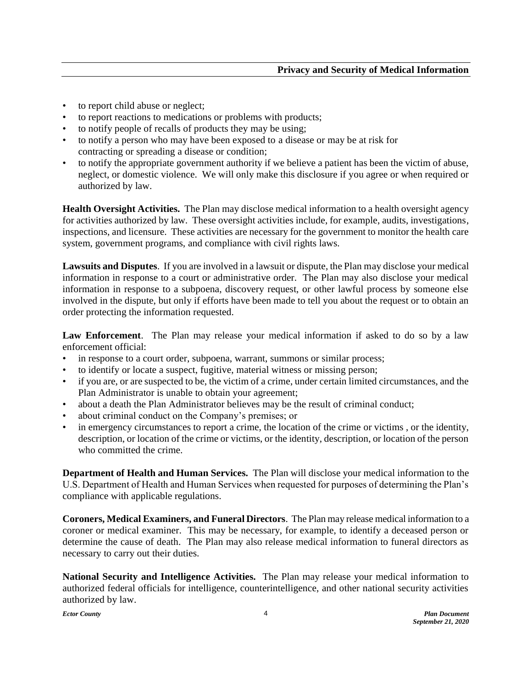- to report child abuse or neglect;
- to report reactions to medications or problems with products;
- to notify people of recalls of products they may be using;
- to notify a person who may have been exposed to a disease or may be at risk for contracting or spreading a disease or condition;
- to notify the appropriate government authority if we believe a patient has been the victim of abuse, neglect, or domestic violence. We will only make this disclosure if you agree or when required or authorized by law.

**Health Oversight Activities.** The Plan may disclose medical information to a health oversight agency for activities authorized by law. These oversight activities include, for example, audits, investigations, inspections, and licensure. These activities are necessary for the government to monitor the health care system, government programs, and compliance with civil rights laws.

**Lawsuits and Disputes**. If you are involved in a lawsuit or dispute, the Plan may disclose your medical information in response to a court or administrative order. The Plan may also disclose your medical information in response to a subpoena, discovery request, or other lawful process by someone else involved in the dispute, but only if efforts have been made to tell you about the request or to obtain an order protecting the information requested.

**Law Enforcement**. The Plan may release your medical information if asked to do so by a law enforcement official:

- in response to a court order, subpoena, warrant, summons or similar process;
- to identify or locate a suspect, fugitive, material witness or missing person;
- if you are, or are suspected to be, the victim of a crime, under certain limited circumstances, and the Plan Administrator is unable to obtain your agreement;
- about a death the Plan Administrator believes may be the result of criminal conduct;
- about criminal conduct on the Company's premises; or
- in emergency circumstances to report a crime, the location of the crime or victims, or the identity, description, or location of the crime or victims, or the identity, description, or location of the person who committed the crime.

**Department of Health and Human Services.** The Plan will disclose your medical information to the U.S. Department of Health and Human Services when requested for purposes of determining the Plan's compliance with applicable regulations.

**Coroners, Medical Examiners, and Funeral Directors**. The Plan may release medical information to a coroner or medical examiner. This may be necessary, for example, to identify a deceased person or determine the cause of death. The Plan may also release medical information to funeral directors as necessary to carry out their duties.

**National Security and Intelligence Activities.** The Plan may release your medical information to authorized federal officials for intelligence, counterintelligence, and other national security activities authorized by law.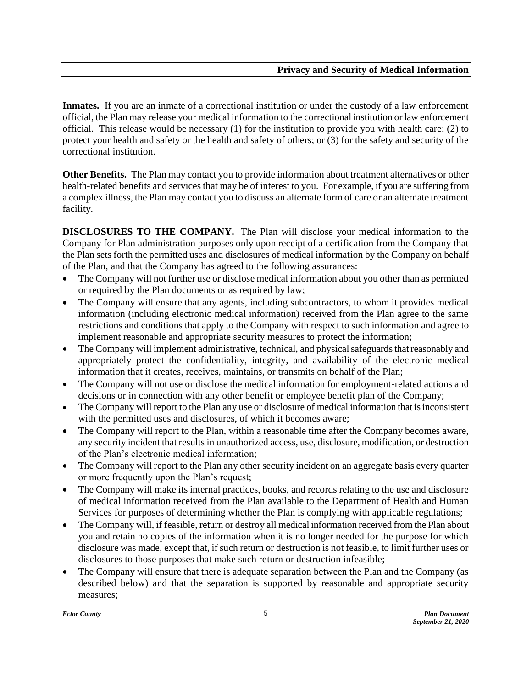**Inmates.** If you are an inmate of a correctional institution or under the custody of a law enforcement official, the Plan may release your medical information to the correctional institution or law enforcement official. This release would be necessary (1) for the institution to provide you with health care; (2) to protect your health and safety or the health and safety of others; or (3) for the safety and security of the correctional institution.

**Other Benefits.** The Plan may contact you to provide information about treatment alternatives or other health-related benefits and services that may be of interest to you. For example, if you are suffering from a complex illness, the Plan may contact you to discuss an alternate form of care or an alternate treatment facility.

**DISCLOSURES TO THE COMPANY.** The Plan will disclose your medical information to the Company for Plan administration purposes only upon receipt of a certification from the Company that the Plan sets forth the permitted uses and disclosures of medical information by the Company on behalf of the Plan, and that the Company has agreed to the following assurances:

- The Company will not further use or disclose medical information about you other than as permitted or required by the Plan documents or as required by law;
- The Company will ensure that any agents, including subcontractors, to whom it provides medical information (including electronic medical information) received from the Plan agree to the same restrictions and conditions that apply to the Company with respect to such information and agree to implement reasonable and appropriate security measures to protect the information;
- The Company will implement administrative, technical, and physical safeguards that reasonably and appropriately protect the confidentiality, integrity, and availability of the electronic medical information that it creates, receives, maintains, or transmits on behalf of the Plan;
- The Company will not use or disclose the medical information for employment-related actions and decisions or in connection with any other benefit or employee benefit plan of the Company;
- The Company will report to the Plan any use or disclosure of medical information that is inconsistent with the permitted uses and disclosures, of which it becomes aware;
- The Company will report to the Plan, within a reasonable time after the Company becomes aware, any security incident that results in unauthorized access, use, disclosure, modification, or destruction of the Plan's electronic medical information;
- The Company will report to the Plan any other security incident on an aggregate basis every quarter or more frequently upon the Plan's request;
- The Company will make its internal practices, books, and records relating to the use and disclosure of medical information received from the Plan available to the Department of Health and Human Services for purposes of determining whether the Plan is complying with applicable regulations;
- The Company will, if feasible, return or destroy all medical information received from the Plan about you and retain no copies of the information when it is no longer needed for the purpose for which disclosure was made, except that, if such return or destruction is not feasible, to limit further uses or disclosures to those purposes that make such return or destruction infeasible;
- The Company will ensure that there is adequate separation between the Plan and the Company (as described below) and that the separation is supported by reasonable and appropriate security measures;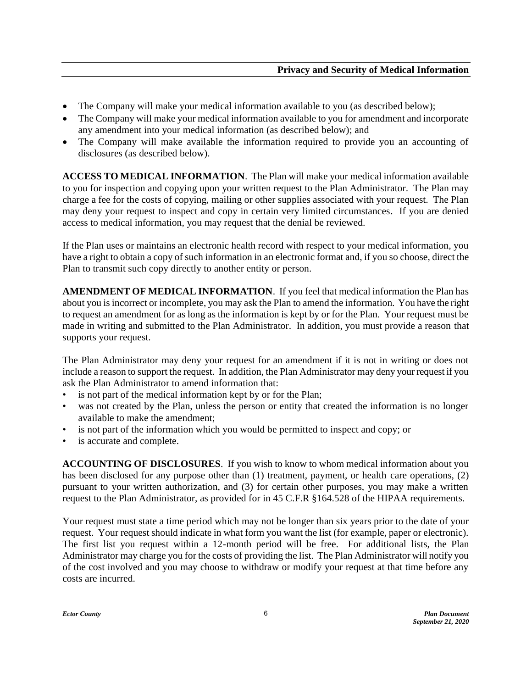- The Company will make your medical information available to you (as described below);
- The Company will make your medical information available to you for amendment and incorporate any amendment into your medical information (as described below); and
- The Company will make available the information required to provide you an accounting of disclosures (as described below).

**ACCESS TO MEDICAL INFORMATION**. The Plan will make your medical information available to you for inspection and copying upon your written request to the Plan Administrator. The Plan may charge a fee for the costs of copying, mailing or other supplies associated with your request. The Plan may deny your request to inspect and copy in certain very limited circumstances. If you are denied access to medical information, you may request that the denial be reviewed.

If the Plan uses or maintains an electronic health record with respect to your medical information, you have a right to obtain a copy of such information in an electronic format and, if you so choose, direct the Plan to transmit such copy directly to another entity or person.

**AMENDMENT OF MEDICAL INFORMATION**. If you feel that medical information the Plan has about you is incorrect or incomplete, you may ask the Plan to amend the information. You have the right to request an amendment for as long as the information is kept by or for the Plan. Your request must be made in writing and submitted to the Plan Administrator. In addition, you must provide a reason that supports your request.

The Plan Administrator may deny your request for an amendment if it is not in writing or does not include a reason to support the request. In addition, the Plan Administrator may deny your request if you ask the Plan Administrator to amend information that:

- is not part of the medical information kept by or for the Plan;
- was not created by the Plan, unless the person or entity that created the information is no longer available to make the amendment;
- is not part of the information which you would be permitted to inspect and copy; or
- is accurate and complete.

**ACCOUNTING OF DISCLOSURES**. If you wish to know to whom medical information about you has been disclosed for any purpose other than (1) treatment, payment, or health care operations, (2) pursuant to your written authorization, and (3) for certain other purposes, you may make a written request to the Plan Administrator, as provided for in 45 C.F.R §164.528 of the HIPAA requirements.

Your request must state a time period which may not be longer than six years prior to the date of your request. Your request should indicate in what form you want the list (for example, paper or electronic). The first list you request within a 12-month period will be free. For additional lists, the Plan Administrator may charge you for the costs of providing the list. The Plan Administrator will notify you of the cost involved and you may choose to withdraw or modify your request at that time before any costs are incurred.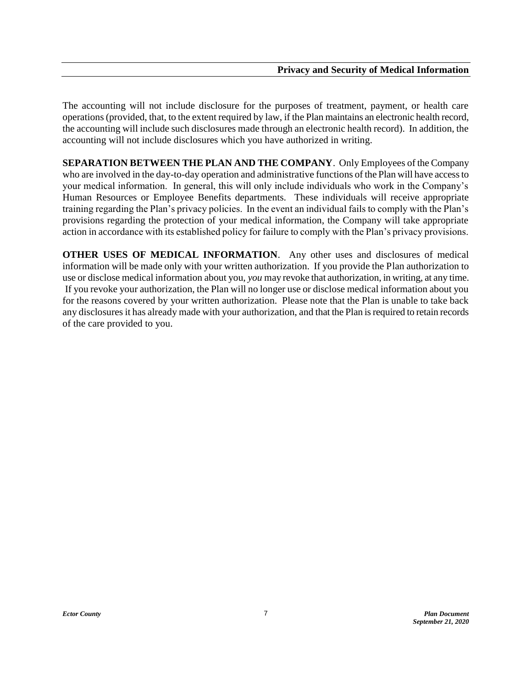The accounting will not include disclosure for the purposes of treatment, payment, or health care operations (provided, that, to the extent required by law, if the Plan maintains an electronic health record, the accounting will include such disclosures made through an electronic health record). In addition, the accounting will not include disclosures which you have authorized in writing.

**SEPARATION BETWEEN THE PLAN AND THE COMPANY**. Only Employees of the Company who are involved in the day-to-day operation and administrative functions of the Plan will have access to your medical information. In general, this will only include individuals who work in the Company's Human Resources or Employee Benefits departments. These individuals will receive appropriate training regarding the Plan's privacy policies. In the event an individual fails to comply with the Plan's provisions regarding the protection of your medical information, the Company will take appropriate action in accordance with its established policy for failure to comply with the Plan's privacy provisions.

**OTHER USES OF MEDICAL INFORMATION**. Any other uses and disclosures of medical information will be made only with your written authorization. If you provide the Plan authorization to use or disclose medical information about you, *you* may revoke that authorization, in writing, at any time. If you revoke your authorization, the Plan will no longer use or disclose medical information about you for the reasons covered by your written authorization. Please note that the Plan is unable to take back any disclosures it has already made with your authorization, and that the Plan is required to retain records of the care provided to you.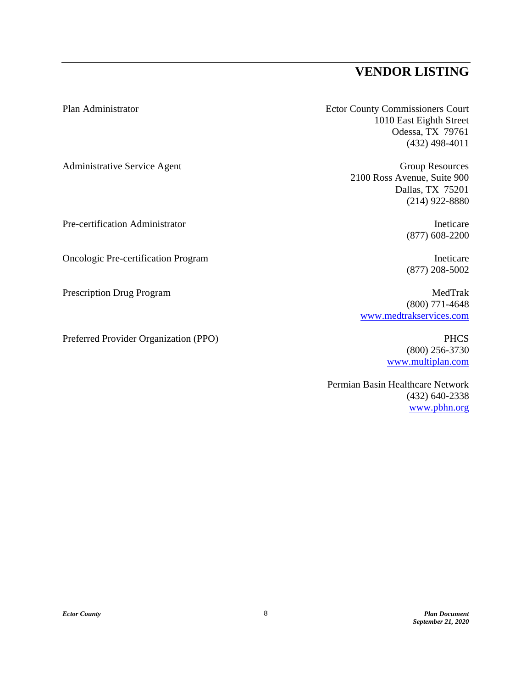### **VENDOR LISTING**

<span id="page-10-0"></span>Plan Administrator Ector County Commissioners Court 1010 East Eighth Street Odessa, TX 79761 (432) 498-4011

Administrative Service Agent Group Resources 2100 Ross Avenue, Suite 900 Dallas, TX 75201 (214) 922-8880

Pre-certification Administrator Ineticare (877) 608-2200

(877) 208-5002

(800) 771-4648 [www.medtrakservices.com](http://www.medtrakservices.com/)

> (800) 256-3730 [www.multiplan.com](http://www.multiplan.com/)

Permian Basin Healthcare Network (432) 640-2338 [www.pbhn.org](http://www.pbhn.org/)

Oncologic Pre-certification Program Ineticare

Prescription Drug Program MedTrak

Preferred Provider Organization (PPO) PHCS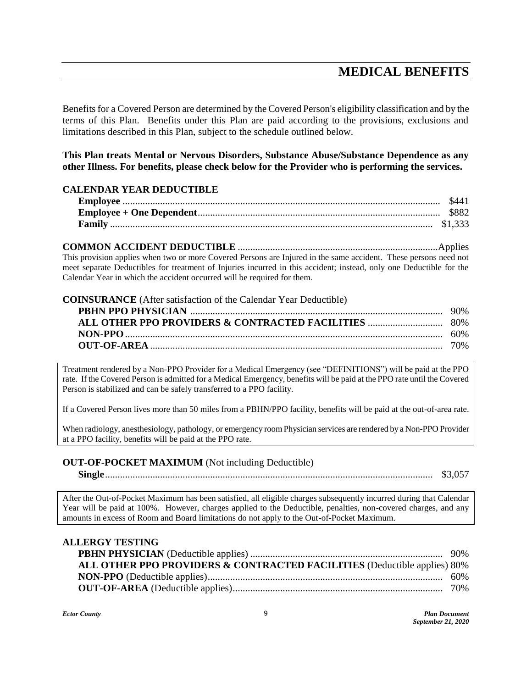## **MEDICAL BENEFITS**

<span id="page-11-0"></span>Benefits for a Covered Person are determined by the Covered Person's eligibility classification and by the terms of this Plan. Benefits under this Plan are paid according to the provisions, exclusions and limitations described in this Plan, subject to the schedule outlined below.

**This Plan treats Mental or Nervous Disorders, Substance Abuse/Substance Dependence as any other Illness. For benefits, please check below for the Provider who is performing the services.**

#### **CALENDAR YEAR DEDUCTIBLE**

**COMMON ACCIDENT DEDUCTIBLE** ................................................................................Applies This provision applies when two or more Covered Persons are Injured in the same accident. These persons need not meet separate Deductibles for treatment of Injuries incurred in this accident; instead, only one Deductible for the Calendar Year in which the accident occurred will be required for them.

#### **COINSURANCE** (After satisfaction of the Calendar Year Deductible) **PBHN PPO PHYSICIAN** ..................................................................................................... 90% **ALL OTHER PPO PROVIDERS & CONTRACTED FACILITIES** .............................. 80% **NON-PPO**............................................................................................................................... 60% **OUT-OF-AREA** ..................................................................................................................... 70%

Treatment rendered by a Non-PPO Provider for a Medical Emergency (see "DEFINITIONS") will be paid at the PPO rate. If the Covered Person is admitted for a Medical Emergency, benefits will be paid at the PPO rate until the Covered Person is stabilized and can be safely transferred to a PPO facility.

If a Covered Person lives more than 50 miles from a PBHN/PPO facility, benefits will be paid at the out-of-area rate.

When radiology, anesthesiology, pathology, or emergency room Physician services are rendered by a Non-PPO Provider at a PPO facility, benefits will be paid at the PPO rate.

#### **OUT-OF-POCKET MAXIMUM** (Not including Deductible)

**Single**................................................................................................................................... \$3,057

After the Out-of-Pocket Maximum has been satisfied, all eligible charges subsequently incurred during that Calendar Year will be paid at 100%. However, charges applied to the Deductible, penalties, non-covered charges, and any amounts in excess of Room and Board limitations do not apply to the Out-of-Pocket Maximum.

#### **ALLERGY TESTING**

| ALL OTHER PPO PROVIDERS & CONTRACTED FACILITIES (Deductible applies) 80% |  |
|--------------------------------------------------------------------------|--|
|                                                                          |  |
|                                                                          |  |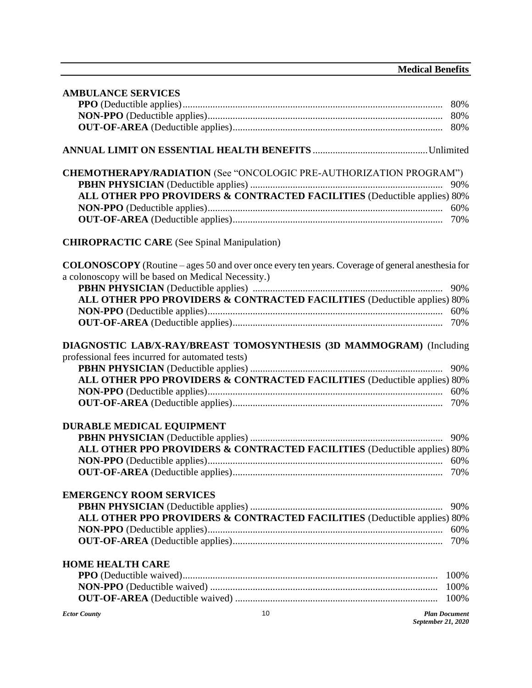| <b>AMBULANCE SERVICES</b>                          |                                                                                                         |                      |
|----------------------------------------------------|---------------------------------------------------------------------------------------------------------|----------------------|
|                                                    |                                                                                                         |                      |
|                                                    |                                                                                                         |                      |
|                                                    |                                                                                                         |                      |
|                                                    |                                                                                                         |                      |
|                                                    |                                                                                                         |                      |
|                                                    | <b>CHEMOTHERAPY/RADIATION</b> (See "ONCOLOGIC PRE-AUTHORIZATION PROGRAM")                               |                      |
|                                                    |                                                                                                         | 90%                  |
|                                                    | ALL OTHER PPO PROVIDERS & CONTRACTED FACILITIES (Deductible applies) 80%                                |                      |
|                                                    |                                                                                                         | 60%                  |
|                                                    |                                                                                                         |                      |
| <b>CHIROPRACTIC CARE</b> (See Spinal Manipulation) |                                                                                                         |                      |
|                                                    | <b>COLONOSCOPY</b> (Routine – ages 50 and over once every ten years. Coverage of general anesthesia for |                      |
| a colonoscopy will be based on Medical Necessity.) |                                                                                                         |                      |
|                                                    |                                                                                                         | 90%                  |
|                                                    | ALL OTHER PPO PROVIDERS & CONTRACTED FACILITIES (Deductible applies) 80%                                |                      |
|                                                    |                                                                                                         | 60%                  |
|                                                    |                                                                                                         |                      |
|                                                    |                                                                                                         |                      |
|                                                    | DIAGNOSTIC LAB/X-RAY/BREAST TOMOSYNTHESIS (3D MAMMOGRAM) (Including                                     |                      |
| professional fees incurred for automated tests)    |                                                                                                         |                      |
|                                                    |                                                                                                         | 90%                  |
|                                                    | ALL OTHER PPO PROVIDERS & CONTRACTED FACILITIES (Deductible applies) 80%                                |                      |
|                                                    |                                                                                                         | 60%                  |
|                                                    |                                                                                                         |                      |
|                                                    |                                                                                                         |                      |
| <b>DURABLE MEDICAL EQUIPMENT</b>                   |                                                                                                         |                      |
|                                                    |                                                                                                         | 90%                  |
|                                                    | ALL OTHER PPO PROVIDERS & CONTRACTED FACILITIES (Deductible applies) 80%                                |                      |
|                                                    |                                                                                                         |                      |
|                                                    |                                                                                                         | 70%                  |
|                                                    |                                                                                                         |                      |
| <b>EMERGENCY ROOM SERVICES</b>                     |                                                                                                         |                      |
|                                                    |                                                                                                         | 90%                  |
|                                                    |                                                                                                         |                      |
|                                                    | ALL OTHER PPO PROVIDERS & CONTRACTED FACILITIES (Deductible applies) 80%                                |                      |
|                                                    |                                                                                                         | 60%                  |
|                                                    |                                                                                                         | 70%                  |
|                                                    |                                                                                                         |                      |
| <b>HOME HEALTH CARE</b>                            |                                                                                                         |                      |
|                                                    |                                                                                                         | 100%                 |
|                                                    |                                                                                                         | 100%                 |
|                                                    |                                                                                                         | 100%                 |
| <b>Ector County</b>                                | 10                                                                                                      | <b>Plan Document</b> |

*September 21, 2020*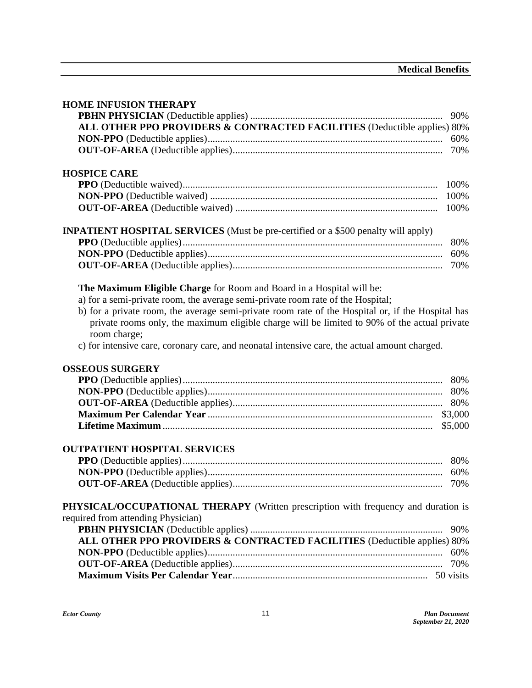| <b>HOME INFUSION THERAPY</b>                                                                      |
|---------------------------------------------------------------------------------------------------|
| 90%                                                                                               |
| ALL OTHER PPO PROVIDERS & CONTRACTED FACILITIES (Deductible applies) 80%                          |
| 60%                                                                                               |
|                                                                                                   |
|                                                                                                   |
| <b>HOSPICE CARE</b>                                                                               |
| 100%                                                                                              |
| 100%                                                                                              |
| 100%                                                                                              |
| <b>INPATIENT HOSPITAL SERVICES</b> (Must be pre-certified or a \$500 penalty will apply)          |
| 80%                                                                                               |
| 60%                                                                                               |
| 70%                                                                                               |
|                                                                                                   |
| The Maximum Eligible Charge for Room and Board in a Hospital will be:                             |
| a) for a semi-private room, the average semi-private room rate of the Hospital;                   |
| b) for a private room, the average semi-private room rate of the Hospital or, if the Hospital has |
| private rooms only, the maximum eligible charge will be limited to 90% of the actual private      |
| room charge;                                                                                      |
| c) for intensive care, coronary care, and neonatal intensive care, the actual amount charged.     |
|                                                                                                   |
| <b>OSSEOUS SURGERY</b>                                                                            |
| 80%                                                                                               |
| 80%                                                                                               |
|                                                                                                   |
|                                                                                                   |
| \$5,000                                                                                           |
|                                                                                                   |
| <b>OUTPATIENT HOSPITAL SERVICES</b>                                                               |
| 80%                                                                                               |
|                                                                                                   |
|                                                                                                   |
|                                                                                                   |
| PHYSICAL/OCCUPATIONAL THERAPY (Written prescription with frequency and duration is                |
| required from attending Physician)                                                                |
| 90%                                                                                               |
| ALL OTHER PPO PROVIDERS & CONTRACTED FACILITIES (Deductible applies) 80%                          |
| 60%                                                                                               |
| 70%                                                                                               |
|                                                                                                   |
|                                                                                                   |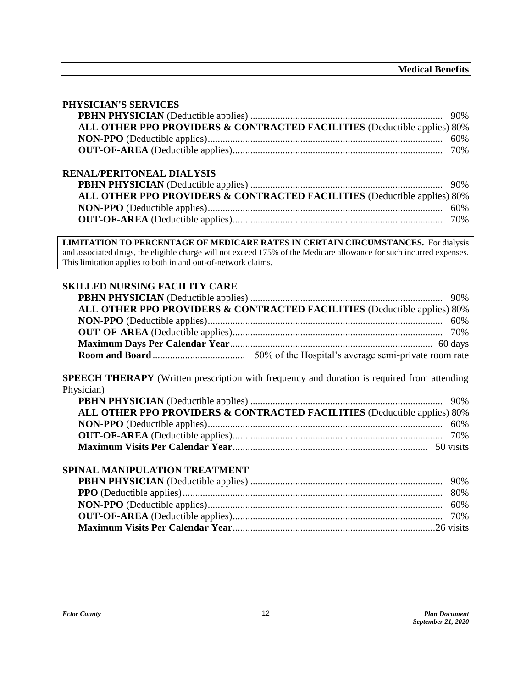#### **PHYSICIAN'S SERVICES**

| ALL OTHER PPO PROVIDERS & CONTRACTED FACILITIES (Deductible applies) 80% |  |
|--------------------------------------------------------------------------|--|
|                                                                          |  |
|                                                                          |  |
| <b>RENAL/PERITONEAL DIALYSIS</b>                                         |  |
|                                                                          |  |
| ALL OTHER PPO PROVIDERS & CONTRACTED FACILITIES (Deductible applies) 80% |  |
|                                                                          |  |
|                                                                          |  |

**LIMITATION TO PERCENTAGE OF MEDICARE RATES IN CERTAIN CIRCUMSTANCES.** For dialysis and associated drugs, the eligible charge will not exceed 175% of the Medicare allowance for such incurred expenses. This limitation applies to both in and out-of-network claims.

#### **SKILLED NURSING FACILITY CARE**

| ALL OTHER PPO PROVIDERS & CONTRACTED FACILITIES (Deductible applies) 80% |  |
|--------------------------------------------------------------------------|--|
|                                                                          |  |
|                                                                          |  |
|                                                                          |  |
|                                                                          |  |

**SPEECH THERAPY** (Written prescription with frequency and duration is required from attending Physician)

| ALL OTHER PPO PROVIDERS & CONTRACTED FACILITIES (Deductible applies) 80% |  |
|--------------------------------------------------------------------------|--|
|                                                                          |  |
|                                                                          |  |
|                                                                          |  |

#### **SPINAL MANIPULATION TREATMENT**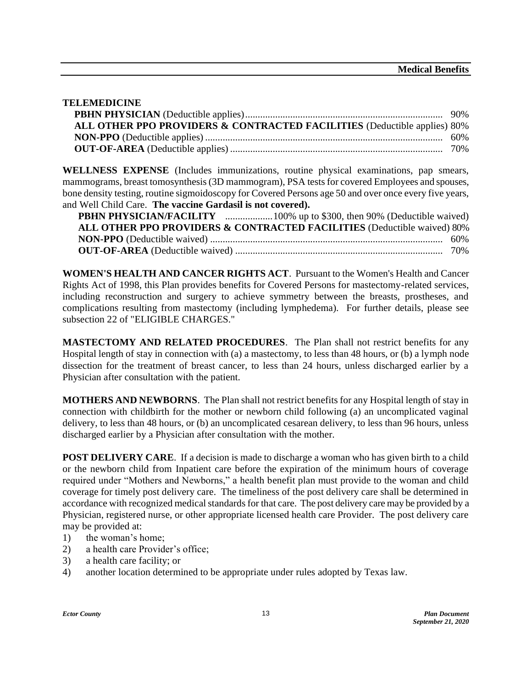#### **TELEMEDICINE**

| ALL OTHER PPO PROVIDERS & CONTRACTED FACILITIES (Deductible applies) 80% |  |
|--------------------------------------------------------------------------|--|
|                                                                          |  |
|                                                                          |  |

**WELLNESS EXPENSE** (Includes immunizations, routine physical examinations, pap smears, mammograms, breast tomosynthesis (3D mammogram), PSA tests for covered Employees and spouses, bone density testing, routine sigmoidoscopy for Covered Persons age 50 and over once every five years, and Well Child Care. **The vaccine Gardasil is not covered).**

| ALL OTHER PPO PROVIDERS & CONTRACTED FACILITIES (Deductible waived) 80% |  |
|-------------------------------------------------------------------------|--|
|                                                                         |  |
|                                                                         |  |

**WOMEN'S HEALTH AND CANCER RIGHTS ACT**. Pursuant to the Women's Health and Cancer Rights Act of 1998, this Plan provides benefits for Covered Persons for mastectomy-related services, including reconstruction and surgery to achieve symmetry between the breasts, prostheses, and complications resulting from mastectomy (including lymphedema). For further details, please see subsection 22 of "ELIGIBLE CHARGES."

**MASTECTOMY AND RELATED PROCEDURES**. The Plan shall not restrict benefits for any Hospital length of stay in connection with (a) a mastectomy, to less than 48 hours, or (b) a lymph node dissection for the treatment of breast cancer, to less than 24 hours, unless discharged earlier by a Physician after consultation with the patient.

**MOTHERS AND NEWBORNS**. The Plan shall not restrict benefits for any Hospital length of stay in connection with childbirth for the mother or newborn child following (a) an uncomplicated vaginal delivery, to less than 48 hours, or (b) an uncomplicated cesarean delivery, to less than 96 hours, unless discharged earlier by a Physician after consultation with the mother.

**POST DELIVERY CARE.** If a decision is made to discharge a woman who has given birth to a child or the newborn child from Inpatient care before the expiration of the minimum hours of coverage required under "Mothers and Newborns," a health benefit plan must provide to the woman and child coverage for timely post delivery care. The timeliness of the post delivery care shall be determined in accordance with recognized medical standards for that care. The post delivery care may be provided by a Physician, registered nurse, or other appropriate licensed health care Provider. The post delivery care may be provided at:

- 1) the woman's home;
- 2) a health care Provider's office;
- 3) a health care facility; or
- 4) another location determined to be appropriate under rules adopted by Texas law.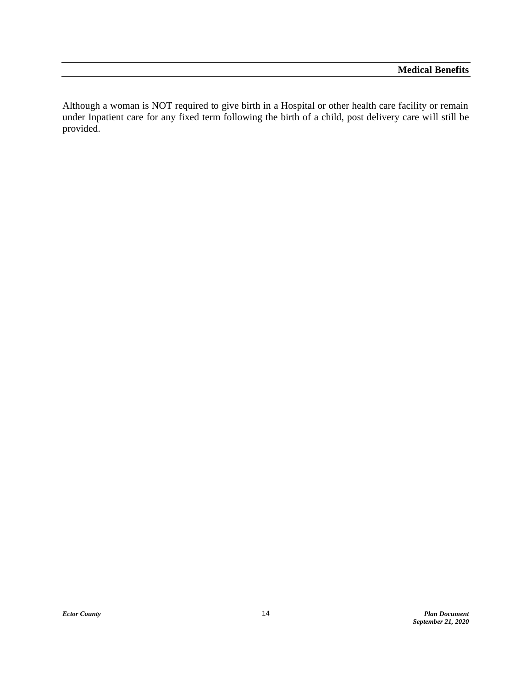Although a woman is NOT required to give birth in a Hospital or other health care facility or remain under Inpatient care for any fixed term following the birth of a child, post delivery care will still be provided.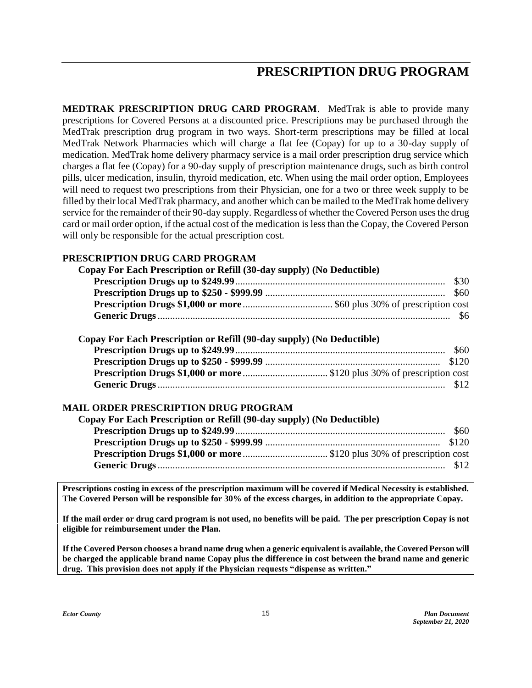## **PRESCRIPTION DRUG PROGRAM**

<span id="page-17-0"></span>**MEDTRAK PRESCRIPTION DRUG CARD PROGRAM**. MedTrak is able to provide many prescriptions for Covered Persons at a discounted price. Prescriptions may be purchased through the MedTrak prescription drug program in two ways. Short-term prescriptions may be filled at local MedTrak Network Pharmacies which will charge a flat fee (Copay) for up to a 30-day supply of medication. MedTrak home delivery pharmacy service is a mail order prescription drug service which charges a flat fee (Copay) for a 90-day supply of prescription maintenance drugs, such as birth control pills, ulcer medication, insulin, thyroid medication, etc. When using the mail order option, Employees will need to request two prescriptions from their Physician, one for a two or three week supply to be filled by their local MedTrak pharmacy, and another which can be mailed to the MedTrak home delivery service for the remainder of their 90-day supply. Regardless of whether the Covered Person uses the drug card or mail order option, if the actual cost of the medication is less than the Copay, the Covered Person will only be responsible for the actual prescription cost.

#### **PRESCRIPTION DRUG CARD PROGRAM**

| Copay For Each Prescription or Refill (30-day supply) (No Deductible) | \$30 |
|-----------------------------------------------------------------------|------|
|                                                                       |      |
|                                                                       |      |
|                                                                       |      |
| Copay For Each Prescription or Refill (90-day supply) (No Deductible) |      |
|                                                                       | \$60 |
|                                                                       |      |
|                                                                       |      |
|                                                                       |      |
| <b>MAIL ORDER PRESCRIPTION DRUG PROGRAM</b>                           |      |
| Copay For Each Prescription or Refill (90-day supply) (No Deductible) |      |
|                                                                       | \$60 |
|                                                                       |      |
|                                                                       |      |

**Prescriptions costing in excess of the prescription maximum will be covered if Medical Necessity is established. The Covered Person will be responsible for 30% of the excess charges, in addition to the appropriate Copay.**

**Generic Drugs**................................................................................................................... \$12

**If the mail order or drug card program is not used, no benefits will be paid. The per prescription Copay is not eligible for reimbursement under the Plan.**

**If the Covered Person chooses a brand name drug when a generic equivalent is available, the Covered Person will be charged the applicable brand name Copay plus the difference in cost between the brand name and generic drug. This provision does not apply if the Physician requests "dispense as written."**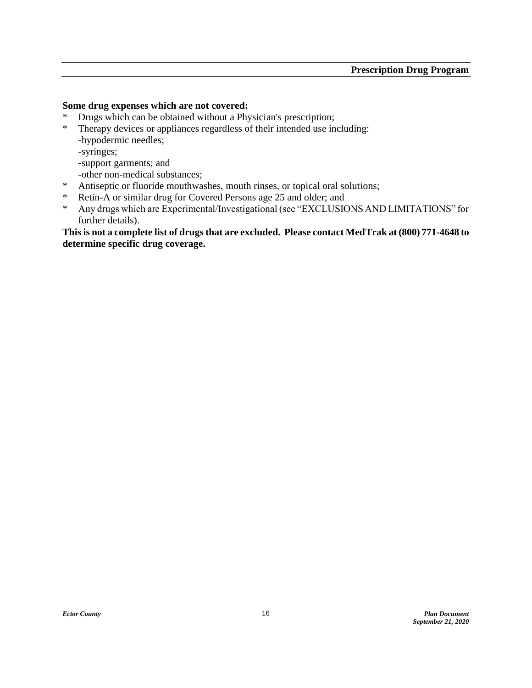#### **Some drug expenses which are not covered:**

- \* Drugs which can be obtained without a Physician's prescription;
- \* Therapy devices or appliances regardless of their intended use including: -hypodermic needles;
	- -syringes;
	- -support garments; and
	- -other non-medical substances;
- \* Antiseptic or fluoride mouthwashes, mouth rinses, or topical oral solutions;
- \* Retin-A or similar drug for Covered Persons age 25 and older; and
- \* Any drugs which are Experimental/Investigational (see "EXCLUSIONS AND LIMITATIONS" for further details).

**This is not a complete list of drugs that are excluded. Please contact MedTrak at (800) 771-4648 to determine specific drug coverage.**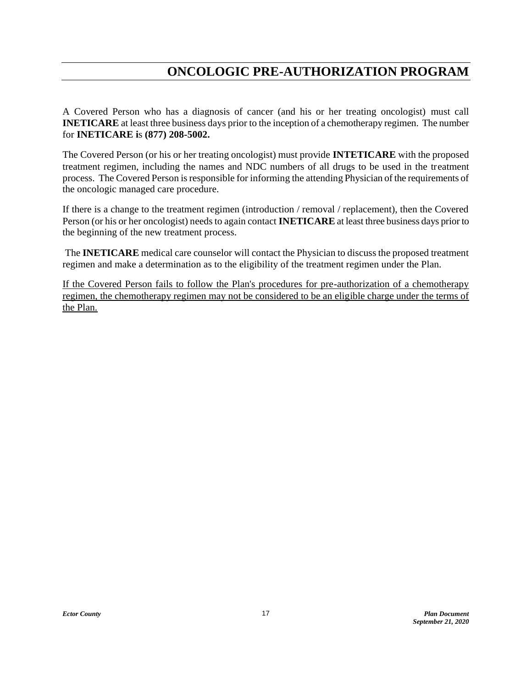## **ONCOLOGIC PRE-AUTHORIZATION PROGRAM**

<span id="page-19-0"></span>A Covered Person who has a diagnosis of cancer (and his or her treating oncologist) must call **INETICARE** at least three business days prior to the inception of a chemotherapy regimen. The number for **INETICARE i**s **(877) 208-5002.**

The Covered Person (or his or her treating oncologist) must provide **INTETICARE** with the proposed treatment regimen, including the names and NDC numbers of all drugs to be used in the treatment process. The Covered Person is responsible for informing the attending Physician of the requirements of the oncologic managed care procedure.

If there is a change to the treatment regimen (introduction / removal / replacement), then the Covered Person (or his or her oncologist) needs to again contact **INETICARE** at least three business days prior to the beginning of the new treatment process.

The **INETICARE** medical care counselor will contact the Physician to discuss the proposed treatment regimen and make a determination as to the eligibility of the treatment regimen under the Plan.

If the Covered Person fails to follow the Plan's procedures for pre-authorization of a chemotherapy regimen, the chemotherapy regimen may not be considered to be an eligible charge under the terms of the Plan.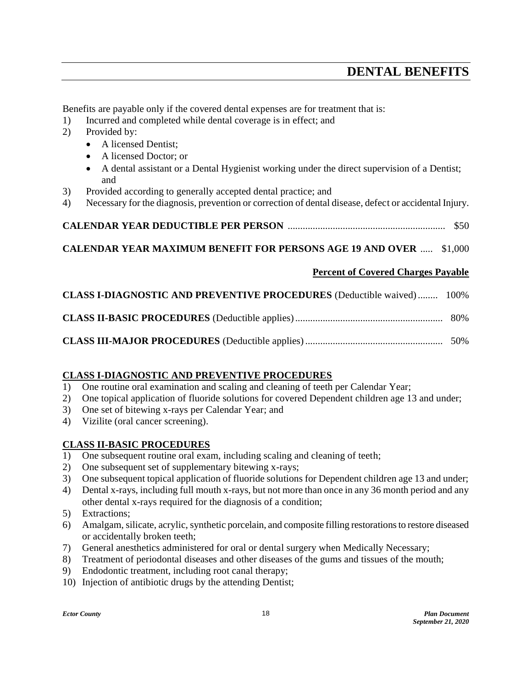Benefits are payable only if the covered dental expenses are for treatment that is:

- 1) Incurred and completed while dental coverage is in effect; and
- 2) Provided by:
	- A licensed Dentist;
	- A licensed Doctor; or
	- A dental assistant or a Dental Hygienist working under the direct supervision of a Dentist; and
- 3) Provided according to generally accepted dental practice; and
- 4) Necessary for the diagnosis, prevention or correction of dental disease, defect or accidental Injury.

```
CALENDAR YEAR DEDUCTIBLE PER PERSON ............................................................... $50
```
#### **CALENDAR YEAR MAXIMUM BENEFIT FOR PERSONS AGE 19 AND OVER** ..... \$1,000

#### <span id="page-20-0"></span>**Percent of Covered Charges Payable**

| <b>CLASS I-DIAGNOSTIC AND PREVENTIVE PROCEDURES</b> (Deductible waived)  100% |  |
|-------------------------------------------------------------------------------|--|
|                                                                               |  |
|                                                                               |  |

#### **CLASS I-DIAGNOSTIC AND PREVENTIVE PROCEDURES**

- 1) One routine oral examination and scaling and cleaning of teeth per Calendar Year;
- 2) One topical application of fluoride solutions for covered Dependent children age 13 and under;
- 3) One set of bitewing x-rays per Calendar Year; and
- 4) Vizilite (oral cancer screening).

#### **CLASS II-BASIC PROCEDURES**

- 1) One subsequent routine oral exam, including scaling and cleaning of teeth;
- 2) One subsequent set of supplementary bitewing x-rays;
- 3) One subsequent topical application of fluoride solutions for Dependent children age 13 and under;
- 4) Dental x-rays, including full mouth x-rays, but not more than once in any 36 month period and any other dental x-rays required for the diagnosis of a condition;
- 5) Extractions;
- 6) Amalgam, silicate, acrylic, synthetic porcelain, and composite filling restorations to restore diseased or accidentally broken teeth;
- 7) General anesthetics administered for oral or dental surgery when Medically Necessary;
- 8) Treatment of periodontal diseases and other diseases of the gums and tissues of the mouth;
- 9) Endodontic treatment, including root canal therapy;
- 10) Injection of antibiotic drugs by the attending Dentist;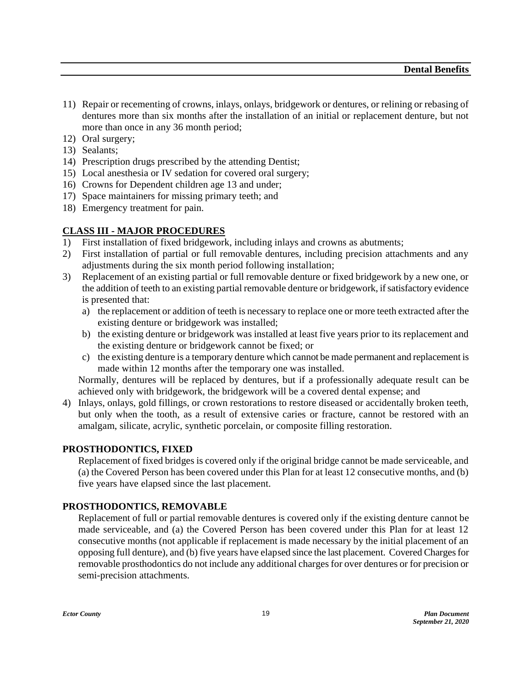- 11) Repair or recementing of crowns, inlays, onlays, bridgework or dentures, or relining or rebasing of dentures more than six months after the installation of an initial or replacement denture, but not more than once in any 36 month period;
- 12) Oral surgery;
- 13) Sealants;
- 14) Prescription drugs prescribed by the attending Dentist;
- 15) Local anesthesia or IV sedation for covered oral surgery;
- 16) Crowns for Dependent children age 13 and under;
- 17) Space maintainers for missing primary teeth; and
- 18) Emergency treatment for pain.

#### **CLASS III - MAJOR PROCEDURES**

- 1) First installation of fixed bridgework, including inlays and crowns as abutments;
- 2) First installation of partial or full removable dentures, including precision attachments and any adjustments during the six month period following installation;
- 3) Replacement of an existing partial or full removable denture or fixed bridgework by a new one, or the addition of teeth to an existing partial removable denture or bridgework, if satisfactory evidence is presented that:
	- a) the replacement or addition of teeth is necessary to replace one or more teeth extracted after the existing denture or bridgework was installed;
	- b) the existing denture or bridgework was installed at least five years prior to its replacement and the existing denture or bridgework cannot be fixed; or
	- c) the existing denture is a temporary denture which cannot be made permanent and replacement is made within 12 months after the temporary one was installed.

Normally, dentures will be replaced by dentures, but if a professionally adequate result can be achieved only with bridgework, the bridgework will be a covered dental expense; and

4) Inlays, onlays, gold fillings, or crown restorations to restore diseased or accidentally broken teeth, but only when the tooth, as a result of extensive caries or fracture, cannot be restored with an amalgam, silicate, acrylic, synthetic porcelain, or composite filling restoration.

#### **PROSTHODONTICS, FIXED**

Replacement of fixed bridges is covered only if the original bridge cannot be made serviceable, and (a) the Covered Person has been covered under this Plan for at least 12 consecutive months, and (b) five years have elapsed since the last placement.

#### **PROSTHODONTICS, REMOVABLE**

Replacement of full or partial removable dentures is covered only if the existing denture cannot be made serviceable, and (a) the Covered Person has been covered under this Plan for at least 12 consecutive months (not applicable if replacement is made necessary by the initial placement of an opposing full denture), and (b) five years have elapsed since the last placement. Covered Charges for removable prosthodontics do not include any additional charges for over dentures or for precision or semi-precision attachments.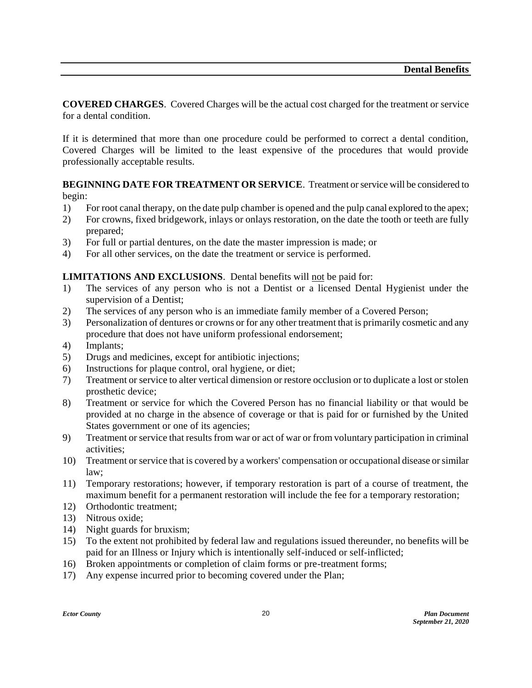**COVERED CHARGES**. Covered Charges will be the actual cost charged for the treatment or service for a dental condition.

If it is determined that more than one procedure could be performed to correct a dental condition, Covered Charges will be limited to the least expensive of the procedures that would provide professionally acceptable results.

**BEGINNING DATE FOR TREATMENT OR SERVICE**. Treatment or service will be considered to begin:

- 1) For root canal therapy, on the date pulp chamber is opened and the pulp canal explored to the apex;
- 2) For crowns, fixed bridgework, inlays or onlays restoration, on the date the tooth or teeth are fully prepared;
- 3) For full or partial dentures, on the date the master impression is made; or
- 4) For all other services, on the date the treatment or service is performed.

#### **LIMITATIONS AND EXCLUSIONS**. Dental benefits will not be paid for:

- 1) The services of any person who is not a Dentist or a licensed Dental Hygienist under the supervision of a Dentist;
- 2) The services of any person who is an immediate family member of a Covered Person;
- 3) Personalization of dentures or crowns or for any other treatment that is primarily cosmetic and any procedure that does not have uniform professional endorsement;
- 4) Implants;
- 5) Drugs and medicines, except for antibiotic injections;
- 6) Instructions for plaque control, oral hygiene, or diet;
- 7) Treatment or service to alter vertical dimension or restore occlusion or to duplicate a lost or stolen prosthetic device;
- 8) Treatment or service for which the Covered Person has no financial liability or that would be provided at no charge in the absence of coverage or that is paid for or furnished by the United States government or one of its agencies;
- 9) Treatment or service that results from war or act of war or from voluntary participation in criminal activities;
- 10) Treatment or service that is covered by a workers' compensation or occupational disease or similar law;
- 11) Temporary restorations; however, if temporary restoration is part of a course of treatment, the maximum benefit for a permanent restoration will include the fee for a temporary restoration;
- 12) Orthodontic treatment;
- 13) Nitrous oxide;
- 14) Night guards for bruxism;
- 15) To the extent not prohibited by federal law and regulations issued thereunder, no benefits will be paid for an Illness or Injury which is intentionally self-induced or self-inflicted;
- 16) Broken appointments or completion of claim forms or pre-treatment forms;
- 17) Any expense incurred prior to becoming covered under the Plan;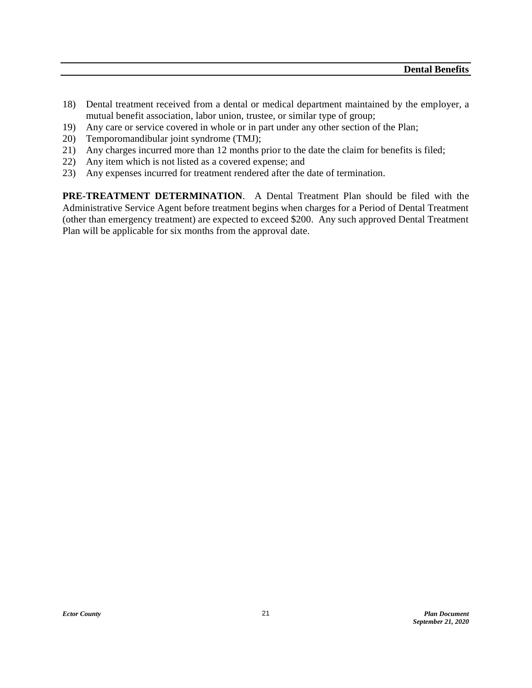- 18) Dental treatment received from a dental or medical department maintained by the employer, a mutual benefit association, labor union, trustee, or similar type of group;
- 19) Any care or service covered in whole or in part under any other section of the Plan;
- 20) Temporomandibular joint syndrome (TMJ);
- 21) Any charges incurred more than 12 months prior to the date the claim for benefits is filed;
- 22) Any item which is not listed as a covered expense; and
- 23) Any expenses incurred for treatment rendered after the date of termination.

**PRE-TREATMENT DETERMINATION**. A Dental Treatment Plan should be filed with the Administrative Service Agent before treatment begins when charges for a Period of Dental Treatment (other than emergency treatment) are expected to exceed \$200. Any such approved Dental Treatment Plan will be applicable for six months from the approval date.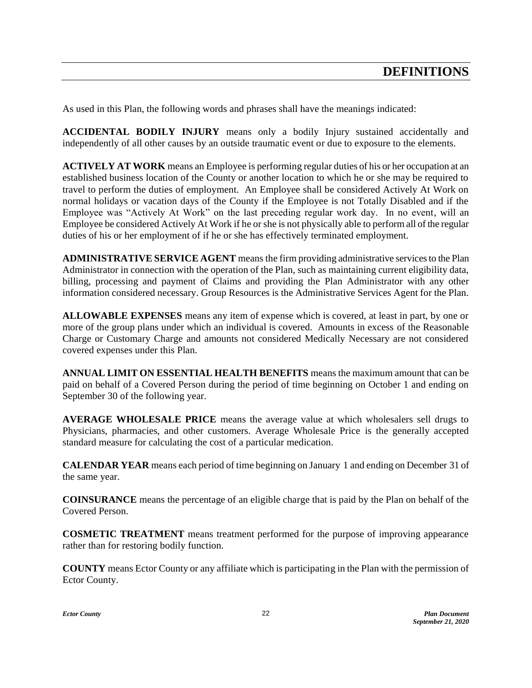<span id="page-24-0"></span>As used in this Plan, the following words and phrases shall have the meanings indicated:

**ACCIDENTAL BODILY INJURY** means only a bodily Injury sustained accidentally and independently of all other causes by an outside traumatic event or due to exposure to the elements.

**ACTIVELY AT WORK** means an Employee is performing regular duties of his or her occupation at an established business location of the County or another location to which he or she may be required to travel to perform the duties of employment. An Employee shall be considered Actively At Work on normal holidays or vacation days of the County if the Employee is not Totally Disabled and if the Employee was "Actively At Work" on the last preceding regular work day. In no event, will an Employee be considered Actively At Work if he or she is not physically able to perform all of the regular duties of his or her employment of if he or she has effectively terminated employment.

**ADMINISTRATIVE SERVICE AGENT** means the firm providing administrative services to the Plan Administrator in connection with the operation of the Plan, such as maintaining current eligibility data, billing, processing and payment of Claims and providing the Plan Administrator with any other information considered necessary. Group Resources is the Administrative Services Agent for the Plan.

**ALLOWABLE EXPENSES** means any item of expense which is covered, at least in part, by one or more of the group plans under which an individual is covered. Amounts in excess of the Reasonable Charge or Customary Charge and amounts not considered Medically Necessary are not considered covered expenses under this Plan.

**ANNUAL LIMIT ON ESSENTIAL HEALTH BENEFITS** means the maximum amount that can be paid on behalf of a Covered Person during the period of time beginning on October 1 and ending on September 30 of the following year.

**AVERAGE WHOLESALE PRICE** means the average value at which wholesalers sell drugs to Physicians, pharmacies, and other customers. Average Wholesale Price is the generally accepted standard measure for calculating the cost of a particular medication.

**CALENDAR YEAR** means each period of time beginning on January 1 and ending on December 31 of the same year.

**COINSURANCE** means the percentage of an eligible charge that is paid by the Plan on behalf of the Covered Person.

**COSMETIC TREATMENT** means treatment performed for the purpose of improving appearance rather than for restoring bodily function.

**COUNTY** means Ector County or any affiliate which is participating in the Plan with the permission of Ector County.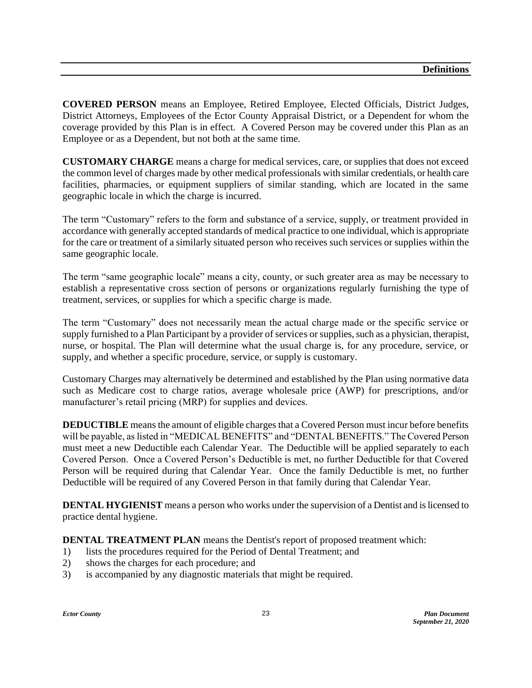**COVERED PERSON** means an Employee, Retired Employee, Elected Officials, District Judges, District Attorneys, Employees of the Ector County Appraisal District, or a Dependent for whom the coverage provided by this Plan is in effect. A Covered Person may be covered under this Plan as an Employee or as a Dependent, but not both at the same time.

**CUSTOMARY CHARGE** means a charge for medical services, care, or supplies that does not exceed the common level of charges made by other medical professionals with similar credentials, or health care facilities, pharmacies, or equipment suppliers of similar standing, which are located in the same geographic locale in which the charge is incurred.

The term "Customary" refers to the form and substance of a service, supply, or treatment provided in accordance with generally accepted standards of medical practice to one individual, which is appropriate for the care or treatment of a similarly situated person who receives such services or supplies within the same geographic locale.

The term "same geographic locale" means a city, county, or such greater area as may be necessary to establish a representative cross section of persons or organizations regularly furnishing the type of treatment, services, or supplies for which a specific charge is made.

The term "Customary" does not necessarily mean the actual charge made or the specific service or supply furnished to a Plan Participant by a provider of services or supplies, such as a physician, therapist, nurse, or hospital. The Plan will determine what the usual charge is, for any procedure, service, or supply, and whether a specific procedure, service, or supply is customary.

Customary Charges may alternatively be determined and established by the Plan using normative data such as Medicare cost to charge ratios, average wholesale price (AWP) for prescriptions, and/or manufacturer's retail pricing (MRP) for supplies and devices.

**DEDUCTIBLE** means the amount of eligible charges that a Covered Person must incur before benefits will be payable, as listed in "MEDICAL BENEFITS" and "DENTAL BENEFITS." The Covered Person must meet a new Deductible each Calendar Year. The Deductible will be applied separately to each Covered Person. Once a Covered Person's Deductible is met, no further Deductible for that Covered Person will be required during that Calendar Year. Once the family Deductible is met, no further Deductible will be required of any Covered Person in that family during that Calendar Year.

**DENTAL HYGIENIST** means a person who works under the supervision of a Dentist and is licensed to practice dental hygiene.

**DENTAL TREATMENT PLAN** means the Dentist's report of proposed treatment which:

- 1) lists the procedures required for the Period of Dental Treatment; and
- 2) shows the charges for each procedure; and
- 3) is accompanied by any diagnostic materials that might be required.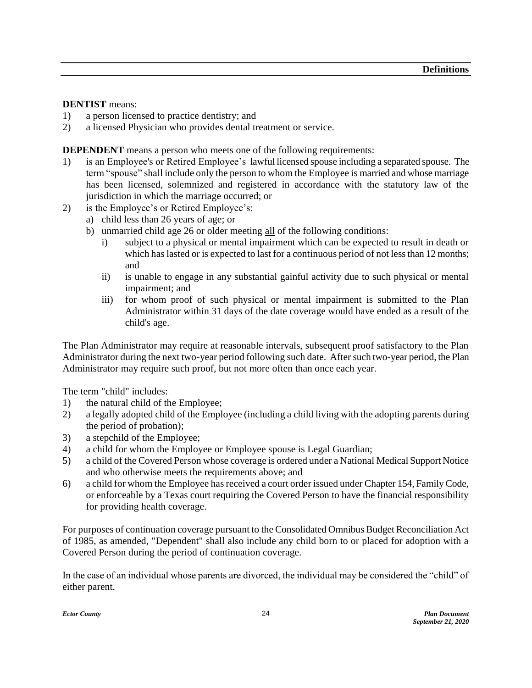#### **DENTIST** means:

- 1) a person licensed to practice dentistry; and
- 2) a licensed Physician who provides dental treatment or service.

**DEPENDENT** means a person who meets one of the following requirements:

- 1) is an Employee's or Retired Employee's lawful licensed spouse including a separated spouse. The term "spouse" shall include only the person to whom the Employee is married and whose marriage has been licensed, solemnized and registered in accordance with the statutory law of the jurisdiction in which the marriage occurred; or
- 2) is the Employee's or Retired Employee's:
	- a) child less than 26 years of age; or
	- b) unmarried child age 26 or older meeting all of the following conditions:
		- i) subject to a physical or mental impairment which can be expected to result in death or which has lasted or is expected to last for a continuous period of not less than 12 months; and
		- ii) is unable to engage in any substantial gainful activity due to such physical or mental impairment; and
		- iii) for whom proof of such physical or mental impairment is submitted to the Plan Administrator within 31 days of the date coverage would have ended as a result of the child's age.

The Plan Administrator may require at reasonable intervals, subsequent proof satisfactory to the Plan Administrator during the next two-year period following such date. After such two-year period, the Plan Administrator may require such proof, but not more often than once each year.

The term "child" includes:

- 1) the natural child of the Employee;
- 2) a legally adopted child of the Employee (including a child living with the adopting parents during the period of probation);
- 3) a stepchild of the Employee;
- 4) a child for whom the Employee or Employee spouse is Legal Guardian;
- 5) a child of the Covered Person whose coverage is ordered under a National Medical Support Notice and who otherwise meets the requirements above; and
- 6) a child for whom the Employee has received a court order issued under Chapter 154, Family Code, or enforceable by a Texas court requiring the Covered Person to have the financial responsibility for providing health coverage.

For purposes of continuation coverage pursuant to the Consolidated Omnibus Budget Reconciliation Act of 1985, as amended, "Dependent" shall also include any child born to or placed for adoption with a Covered Person during the period of continuation coverage.

In the case of an individual whose parents are divorced, the individual may be considered the "child" of either parent.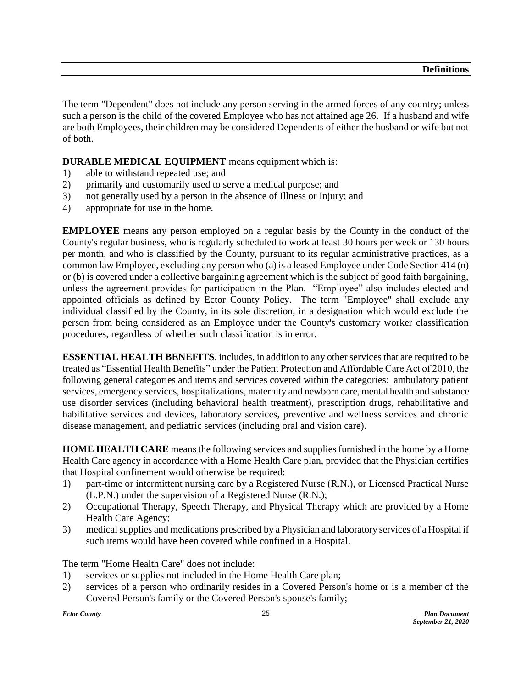The term "Dependent" does not include any person serving in the armed forces of any country; unless such a person is the child of the covered Employee who has not attained age 26. If a husband and wife are both Employees, their children may be considered Dependents of either the husband or wife but not of both.

#### **DURABLE MEDICAL EQUIPMENT** means equipment which is:

- 1) able to withstand repeated use; and
- 2) primarily and customarily used to serve a medical purpose; and
- 3) not generally used by a person in the absence of Illness or Injury; and
- 4) appropriate for use in the home.

**EMPLOYEE** means any person employed on a regular basis by the County in the conduct of the County's regular business, who is regularly scheduled to work at least 30 hours per week or 130 hours per month, and who is classified by the County, pursuant to its regular administrative practices, as a common law Employee, excluding any person who (a) is a leased Employee under Code Section 414 (n) or (b) is covered under a collective bargaining agreement which is the subject of good faith bargaining, unless the agreement provides for participation in the Plan. "Employee" also includes elected and appointed officials as defined by Ector County Policy. The term "Employee" shall exclude any individual classified by the County, in its sole discretion, in a designation which would exclude the person from being considered as an Employee under the County's customary worker classification procedures, regardless of whether such classification is in error.

**ESSENTIAL HEALTH BENEFITS**, includes, in addition to any other services that are required to be treated as "Essential Health Benefits" under the Patient Protection and Affordable Care Act of 2010, the following general categories and items and services covered within the categories: ambulatory patient services, emergency services, hospitalizations, maternity and newborn care, mental health and substance use disorder services (including behavioral health treatment), prescription drugs, rehabilitative and habilitative services and devices, laboratory services, preventive and wellness services and chronic disease management, and pediatric services (including oral and vision care).

**HOME HEALTH CARE** means the following services and supplies furnished in the home by a Home Health Care agency in accordance with a Home Health Care plan, provided that the Physician certifies that Hospital confinement would otherwise be required:

- 1) part-time or intermittent nursing care by a Registered Nurse (R.N.), or Licensed Practical Nurse (L.P.N.) under the supervision of a Registered Nurse (R.N.);
- 2) Occupational Therapy, Speech Therapy, and Physical Therapy which are provided by a Home Health Care Agency;
- 3) medical supplies and medications prescribed by a Physician and laboratory services of a Hospital if such items would have been covered while confined in a Hospital.

The term "Home Health Care" does not include:

- 1) services or supplies not included in the Home Health Care plan;
- 2) services of a person who ordinarily resides in a Covered Person's home or is a member of the Covered Person's family or the Covered Person's spouse's family;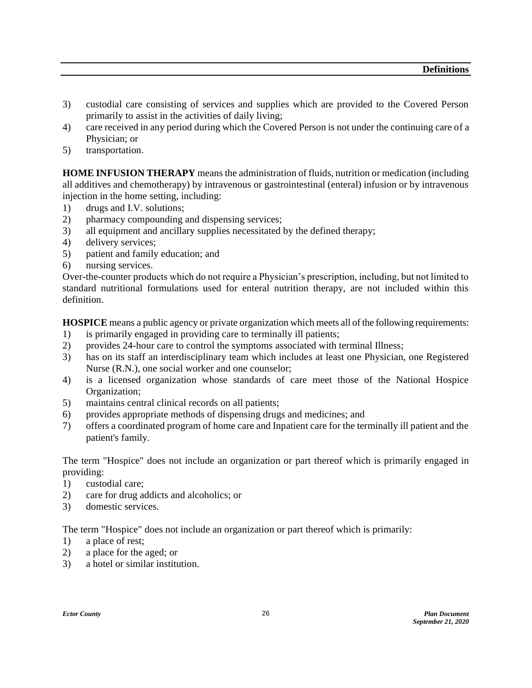- 3) custodial care consisting of services and supplies which are provided to the Covered Person primarily to assist in the activities of daily living;
- 4) care received in any period during which the Covered Person is not under the continuing care of a Physician; or
- 5) transportation.

**HOME INFUSION THERAPY** means the administration of fluids, nutrition or medication (including all additives and chemotherapy) by intravenous or gastrointestinal (enteral) infusion or by intravenous injection in the home setting, including:

- 1) drugs and I.V. solutions;
- 2) pharmacy compounding and dispensing services;
- 3) all equipment and ancillary supplies necessitated by the defined therapy;
- 4) delivery services;
- 5) patient and family education; and
- 6) nursing services.

Over-the-counter products which do not require a Physician's prescription, including, but not limited to standard nutritional formulations used for enteral nutrition therapy, are not included within this definition.

**HOSPICE** means a public agency or private organization which meets all of the following requirements:

- 1) is primarily engaged in providing care to terminally ill patients;
- 2) provides 24-hour care to control the symptoms associated with terminal Illness;
- 3) has on its staff an interdisciplinary team which includes at least one Physician, one Registered Nurse (R.N.), one social worker and one counselor;
- 4) is a licensed organization whose standards of care meet those of the National Hospice Organization;
- 5) maintains central clinical records on all patients;
- 6) provides appropriate methods of dispensing drugs and medicines; and
- 7) offers a coordinated program of home care and Inpatient care for the terminally ill patient and the patient's family.

The term "Hospice" does not include an organization or part thereof which is primarily engaged in providing:

- 1) custodial care;
- 2) care for drug addicts and alcoholics; or
- 3) domestic services.

The term "Hospice" does not include an organization or part thereof which is primarily:

- 1) a place of rest;
- 2) a place for the aged; or
- 3) a hotel or similar institution.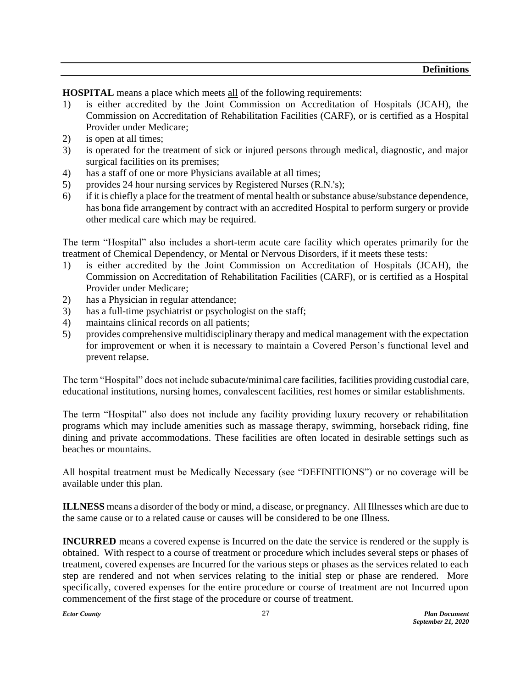**HOSPITAL** means a place which meets all of the following requirements:

- 1) is either accredited by the Joint Commission on Accreditation of Hospitals (JCAH), the Commission on Accreditation of Rehabilitation Facilities (CARF), or is certified as a Hospital Provider under Medicare;
- 2) is open at all times;
- 3) is operated for the treatment of sick or injured persons through medical, diagnostic, and major surgical facilities on its premises;
- 4) has a staff of one or more Physicians available at all times;
- 5) provides 24 hour nursing services by Registered Nurses (R.N.'s);
- 6) if it is chiefly a place for the treatment of mental health or substance abuse/substance dependence, has bona fide arrangement by contract with an accredited Hospital to perform surgery or provide other medical care which may be required.

The term "Hospital" also includes a short-term acute care facility which operates primarily for the treatment of Chemical Dependency, or Mental or Nervous Disorders, if it meets these tests:

- 1) is either accredited by the Joint Commission on Accreditation of Hospitals (JCAH), the Commission on Accreditation of Rehabilitation Facilities (CARF), or is certified as a Hospital Provider under Medicare;
- 2) has a Physician in regular attendance;
- 3) has a full-time psychiatrist or psychologist on the staff;
- 4) maintains clinical records on all patients;
- 5) provides comprehensive multidisciplinary therapy and medical management with the expectation for improvement or when it is necessary to maintain a Covered Person's functional level and prevent relapse.

The term "Hospital" does not include subacute/minimal care facilities, facilities providing custodial care, educational institutions, nursing homes, convalescent facilities, rest homes or similar establishments.

The term "Hospital" also does not include any facility providing luxury recovery or rehabilitation programs which may include amenities such as massage therapy, swimming, horseback riding, fine dining and private accommodations. These facilities are often located in desirable settings such as beaches or mountains.

All hospital treatment must be Medically Necessary (see "DEFINITIONS") or no coverage will be available under this plan.

**ILLNESS** means a disorder of the body or mind, a disease, or pregnancy. All Illnesses which are due to the same cause or to a related cause or causes will be considered to be one Illness.

**INCURRED** means a covered expense is Incurred on the date the service is rendered or the supply is obtained. With respect to a course of treatment or procedure which includes several steps or phases of treatment, covered expenses are Incurred for the various steps or phases as the services related to each step are rendered and not when services relating to the initial step or phase are rendered. More specifically, covered expenses for the entire procedure or course of treatment are not Incurred upon commencement of the first stage of the procedure or course of treatment.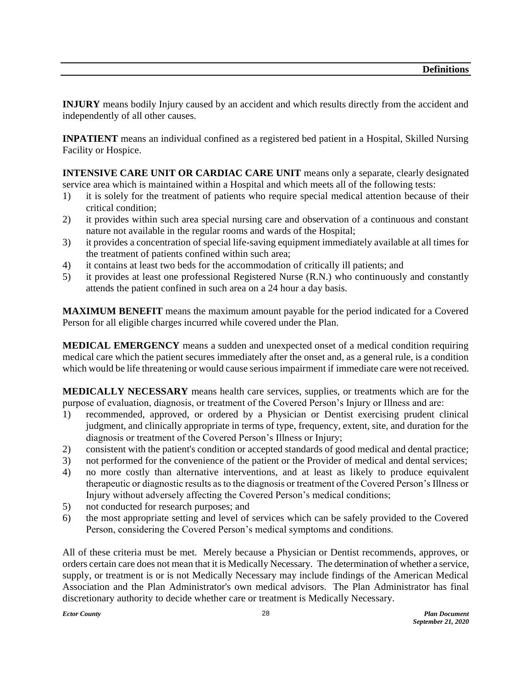**INJURY** means bodily Injury caused by an accident and which results directly from the accident and independently of all other causes.

**INPATIENT** means an individual confined as a registered bed patient in a Hospital, Skilled Nursing Facility or Hospice.

**INTENSIVE CARE UNIT OR CARDIAC CARE UNIT** means only a separate, clearly designated service area which is maintained within a Hospital and which meets all of the following tests:

- 1) it is solely for the treatment of patients who require special medical attention because of their critical condition;
- 2) it provides within such area special nursing care and observation of a continuous and constant nature not available in the regular rooms and wards of the Hospital;
- 3) it provides a concentration of special life-saving equipment immediately available at all times for the treatment of patients confined within such area;
- 4) it contains at least two beds for the accommodation of critically ill patients; and
- 5) it provides at least one professional Registered Nurse (R.N.) who continuously and constantly attends the patient confined in such area on a 24 hour a day basis.

**MAXIMUM BENEFIT** means the maximum amount payable for the period indicated for a Covered Person for all eligible charges incurred while covered under the Plan.

**MEDICAL EMERGENCY** means a sudden and unexpected onset of a medical condition requiring medical care which the patient secures immediately after the onset and, as a general rule, is a condition which would be life threatening or would cause serious impairment if immediate care were not received.

**MEDICALLY NECESSARY** means health care services, supplies, or treatments which are for the purpose of evaluation, diagnosis, or treatment of the Covered Person's Injury or Illness and are:

- 1) recommended, approved, or ordered by a Physician or Dentist exercising prudent clinical judgment, and clinically appropriate in terms of type, frequency, extent, site, and duration for the diagnosis or treatment of the Covered Person's Illness or Injury;
- 2) consistent with the patient's condition or accepted standards of good medical and dental practice;
- 3) not performed for the convenience of the patient or the Provider of medical and dental services;
- 4) no more costly than alternative interventions, and at least as likely to produce equivalent therapeutic or diagnostic results as to the diagnosis or treatment of the Covered Person's Illness or Injury without adversely affecting the Covered Person's medical conditions;
- 5) not conducted for research purposes; and
- 6) the most appropriate setting and level of services which can be safely provided to the Covered Person, considering the Covered Person's medical symptoms and conditions.

All of these criteria must be met. Merely because a Physician or Dentist recommends, approves, or orders certain care does not mean that it is Medically Necessary. The determination of whether a service, supply, or treatment is or is not Medically Necessary may include findings of the American Medical Association and the Plan Administrator's own medical advisors. The Plan Administrator has final discretionary authority to decide whether care or treatment is Medically Necessary.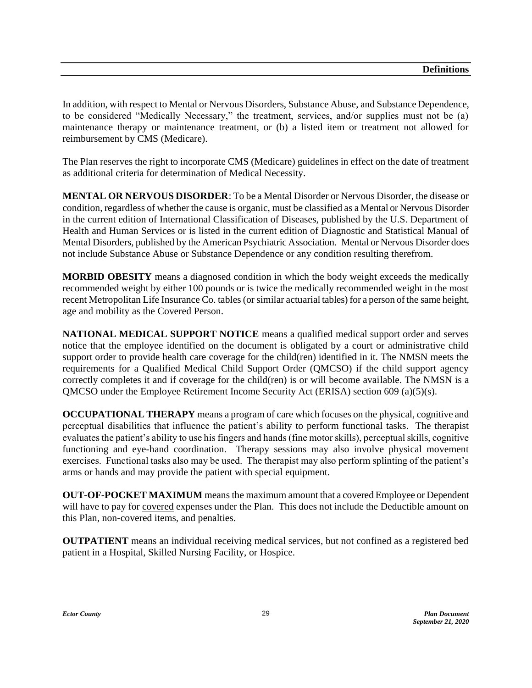In addition, with respect to Mental or Nervous Disorders, Substance Abuse, and Substance Dependence, to be considered "Medically Necessary," the treatment, services, and/or supplies must not be (a) maintenance therapy or maintenance treatment, or (b) a listed item or treatment not allowed for reimbursement by CMS (Medicare).

The Plan reserves the right to incorporate CMS (Medicare) guidelines in effect on the date of treatment as additional criteria for determination of Medical Necessity.

**MENTAL OR NERVOUS DISORDER**: To be a Mental Disorder or Nervous Disorder, the disease or condition, regardless of whether the cause is organic, must be classified as a Mental or Nervous Disorder in the current edition of International Classification of Diseases, published by the U.S. Department of Health and Human Services or is listed in the current edition of Diagnostic and Statistical Manual of Mental Disorders, published by the American Psychiatric Association. Mental or Nervous Disorder does not include Substance Abuse or Substance Dependence or any condition resulting therefrom.

**MORBID OBESITY** means a diagnosed condition in which the body weight exceeds the medically recommended weight by either 100 pounds or is twice the medically recommended weight in the most recent Metropolitan Life Insurance Co. tables (or similar actuarial tables) for a person of the same height, age and mobility as the Covered Person.

**NATIONAL MEDICAL SUPPORT NOTICE** means a qualified medical support order and serves notice that the employee identified on the document is obligated by a court or administrative child support order to provide health care coverage for the child(ren) identified in it. The NMSN meets the requirements for a Qualified Medical Child Support Order (QMCSO) if the child support agency correctly completes it and if coverage for the child(ren) is or will become available. The NMSN is a QMCSO under the Employee Retirement Income Security Act (ERISA) section 609 (a)(5)(s).

**OCCUPATIONAL THERAPY** means a program of care which focuses on the physical, cognitive and perceptual disabilities that influence the patient's ability to perform functional tasks. The therapist evaluates the patient's ability to use his fingers and hands (fine motor skills), perceptual skills, cognitive functioning and eye-hand coordination. Therapy sessions may also involve physical movement exercises. Functional tasks also may be used. The therapist may also perform splinting of the patient's arms or hands and may provide the patient with special equipment.

**OUT-OF-POCKET MAXIMUM** means the maximum amount that a covered Employee or Dependent will have to pay for covered expenses under the Plan. This does not include the Deductible amount on this Plan, non-covered items, and penalties.

**OUTPATIENT** means an individual receiving medical services, but not confined as a registered bed patient in a Hospital, Skilled Nursing Facility, or Hospice.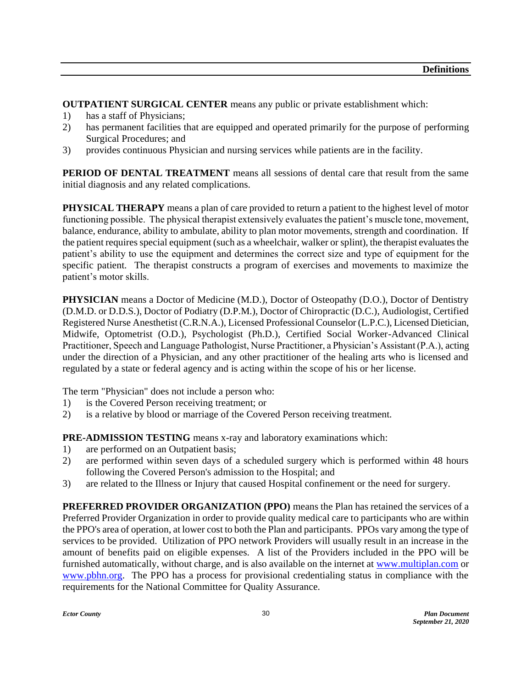**OUTPATIENT SURGICAL CENTER** means any public or private establishment which:

- 1) has a staff of Physicians;
- 2) has permanent facilities that are equipped and operated primarily for the purpose of performing Surgical Procedures; and
- 3) provides continuous Physician and nursing services while patients are in the facility.

**PERIOD OF DENTAL TREATMENT** means all sessions of dental care that result from the same initial diagnosis and any related complications.

**PHYSICAL THERAPY** means a plan of care provided to return a patient to the highest level of motor functioning possible. The physical therapist extensively evaluates the patient's muscle tone, movement, balance, endurance, ability to ambulate, ability to plan motor movements, strength and coordination. If the patient requires special equipment (such as a wheelchair, walker or splint), the therapist evaluates the patient's ability to use the equipment and determines the correct size and type of equipment for the specific patient. The therapist constructs a program of exercises and movements to maximize the patient's motor skills.

**PHYSICIAN** means a Doctor of Medicine (M.D.), Doctor of Osteopathy (D.O.), Doctor of Dentistry (D.M.D. or D.D.S.), Doctor of Podiatry (D.P.M.), Doctor of Chiropractic (D.C.), Audiologist, Certified Registered Nurse Anesthetist (C.R.N.A.), Licensed Professional Counselor (L.P.C.), Licensed Dietician, Midwife, Optometrist (O.D.), Psychologist (Ph.D.), Certified Social Worker-Advanced Clinical Practitioner, Speech and Language Pathologist, Nurse Practitioner, a Physician's Assistant (P.A.), acting under the direction of a Physician, and any other practitioner of the healing arts who is licensed and regulated by a state or federal agency and is acting within the scope of his or her license.

The term "Physician" does not include a person who:

- 1) is the Covered Person receiving treatment; or
- 2) is a relative by blood or marriage of the Covered Person receiving treatment.

**PRE-ADMISSION TESTING** means x-ray and laboratory examinations which:

- 1) are performed on an Outpatient basis;
- 2) are performed within seven days of a scheduled surgery which is performed within 48 hours following the Covered Person's admission to the Hospital; and
- 3) are related to the Illness or Injury that caused Hospital confinement or the need for surgery.

**PREFERRED PROVIDER ORGANIZATION (PPO)** means the Plan has retained the services of a Preferred Provider Organization in order to provide quality medical care to participants who are within the PPO's area of operation, at lower cost to both the Plan and participants. PPOs vary among the type of services to be provided. Utilization of PPO network Providers will usually result in an increase in the amount of benefits paid on eligible expenses. A list of the Providers included in the PPO will be furnished automatically, without charge, and is also available on the internet at [www.multiplan.com](http://www.multiplan.com/) or [www.pbhn.org.](http://www.pbhn.org/) The PPO has a process for provisional credentialing status in compliance with the requirements for the National Committee for Quality Assurance.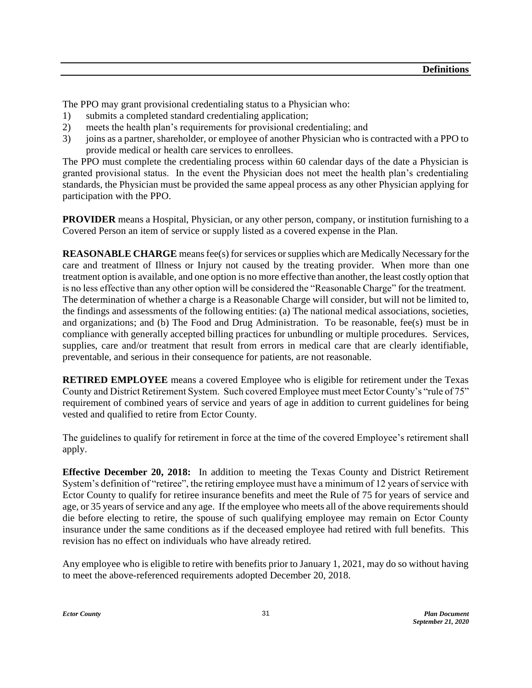The PPO may grant provisional credentialing status to a Physician who:

- 1) submits a completed standard credentialing application;
- 2) meets the health plan's requirements for provisional credentialing; and
- 3) joins as a partner, shareholder, or employee of another Physician who is contracted with a PPO to provide medical or health care services to enrollees.

The PPO must complete the credentialing process within 60 calendar days of the date a Physician is granted provisional status. In the event the Physician does not meet the health plan's credentialing standards, the Physician must be provided the same appeal process as any other Physician applying for participation with the PPO.

**PROVIDER** means a Hospital, Physician, or any other person, company, or institution furnishing to a Covered Person an item of service or supply listed as a covered expense in the Plan.

**REASONABLE CHARGE** means fee(s) for services or supplies which are Medically Necessary for the care and treatment of Illness or Injury not caused by the treating provider. When more than one treatment option is available, and one option is no more effective than another, the least costly option that is no less effective than any other option will be considered the "Reasonable Charge" for the treatment. The determination of whether a charge is a Reasonable Charge will consider, but will not be limited to, the findings and assessments of the following entities: (a) The national medical associations, societies, and organizations; and (b) The Food and Drug Administration. To be reasonable, fee(s) must be in compliance with generally accepted billing practices for unbundling or multiple procedures. Services, supplies, care and/or treatment that result from errors in medical care that are clearly identifiable, preventable, and serious in their consequence for patients, are not reasonable.

**RETIRED EMPLOYEE** means a covered Employee who is eligible for retirement under the Texas County and District Retirement System. Such covered Employee must meet Ector County's "rule of 75" requirement of combined years of service and years of age in addition to current guidelines for being vested and qualified to retire from Ector County.

The guidelines to qualify for retirement in force at the time of the covered Employee's retirement shall apply.

**Effective December 20, 2018:** In addition to meeting the Texas County and District Retirement System's definition of "retiree", the retiring employee must have a minimum of 12 years of service with Ector County to qualify for retiree insurance benefits and meet the Rule of 75 for years of service and age, or 35 years of service and any age. If the employee who meets all of the above requirements should die before electing to retire, the spouse of such qualifying employee may remain on Ector County insurance under the same conditions as if the deceased employee had retired with full benefits. This revision has no effect on individuals who have already retired.

Any employee who is eligible to retire with benefits prior to January 1, 2021, may do so without having to meet the above-referenced requirements adopted December 20, 2018.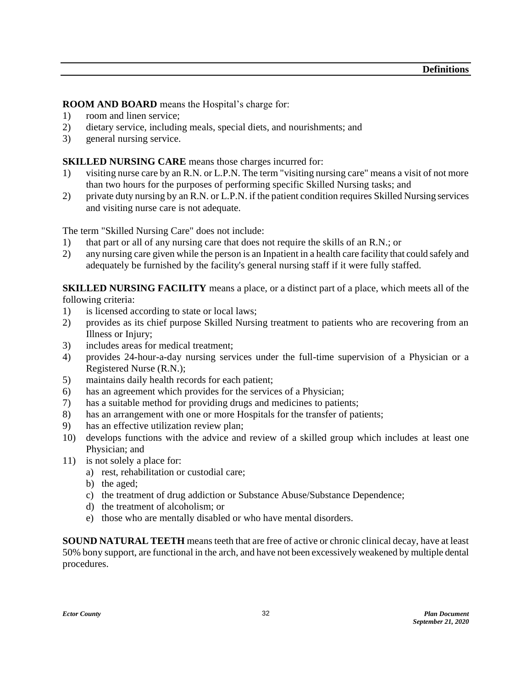**ROOM AND BOARD** means the Hospital's charge for:

- 1) room and linen service;
- 2) dietary service, including meals, special diets, and nourishments; and
- 3) general nursing service.

#### **SKILLED NURSING CARE** means those charges incurred for:

- 1) visiting nurse care by an R.N. or L.P.N. The term "visiting nursing care" means a visit of not more than two hours for the purposes of performing specific Skilled Nursing tasks; and
- 2) private duty nursing by an R.N. or L.P.N. if the patient condition requires Skilled Nursing services and visiting nurse care is not adequate.

The term "Skilled Nursing Care" does not include:

- 1) that part or all of any nursing care that does not require the skills of an R.N.; or
- 2) any nursing care given while the person is an Inpatient in a health care facility that could safely and adequately be furnished by the facility's general nursing staff if it were fully staffed.

**SKILLED NURSING FACILITY** means a place, or a distinct part of a place, which meets all of the following criteria:

- 1) is licensed according to state or local laws;
- 2) provides as its chief purpose Skilled Nursing treatment to patients who are recovering from an Illness or Injury;
- 3) includes areas for medical treatment;
- 4) provides 24-hour-a-day nursing services under the full-time supervision of a Physician or a Registered Nurse (R.N.);
- 5) maintains daily health records for each patient;
- 6) has an agreement which provides for the services of a Physician;
- 7) has a suitable method for providing drugs and medicines to patients;
- 8) has an arrangement with one or more Hospitals for the transfer of patients;
- 9) has an effective utilization review plan;
- 10) develops functions with the advice and review of a skilled group which includes at least one Physician; and
- 11) is not solely a place for:
	- a) rest, rehabilitation or custodial care;
	- b) the aged;
	- c) the treatment of drug addiction or Substance Abuse/Substance Dependence;
	- d) the treatment of alcoholism; or
	- e) those who are mentally disabled or who have mental disorders.

**SOUND NATURAL TEETH** means teeth that are free of active or chronic clinical decay, have at least 50% bony support, are functional in the arch, and have not been excessively weakened by multiple dental procedures.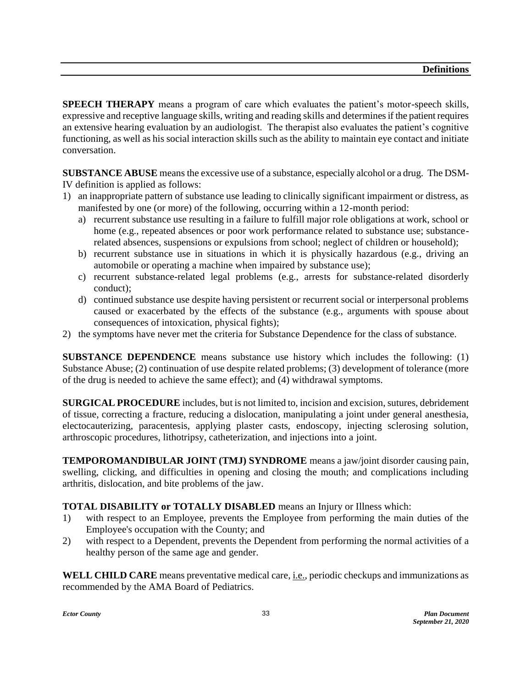**SPEECH THERAPY** means a program of care which evaluates the patient's motor-speech skills, expressive and receptive language skills, writing and reading skills and determines if the patient requires an extensive hearing evaluation by an audiologist. The therapist also evaluates the patient's cognitive functioning, as well as his social interaction skills such as the ability to maintain eye contact and initiate conversation.

**SUBSTANCE ABUSE** means the excessive use of a substance, especially alcohol or a drug. The DSM-IV definition is applied as follows:

- 1) an inappropriate pattern of substance use leading to clinically significant impairment or distress, as manifested by one (or more) of the following, occurring within a 12-month period:
	- a) recurrent substance use resulting in a failure to fulfill major role obligations at work, school or home (e.g., repeated absences or poor work performance related to substance use; substancerelated absences, suspensions or expulsions from school; neglect of children or household);
	- b) recurrent substance use in situations in which it is physically hazardous (e.g., driving an automobile or operating a machine when impaired by substance use);
	- c) recurrent substance-related legal problems (e.g., arrests for substance-related disorderly conduct);
	- d) continued substance use despite having persistent or recurrent social or interpersonal problems caused or exacerbated by the effects of the substance (e.g., arguments with spouse about consequences of intoxication, physical fights);
- 2) the symptoms have never met the criteria for Substance Dependence for the class of substance.

**SUBSTANCE DEPENDENCE** means substance use history which includes the following: (1) Substance Abuse; (2) continuation of use despite related problems; (3) development of tolerance (more of the drug is needed to achieve the same effect); and (4) withdrawal symptoms.

**SURGICAL PROCEDURE** includes, but is not limited to, incision and excision, sutures, debridement of tissue, correcting a fracture, reducing a dislocation, manipulating a joint under general anesthesia, electocauterizing, paracentesis, applying plaster casts, endoscopy, injecting sclerosing solution, arthroscopic procedures, lithotripsy, catheterization, and injections into a joint.

**TEMPOROMANDIBULAR JOINT (TMJ) SYNDROME** means a jaw/joint disorder causing pain, swelling, clicking, and difficulties in opening and closing the mouth; and complications including arthritis, dislocation, and bite problems of the jaw.

#### **TOTAL DISABILITY or TOTALLY DISABLED** means an Injury or Illness which:

- 1) with respect to an Employee, prevents the Employee from performing the main duties of the Employee's occupation with the County; and
- 2) with respect to a Dependent, prevents the Dependent from performing the normal activities of a healthy person of the same age and gender.

**WELL CHILD CARE** means preventative medical care, *i.e.*, periodic checkups and immunizations as recommended by the AMA Board of Pediatrics.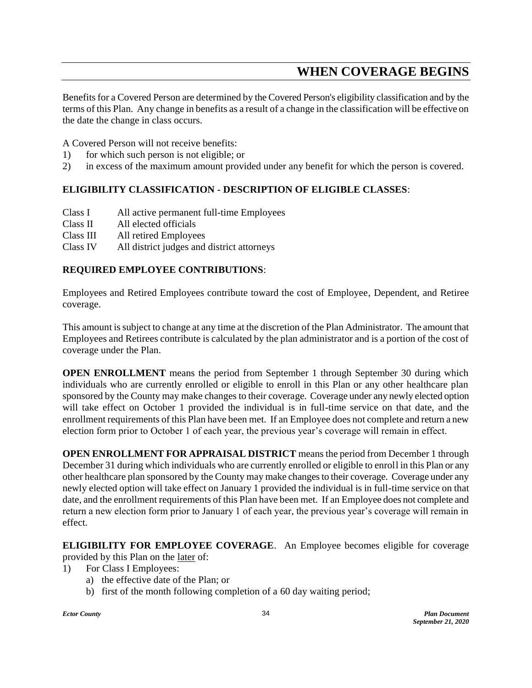## **WHEN COVERAGE BEGINS**

Benefits for a Covered Person are determined by the Covered Person's eligibility classification and by the terms of this Plan. Any change in benefits as a result of a change in the classification will be effective on the date the change in class occurs.

A Covered Person will not receive benefits:

- 1) for which such person is not eligible; or
- 2) in excess of the maximum amount provided under any benefit for which the person is covered.

### **ELIGIBILITY CLASSIFICATION - DESCRIPTION OF ELIGIBLE CLASSES**:

- Class I All active permanent full-time Employees
- Class II All elected officials
- Class III All retired Employees
- Class IV All district judges and district attorneys

### **REQUIRED EMPLOYEE CONTRIBUTIONS**:

Employees and Retired Employees contribute toward the cost of Employee, Dependent, and Retiree coverage.

This amount is subject to change at any time at the discretion of the Plan Administrator. The amount that Employees and Retirees contribute is calculated by the plan administrator and is a portion of the cost of coverage under the Plan.

**OPEN ENROLLMENT** means the period from September 1 through September 30 during which individuals who are currently enrolled or eligible to enroll in this Plan or any other healthcare plan sponsored by the County may make changes to their coverage. Coverage under any newly elected option will take effect on October 1 provided the individual is in full-time service on that date, and the enrollment requirements of this Plan have been met. If an Employee does not complete and return a new election form prior to October 1 of each year, the previous year's coverage will remain in effect.

**OPEN ENROLLMENT FOR APPRAISAL DISTRICT** means the period from December 1 through December 31 during which individuals who are currently enrolled or eligible to enroll in this Plan or any other healthcare plan sponsored by the County may make changes to their coverage. Coverage under any newly elected option will take effect on January 1 provided the individual is in full-time service on that date, and the enrollment requirements of this Plan have been met. If an Employee does not complete and return a new election form prior to January 1 of each year, the previous year's coverage will remain in effect.

**ELIGIBILITY FOR EMPLOYEE COVERAGE**. An Employee becomes eligible for coverage provided by this Plan on the later of:

1) For Class I Employees:

- a) the effective date of the Plan; or
- b) first of the month following completion of a 60 day waiting period;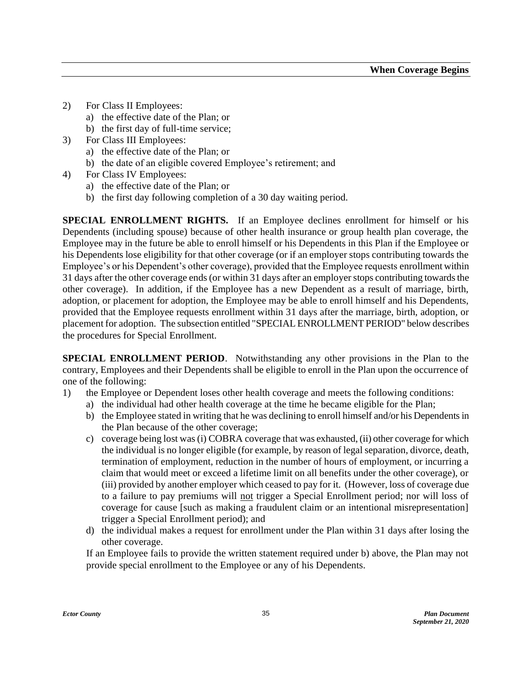- 2) For Class II Employees:
	- a) the effective date of the Plan; or
	- b) the first day of full-time service;
- 3) For Class III Employees:
	- a) the effective date of the Plan; or
	- b) the date of an eligible covered Employee's retirement; and
- 4) For Class IV Employees:
	- a) the effective date of the Plan; or
	- b) the first day following completion of a 30 day waiting period.

**SPECIAL ENROLLMENT RIGHTS.** If an Employee declines enrollment for himself or his Dependents (including spouse) because of other health insurance or group health plan coverage, the Employee may in the future be able to enroll himself or his Dependents in this Plan if the Employee or his Dependents lose eligibility for that other coverage (or if an employer stops contributing towards the Employee's or his Dependent's other coverage), provided that the Employee requests enrollment within 31 days after the other coverage ends (or within 31 days after an employer stops contributing towards the other coverage). In addition, if the Employee has a new Dependent as a result of marriage, birth, adoption, or placement for adoption, the Employee may be able to enroll himself and his Dependents, provided that the Employee requests enrollment within 31 days after the marriage, birth, adoption, or placement for adoption. The subsection entitled "SPECIAL ENROLLMENT PERIOD" below describes the procedures for Special Enrollment.

**SPECIAL ENROLLMENT PERIOD**. Notwithstanding any other provisions in the Plan to the contrary, Employees and their Dependents shall be eligible to enroll in the Plan upon the occurrence of one of the following:

- 1) the Employee or Dependent loses other health coverage and meets the following conditions:
	- a) the individual had other health coverage at the time he became eligible for the Plan;
	- b) the Employee stated in writing that he was declining to enroll himself and/or his Dependents in the Plan because of the other coverage;
	- c) coverage being lost was (i) COBRA coverage that was exhausted, (ii) other coverage for which the individual is no longer eligible (for example, by reason of legal separation, divorce, death, termination of employment, reduction in the number of hours of employment, or incurring a claim that would meet or exceed a lifetime limit on all benefits under the other coverage), or (iii) provided by another employer which ceased to pay for it. (However, loss of coverage due to a failure to pay premiums will not trigger a Special Enrollment period; nor will loss of coverage for cause [such as making a fraudulent claim or an intentional misrepresentation] trigger a Special Enrollment period); and
	- d) the individual makes a request for enrollment under the Plan within 31 days after losing the other coverage.

If an Employee fails to provide the written statement required under b) above, the Plan may not provide special enrollment to the Employee or any of his Dependents.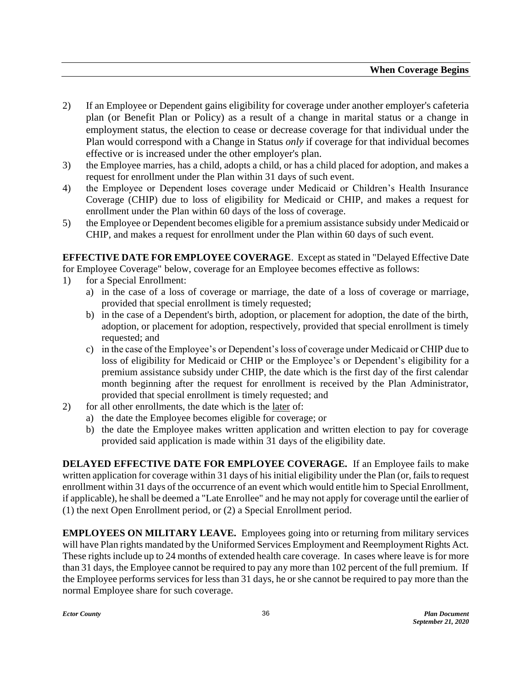- 2) If an Employee or Dependent gains eligibility for coverage under another employer's cafeteria plan (or Benefit Plan or Policy) as a result of a change in marital status or a change in employment status, the election to cease or decrease coverage for that individual under the Plan would correspond with a Change in Status *only* if coverage for that individual becomes effective or is increased under the other employer's plan.
- 3) the Employee marries, has a child, adopts a child, or has a child placed for adoption, and makes a request for enrollment under the Plan within 31 days of such event.
- 4) the Employee or Dependent loses coverage under Medicaid or Children's Health Insurance Coverage (CHIP) due to loss of eligibility for Medicaid or CHIP, and makes a request for enrollment under the Plan within 60 days of the loss of coverage.
- 5) the Employee or Dependent becomes eligible for a premium assistance subsidy under Medicaid or CHIP, and makes a request for enrollment under the Plan within 60 days of such event.

**EFFECTIVE DATE FOR EMPLOYEE COVERAGE**. Except as stated in "Delayed Effective Date for Employee Coverage" below, coverage for an Employee becomes effective as follows:

- 1) for a Special Enrollment:
	- a) in the case of a loss of coverage or marriage, the date of a loss of coverage or marriage, provided that special enrollment is timely requested;
	- b) in the case of a Dependent's birth, adoption, or placement for adoption, the date of the birth, adoption, or placement for adoption, respectively, provided that special enrollment is timely requested; and
	- c) in the case of the Employee's or Dependent's loss of coverage under Medicaid or CHIP due to loss of eligibility for Medicaid or CHIP or the Employee's or Dependent's eligibility for a premium assistance subsidy under CHIP, the date which is the first day of the first calendar month beginning after the request for enrollment is received by the Plan Administrator, provided that special enrollment is timely requested; and
- 2) for all other enrollments, the date which is the later of:
	- a) the date the Employee becomes eligible for coverage; or
	- b) the date the Employee makes written application and written election to pay for coverage provided said application is made within 31 days of the eligibility date.

**DELAYED EFFECTIVE DATE FOR EMPLOYEE COVERAGE.** If an Employee fails to make written application for coverage within 31 days of his initial eligibility under the Plan (or, fails to request enrollment within 31 days of the occurrence of an event which would entitle him to Special Enrollment, if applicable), he shall be deemed a "Late Enrollee" and he may not apply for coverage until the earlier of (1) the next Open Enrollment period, or (2) a Special Enrollment period.

**EMPLOYEES ON MILITARY LEAVE.** Employees going into or returning from military services will have Plan rights mandated by the Uniformed Services Employment and Reemployment Rights Act. These rights include up to 24 months of extended health care coverage. In cases where leave is for more than 31 days, the Employee cannot be required to pay any more than 102 percent of the full premium. If the Employee performs services for less than 31 days, he or she cannot be required to pay more than the normal Employee share for such coverage.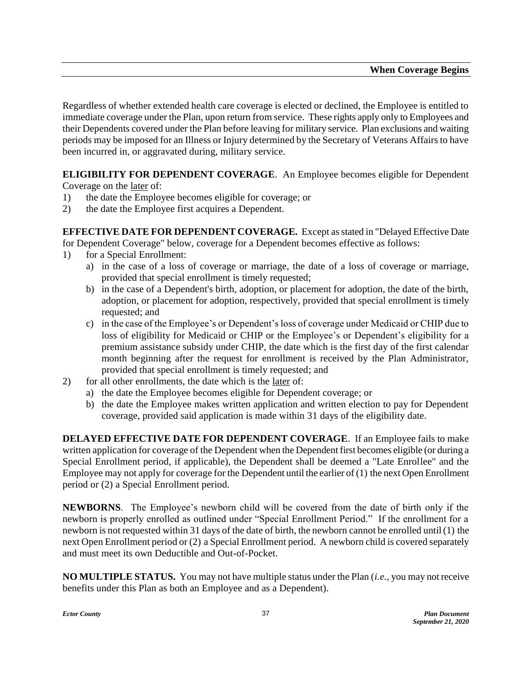Regardless of whether extended health care coverage is elected or declined, the Employee is entitled to immediate coverage under the Plan, upon return from service. These rights apply only to Employees and their Dependents covered under the Plan before leaving for military service. Plan exclusions and waiting periods may be imposed for an Illness or Injury determined by the Secretary of Veterans Affairs to have been incurred in, or aggravated during, military service.

**ELIGIBILITY FOR DEPENDENT COVERAGE**. An Employee becomes eligible for Dependent Coverage on the later of:

- 1) the date the Employee becomes eligible for coverage; or
- 2) the date the Employee first acquires a Dependent.

**EFFECTIVE DATE FOR DEPENDENT COVERAGE.** Except as stated in "Delayed Effective Date for Dependent Coverage" below, coverage for a Dependent becomes effective as follows:

- 1) for a Special Enrollment:
	- a) in the case of a loss of coverage or marriage, the date of a loss of coverage or marriage, provided that special enrollment is timely requested;
	- b) in the case of a Dependent's birth, adoption, or placement for adoption, the date of the birth, adoption, or placement for adoption, respectively, provided that special enrollment is timely requested; and
	- c) in the case of the Employee's or Dependent's loss of coverage under Medicaid or CHIP due to loss of eligibility for Medicaid or CHIP or the Employee's or Dependent's eligibility for a premium assistance subsidy under CHIP, the date which is the first day of the first calendar month beginning after the request for enrollment is received by the Plan Administrator, provided that special enrollment is timely requested; and
- 2) for all other enrollments, the date which is the later of:
	- a) the date the Employee becomes eligible for Dependent coverage; or
	- b) the date the Employee makes written application and written election to pay for Dependent coverage, provided said application is made within 31 days of the eligibility date.

**DELAYED EFFECTIVE DATE FOR DEPENDENT COVERAGE**. If an Employee fails to make written application for coverage of the Dependent when the Dependent first becomes eligible (or during a Special Enrollment period, if applicable), the Dependent shall be deemed a "Late Enrollee" and the Employee may not apply for coverage for the Dependent until the earlier of (1) the next Open Enrollment period or (2) a Special Enrollment period.

**NEWBORNS**. The Employee's newborn child will be covered from the date of birth only if the newborn is properly enrolled as outlined under "Special Enrollment Period." If the enrollment for a newborn is not requested within 31 days of the date of birth, the newborn cannot be enrolled until (1) the next Open Enrollment period or (2) a Special Enrollment period. A newborn child is covered separately and must meet its own Deductible and Out-of-Pocket.

**NO MULTIPLE STATUS.** You may not have multiple status under the Plan (*i.e.,* you may not receive benefits under this Plan as both an Employee and as a Dependent).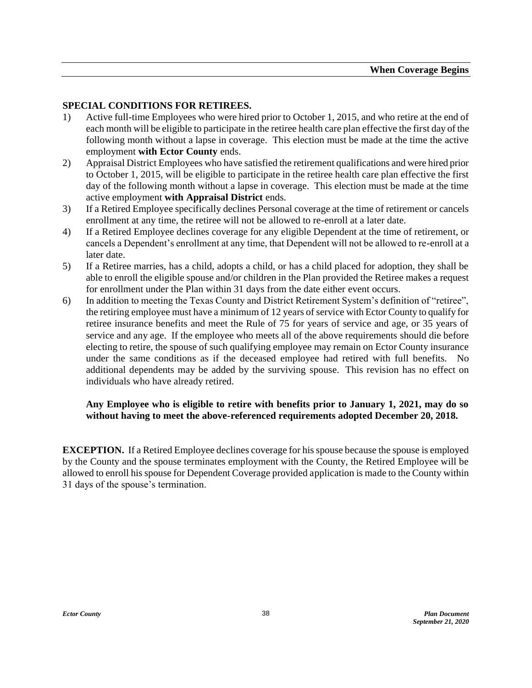### **SPECIAL CONDITIONS FOR RETIREES.**

- 1) Active full-time Employees who were hired prior to October 1, 2015, and who retire at the end of each month will be eligible to participate in the retiree health care plan effective the first day of the following month without a lapse in coverage. This election must be made at the time the active employment **with Ector County** ends.
- 2) Appraisal District Employees who have satisfied the retirement qualifications and were hired prior to October 1, 2015, will be eligible to participate in the retiree health care plan effective the first day of the following month without a lapse in coverage. This election must be made at the time active employment **with Appraisal District** ends.
- 3) If a Retired Employee specifically declines Personal coverage at the time of retirement or cancels enrollment at any time, the retiree will not be allowed to re-enroll at a later date.
- 4) If a Retired Employee declines coverage for any eligible Dependent at the time of retirement, or cancels a Dependent's enrollment at any time, that Dependent will not be allowed to re-enroll at a later date.
- 5) If a Retiree marries, has a child, adopts a child, or has a child placed for adoption, they shall be able to enroll the eligible spouse and/or children in the Plan provided the Retiree makes a request for enrollment under the Plan within 31 days from the date either event occurs.
- 6) In addition to meeting the Texas County and District Retirement System's definition of "retiree", the retiring employee must have a minimum of 12 years of service with Ector County to qualify for retiree insurance benefits and meet the Rule of 75 for years of service and age, or 35 years of service and any age. If the employee who meets all of the above requirements should die before electing to retire, the spouse of such qualifying employee may remain on Ector County insurance under the same conditions as if the deceased employee had retired with full benefits. No additional dependents may be added by the surviving spouse. This revision has no effect on individuals who have already retired.

### **Any Employee who is eligible to retire with benefits prior to January 1, 2021, may do so without having to meet the above-referenced requirements adopted December 20, 2018.**

**EXCEPTION.** If a Retired Employee declines coverage for his spouse because the spouse is employed by the County and the spouse terminates employment with the County, the Retired Employee will be allowed to enroll his spouse for Dependent Coverage provided application is made to the County within 31 days of the spouse's termination.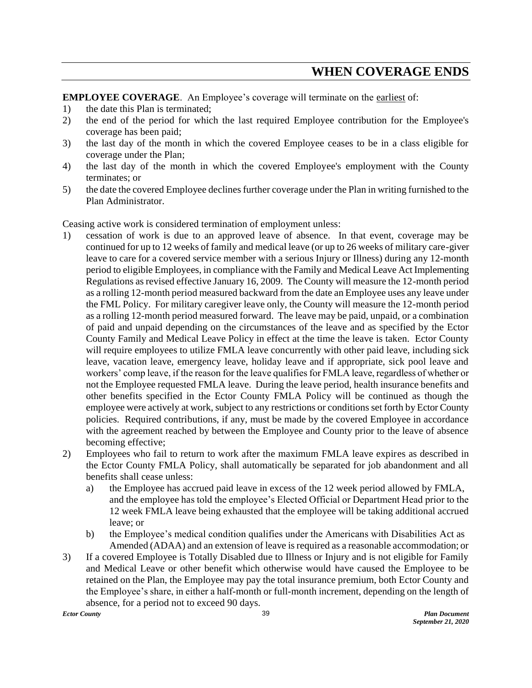### **WHEN COVERAGE ENDS**

**EMPLOYEE COVERAGE**. An Employee's coverage will terminate on the earliest of:

- 1) the date this Plan is terminated;
- 2) the end of the period for which the last required Employee contribution for the Employee's coverage has been paid;
- 3) the last day of the month in which the covered Employee ceases to be in a class eligible for coverage under the Plan;
- 4) the last day of the month in which the covered Employee's employment with the County terminates; or
- 5) the date the covered Employee declines further coverage under the Plan in writing furnished to the Plan Administrator.

Ceasing active work is considered termination of employment unless:

- 1) cessation of work is due to an approved leave of absence. In that event, coverage may be continued for up to 12 weeks of family and medical leave (or up to 26 weeks of military care-giver leave to care for a covered service member with a serious Injury or Illness) during any 12-month period to eligible Employees, in compliance with the Family and Medical Leave Act Implementing Regulations as revised effective January 16, 2009. The County will measure the 12-month period as a rolling 12-month period measured backward from the date an Employee uses any leave under the FML Policy. For military caregiver leave only, the County will measure the 12-month period as a rolling 12-month period measured forward. The leave may be paid, unpaid, or a combination of paid and unpaid depending on the circumstances of the leave and as specified by the Ector County Family and Medical Leave Policy in effect at the time the leave is taken. Ector County will require employees to utilize FMLA leave concurrently with other paid leave, including sick leave, vacation leave, emergency leave, holiday leave and if appropriate, sick pool leave and workers' comp leave, if the reason for the leave qualifies for FMLA leave, regardless of whether or not the Employee requested FMLA leave. During the leave period, health insurance benefits and other benefits specified in the Ector County FMLA Policy will be continued as though the employee were actively at work, subject to any restrictions or conditions set forth by Ector County policies. Required contributions, if any, must be made by the covered Employee in accordance with the agreement reached by between the Employee and County prior to the leave of absence becoming effective;
- 2) Employees who fail to return to work after the maximum FMLA leave expires as described in the Ector County FMLA Policy, shall automatically be separated for job abandonment and all benefits shall cease unless:
	- a) the Employee has accrued paid leave in excess of the 12 week period allowed by FMLA, and the employee has told the employee's Elected Official or Department Head prior to the 12 week FMLA leave being exhausted that the employee will be taking additional accrued leave; or
	- b) the Employee's medical condition qualifies under the Americans with Disabilities Act as Amended (ADAA) and an extension of leave is required as a reasonable accommodation; or
- 3) If a covered Employee is Totally Disabled due to Illness or Injury and is not eligible for Family and Medical Leave or other benefit which otherwise would have caused the Employee to be retained on the Plan, the Employee may pay the total insurance premium, both Ector County and the Employee's share, in either a half-month or full-month increment, depending on the length of absence, for a period not to exceed 90 days.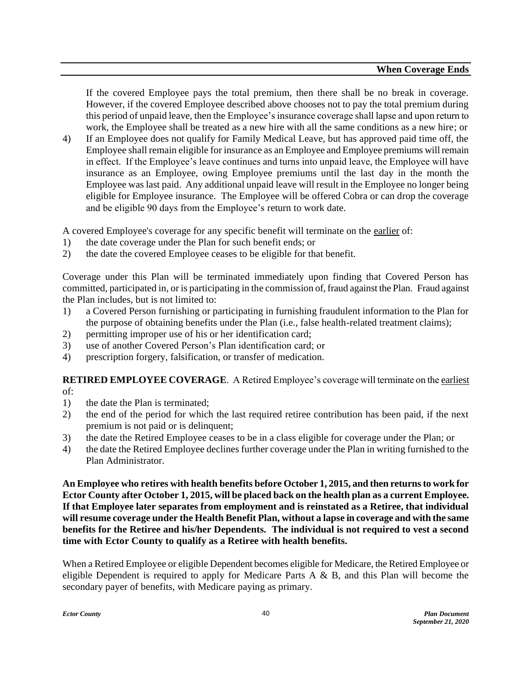If the covered Employee pays the total premium, then there shall be no break in coverage. However, if the covered Employee described above chooses not to pay the total premium during this period of unpaid leave, then the Employee's insurance coverage shall lapse and upon return to work, the Employee shall be treated as a new hire with all the same conditions as a new hire; or

4) If an Employee does not qualify for Family Medical Leave, but has approved paid time off, the Employee shall remain eligible for insurance as an Employee and Employee premiums will remain in effect. If the Employee's leave continues and turns into unpaid leave, the Employee will have insurance as an Employee, owing Employee premiums until the last day in the month the Employee was last paid. Any additional unpaid leave will result in the Employee no longer being eligible for Employee insurance. The Employee will be offered Cobra or can drop the coverage and be eligible 90 days from the Employee's return to work date.

A covered Employee's coverage for any specific benefit will terminate on the earlier of:

- 1) the date coverage under the Plan for such benefit ends; or
- 2) the date the covered Employee ceases to be eligible for that benefit.

Coverage under this Plan will be terminated immediately upon finding that Covered Person has committed, participated in, or is participating in the commission of, fraud against the Plan. Fraud against the Plan includes, but is not limited to:

- 1) a Covered Person furnishing or participating in furnishing fraudulent information to the Plan for the purpose of obtaining benefits under the Plan (i.e., false health-related treatment claims);
- 2) permitting improper use of his or her identification card;
- 3) use of another Covered Person's Plan identification card; or
- 4) prescription forgery, falsification, or transfer of medication.

**RETIRED EMPLOYEE COVERAGE**. A Retired Employee's coverage will terminate on the earliest of:

- 1) the date the Plan is terminated;
- 2) the end of the period for which the last required retiree contribution has been paid, if the next premium is not paid or is delinquent;
- 3) the date the Retired Employee ceases to be in a class eligible for coverage under the Plan; or
- 4) the date the Retired Employee declines further coverage under the Plan in writing furnished to the Plan Administrator.

**An Employee who retires with health benefits before October 1, 2015, and then returns to work for Ector County after October 1, 2015, will be placed back on the health plan as a current Employee. If that Employee later separates from employment and is reinstated as a Retiree, that individual will resume coverage under the Health Benefit Plan, without a lapse in coverage and with the same benefits for the Retiree and his/her Dependents. The individual is not required to vest a second time with Ector County to qualify as a Retiree with health benefits.**

When a Retired Employee or eligible Dependent becomes eligible for Medicare, the Retired Employee or eligible Dependent is required to apply for Medicare Parts  $A \& B$ , and this Plan will become the secondary payer of benefits, with Medicare paying as primary.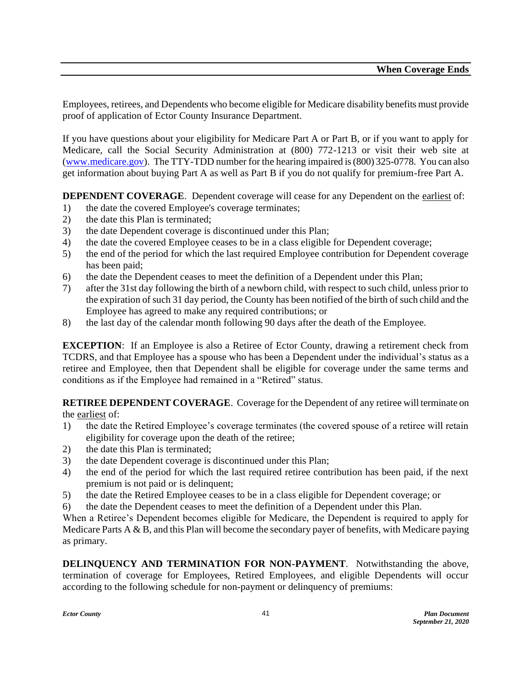Employees, retirees, and Dependents who become eligible for Medicare disability benefits must provide proof of application of Ector County Insurance Department.

If you have questions about your eligibility for Medicare Part A or Part B, or if you want to apply for Medicare, call the Social Security Administration at (800) 772-1213 or visit their web site at [\(www.medicare.gov\)](http://www.medicare.gov/). The TTY-TDD number for the hearing impaired is (800) 325-0778. You can also get information about buying Part A as well as Part B if you do not qualify for premium-free Part A.

**DEPENDENT COVERAGE.** Dependent coverage will cease for any Dependent on the earliest of:

- 1) the date the covered Employee's coverage terminates;
- 2) the date this Plan is terminated;
- 3) the date Dependent coverage is discontinued under this Plan;
- 4) the date the covered Employee ceases to be in a class eligible for Dependent coverage;
- 5) the end of the period for which the last required Employee contribution for Dependent coverage has been paid;
- 6) the date the Dependent ceases to meet the definition of a Dependent under this Plan;
- 7) after the 31st day following the birth of a newborn child, with respect to such child, unless prior to the expiration of such 31 day period, the County has been notified of the birth of such child and the Employee has agreed to make any required contributions; or
- 8) the last day of the calendar month following 90 days after the death of the Employee.

**EXCEPTION:** If an Employee is also a Retiree of Ector County, drawing a retirement check from TCDRS, and that Employee has a spouse who has been a Dependent under the individual's status as a retiree and Employee, then that Dependent shall be eligible for coverage under the same terms and conditions as if the Employee had remained in a "Retired" status.

**RETIREE DEPENDENT COVERAGE**. Coverage for the Dependent of any retiree will terminate on the earliest of:

- 1) the date the Retired Employee's coverage terminates (the covered spouse of a retiree will retain eligibility for coverage upon the death of the retiree;
- 2) the date this Plan is terminated;
- 3) the date Dependent coverage is discontinued under this Plan;
- 4) the end of the period for which the last required retiree contribution has been paid, if the next premium is not paid or is delinquent;
- 5) the date the Retired Employee ceases to be in a class eligible for Dependent coverage; or
- 6) the date the Dependent ceases to meet the definition of a Dependent under this Plan.

When a Retiree's Dependent becomes eligible for Medicare, the Dependent is required to apply for Medicare Parts  $A \& B$ , and this Plan will become the secondary payer of benefits, with Medicare paying as primary.

**DELINQUENCY AND TERMINATION FOR NON-PAYMENT**. Notwithstanding the above, termination of coverage for Employees, Retired Employees, and eligible Dependents will occur according to the following schedule for non-payment or delinquency of premiums: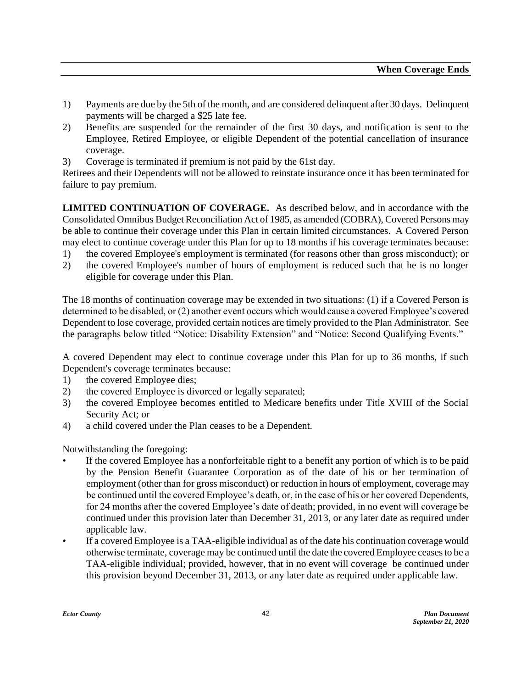- 1) Payments are due by the 5th of the month, and are considered delinquent after 30 days. Delinquent payments will be charged a \$25 late fee.
- 2) Benefits are suspended for the remainder of the first 30 days, and notification is sent to the Employee, Retired Employee, or eligible Dependent of the potential cancellation of insurance coverage.
- 3) Coverage is terminated if premium is not paid by the 61st day.

Retirees and their Dependents will not be allowed to reinstate insurance once it has been terminated for failure to pay premium.

**LIMITED CONTINUATION OF COVERAGE.** As described below, and in accordance with the Consolidated Omnibus Budget Reconciliation Act of 1985, as amended (COBRA), Covered Persons may be able to continue their coverage under this Plan in certain limited circumstances. A Covered Person may elect to continue coverage under this Plan for up to 18 months if his coverage terminates because:

- 1) the covered Employee's employment is terminated (for reasons other than gross misconduct); or
- 2) the covered Employee's number of hours of employment is reduced such that he is no longer eligible for coverage under this Plan.

The 18 months of continuation coverage may be extended in two situations: (1) if a Covered Person is determined to be disabled, or (2) another event occurs which would cause a covered Employee's covered Dependent to lose coverage, provided certain notices are timely provided to the Plan Administrator. See the paragraphs below titled "Notice: Disability Extension" and "Notice: Second Qualifying Events."

A covered Dependent may elect to continue coverage under this Plan for up to 36 months, if such Dependent's coverage terminates because:

- 1) the covered Employee dies;
- 2) the covered Employee is divorced or legally separated;
- 3) the covered Employee becomes entitled to Medicare benefits under Title XVIII of the Social Security Act; or
- 4) a child covered under the Plan ceases to be a Dependent.

Notwithstanding the foregoing:

- If the covered Employee has a nonforfeitable right to a benefit any portion of which is to be paid by the Pension Benefit Guarantee Corporation as of the date of his or her termination of employment (other than for gross misconduct) or reduction in hours of employment, coverage may be continued until the covered Employee's death, or, in the case of his or her covered Dependents, for 24 months after the covered Employee's date of death; provided, in no event will coverage be continued under this provision later than December 31, 2013, or any later date as required under applicable law.
- If a covered Employee is a TAA-eligible individual as of the date his continuation coverage would otherwise terminate, coverage may be continued until the date the covered Employee ceases to be a TAA-eligible individual; provided, however, that in no event will coverage be continued under this provision beyond December 31, 2013, or any later date as required under applicable law.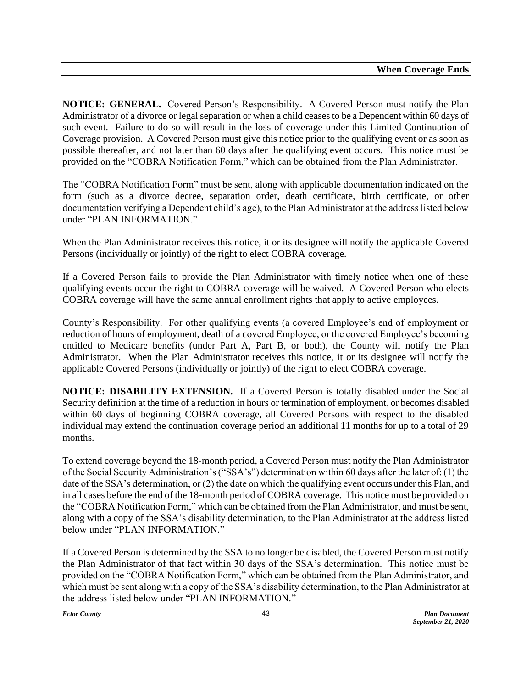**NOTICE: GENERAL.** Covered Person's Responsibility. A Covered Person must notify the Plan Administrator of a divorce or legal separation or when a child ceases to be a Dependent within 60 days of such event. Failure to do so will result in the loss of coverage under this Limited Continuation of Coverage provision. A Covered Person must give this notice prior to the qualifying event or as soon as possible thereafter, and not later than 60 days after the qualifying event occurs. This notice must be provided on the "COBRA Notification Form," which can be obtained from the Plan Administrator.

The "COBRA Notification Form" must be sent, along with applicable documentation indicated on the form (such as a divorce decree, separation order, death certificate, birth certificate, or other documentation verifying a Dependent child's age), to the Plan Administrator at the address listed below under "PLAN INFORMATION"

When the Plan Administrator receives this notice, it or its designee will notify the applicable Covered Persons (individually or jointly) of the right to elect COBRA coverage.

If a Covered Person fails to provide the Plan Administrator with timely notice when one of these qualifying events occur the right to COBRA coverage will be waived. A Covered Person who elects COBRA coverage will have the same annual enrollment rights that apply to active employees.

County's Responsibility. For other qualifying events (a covered Employee's end of employment or reduction of hours of employment, death of a covered Employee, or the covered Employee's becoming entitled to Medicare benefits (under Part A, Part B, or both), the County will notify the Plan Administrator. When the Plan Administrator receives this notice, it or its designee will notify the applicable Covered Persons (individually or jointly) of the right to elect COBRA coverage.

**NOTICE: DISABILITY EXTENSION.** If a Covered Person is totally disabled under the Social Security definition at the time of a reduction in hours or termination of employment, or becomes disabled within 60 days of beginning COBRA coverage, all Covered Persons with respect to the disabled individual may extend the continuation coverage period an additional 11 months for up to a total of 29 months.

To extend coverage beyond the 18-month period, a Covered Person must notify the Plan Administrator of the Social Security Administration's ("SSA's") determination within 60 days after the later of: (1) the date of the SSA's determination, or (2) the date on which the qualifying event occurs under this Plan, and in all cases before the end of the 18-month period of COBRA coverage. This notice must be provided on the "COBRA Notification Form," which can be obtained from the Plan Administrator, and must be sent, along with a copy of the SSA's disability determination, to the Plan Administrator at the address listed below under "PLAN INFORMATION."

If a Covered Person is determined by the SSA to no longer be disabled, the Covered Person must notify the Plan Administrator of that fact within 30 days of the SSA's determination. This notice must be provided on the "COBRA Notification Form," which can be obtained from the Plan Administrator, and which must be sent along with a copy of the SSA's disability determination, to the Plan Administrator at the address listed below under "PLAN INFORMATION."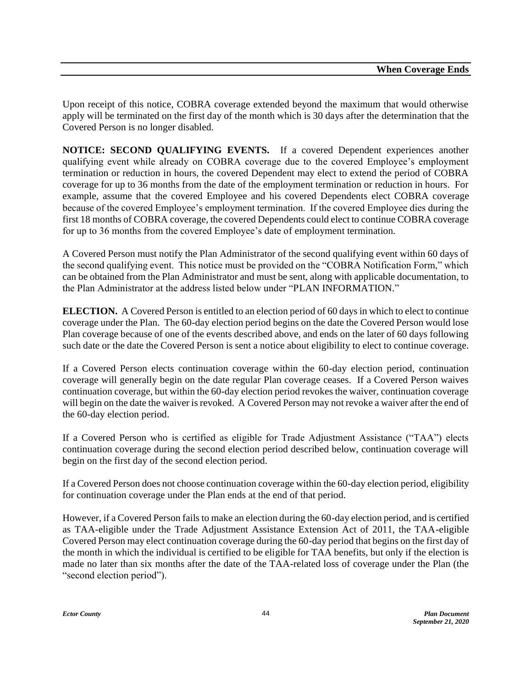Upon receipt of this notice, COBRA coverage extended beyond the maximum that would otherwise apply will be terminated on the first day of the month which is 30 days after the determination that the Covered Person is no longer disabled.

**NOTICE: SECOND QUALIFYING EVENTS.** If a covered Dependent experiences another qualifying event while already on COBRA coverage due to the covered Employee's employment termination or reduction in hours, the covered Dependent may elect to extend the period of COBRA coverage for up to 36 months from the date of the employment termination or reduction in hours. For example, assume that the covered Employee and his covered Dependents elect COBRA coverage because of the covered Employee's employment termination. If the covered Employee dies during the first 18 months of COBRA coverage, the covered Dependents could elect to continue COBRA coverage for up to 36 months from the covered Employee's date of employment termination.

A Covered Person must notify the Plan Administrator of the second qualifying event within 60 days of the second qualifying event. This notice must be provided on the "COBRA Notification Form," which can be obtained from the Plan Administrator and must be sent, along with applicable documentation, to the Plan Administrator at the address listed below under "PLAN INFORMATION."

**ELECTION.** A Covered Person is entitled to an election period of 60 days in which to elect to continue coverage under the Plan. The 60-day election period begins on the date the Covered Person would lose Plan coverage because of one of the events described above, and ends on the later of 60 days following such date or the date the Covered Person is sent a notice about eligibility to elect to continue coverage.

If a Covered Person elects continuation coverage within the 60-day election period, continuation coverage will generally begin on the date regular Plan coverage ceases. If a Covered Person waives continuation coverage, but within the 60-day election period revokes the waiver, continuation coverage will begin on the date the waiver is revoked. A Covered Person may not revoke a waiver after the end of the 60-day election period.

If a Covered Person who is certified as eligible for Trade Adjustment Assistance ("TAA") elects continuation coverage during the second election period described below, continuation coverage will begin on the first day of the second election period.

If a Covered Person does not choose continuation coverage within the 60-day election period, eligibility for continuation coverage under the Plan ends at the end of that period.

However, if a Covered Person fails to make an election during the 60-day election period, and is certified as TAA-eligible under the Trade Adjustment Assistance Extension Act of 2011, the TAA-eligible Covered Person may elect continuation coverage during the 60-day period that begins on the first day of the month in which the individual is certified to be eligible for TAA benefits, but only if the election is made no later than six months after the date of the TAA-related loss of coverage under the Plan (the "second election period").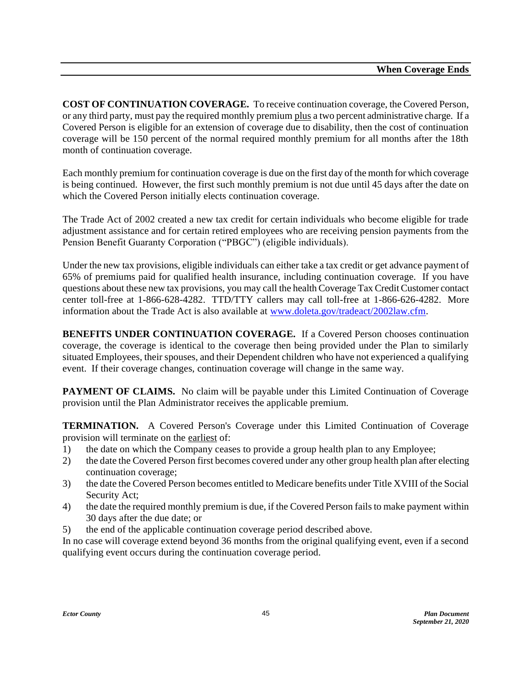**COST OF CONTINUATION COVERAGE.** To receive continuation coverage, the Covered Person, or any third party, must pay the required monthly premium plus a two percent administrative charge. If a Covered Person is eligible for an extension of coverage due to disability, then the cost of continuation coverage will be 150 percent of the normal required monthly premium for all months after the 18th month of continuation coverage.

Each monthly premium for continuation coverage is due on the first day of the month for which coverage is being continued. However, the first such monthly premium is not due until 45 days after the date on which the Covered Person initially elects continuation coverage.

The Trade Act of 2002 created a new tax credit for certain individuals who become eligible for trade adjustment assistance and for certain retired employees who are receiving pension payments from the Pension Benefit Guaranty Corporation ("PBGC") (eligible individuals).

Under the new tax provisions, eligible individuals can either take a tax credit or get advance payment of 65% of premiums paid for qualified health insurance, including continuation coverage. If you have questions about these new tax provisions, you may call the health Coverage Tax Credit Customer contact center toll-free at 1-866-628-4282. TTD/TTY callers may call toll-free at 1-866-626-4282. More information about the Trade Act is also available at [www.doleta.gov/tradeact/2002law.cfm.](http://www.doleta.gov/tradeact/2002law.cfm)

**BENEFITS UNDER CONTINUATION COVERAGE.** If a Covered Person chooses continuation coverage, the coverage is identical to the coverage then being provided under the Plan to similarly situated Employees, their spouses, and their Dependent children who have not experienced a qualifying event. If their coverage changes, continuation coverage will change in the same way.

**PAYMENT OF CLAIMS.** No claim will be payable under this Limited Continuation of Coverage provision until the Plan Administrator receives the applicable premium.

**TERMINATION.** A Covered Person's Coverage under this Limited Continuation of Coverage provision will terminate on the earliest of:

- 1) the date on which the Company ceases to provide a group health plan to any Employee;
- 2) the date the Covered Person first becomes covered under any other group health plan after electing continuation coverage;
- 3) the date the Covered Person becomes entitled to Medicare benefits under Title XVIII of the Social Security Act;
- 4) the date the required monthly premium is due, if the Covered Person fails to make payment within 30 days after the due date; or
- 5) the end of the applicable continuation coverage period described above.

In no case will coverage extend beyond 36 months from the original qualifying event, even if a second qualifying event occurs during the continuation coverage period.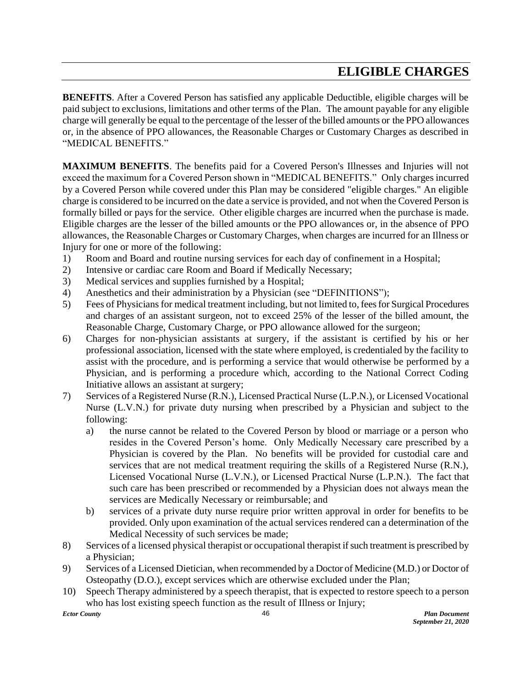## **ELIGIBLE CHARGES**

**BENEFITS**. After a Covered Person has satisfied any applicable Deductible, eligible charges will be paid subject to exclusions, limitations and other terms of the Plan. The amount payable for any eligible charge will generally be equal to the percentage of the lesser of the billed amounts or the PPO allowances or, in the absence of PPO allowances, the Reasonable Charges or Customary Charges as described in "MEDICAL BENEFITS."

**MAXIMUM BENEFITS**. The benefits paid for a Covered Person's Illnesses and Injuries will not exceed the maximum for a Covered Person shown in "MEDICAL BENEFITS." Only charges incurred by a Covered Person while covered under this Plan may be considered "eligible charges." An eligible charge is considered to be incurred on the date a service is provided, and not when the Covered Person is formally billed or pays for the service. Other eligible charges are incurred when the purchase is made. Eligible charges are the lesser of the billed amounts or the PPO allowances or, in the absence of PPO allowances, the Reasonable Charges or Customary Charges, when charges are incurred for an Illness or Injury for one or more of the following:

- 1) Room and Board and routine nursing services for each day of confinement in a Hospital;
- 2) Intensive or cardiac care Room and Board if Medically Necessary;
- 3) Medical services and supplies furnished by a Hospital;
- 4) Anesthetics and their administration by a Physician (see "DEFINITIONS");
- 5) Fees of Physicians for medical treatment including, but not limited to, fees for Surgical Procedures and charges of an assistant surgeon, not to exceed 25% of the lesser of the billed amount, the Reasonable Charge, Customary Charge, or PPO allowance allowed for the surgeon;
- 6) Charges for non-physician assistants at surgery, if the assistant is certified by his or her professional association, licensed with the state where employed, is credentialed by the facility to assist with the procedure, and is performing a service that would otherwise be performed by a Physician, and is performing a procedure which, according to the National Correct Coding Initiative allows an assistant at surgery;
- 7) Services of a Registered Nurse (R.N.), Licensed Practical Nurse (L.P.N.), or Licensed Vocational Nurse (L.V.N.) for private duty nursing when prescribed by a Physician and subject to the following:
	- a) the nurse cannot be related to the Covered Person by blood or marriage or a person who resides in the Covered Person's home. Only Medically Necessary care prescribed by a Physician is covered by the Plan. No benefits will be provided for custodial care and services that are not medical treatment requiring the skills of a Registered Nurse (R.N.), Licensed Vocational Nurse (L.V.N.), or Licensed Practical Nurse (L.P.N.). The fact that such care has been prescribed or recommended by a Physician does not always mean the services are Medically Necessary or reimbursable; and
	- b) services of a private duty nurse require prior written approval in order for benefits to be provided. Only upon examination of the actual services rendered can a determination of the Medical Necessity of such services be made;
- 8) Services of a licensed physical therapist or occupational therapist if such treatment is prescribed by a Physician;
- 9) Services of a Licensed Dietician, when recommended by a Doctor of Medicine (M.D.) or Doctor of Osteopathy (D.O.), except services which are otherwise excluded under the Plan;
- 10) Speech Therapy administered by a speech therapist, that is expected to restore speech to a person who has lost existing speech function as the result of Illness or Injury;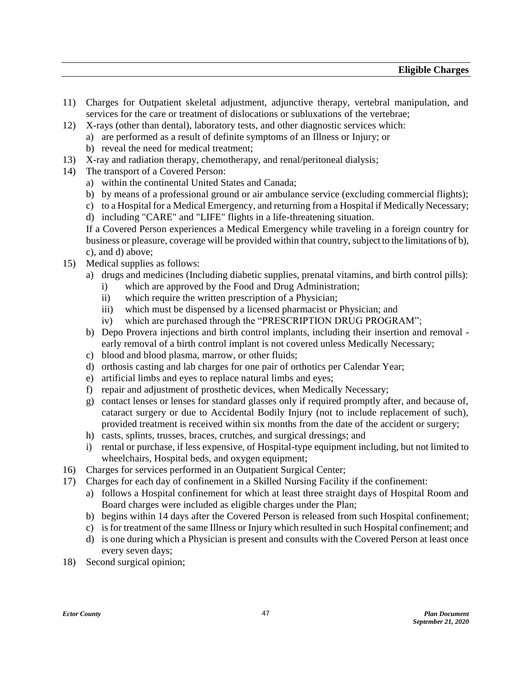- 11) Charges for Outpatient skeletal adjustment, adjunctive therapy, vertebral manipulation, and services for the care or treatment of dislocations or subluxations of the vertebrae;
- 12) X-rays (other than dental), laboratory tests, and other diagnostic services which:
	- a) are performed as a result of definite symptoms of an Illness or Injury; or
	- b) reveal the need for medical treatment;
- 13) X-ray and radiation therapy, chemotherapy, and renal/peritoneal dialysis;
- 14) The transport of a Covered Person:
	- a) within the continental United States and Canada;
	- b) by means of a professional ground or air ambulance service (excluding commercial flights);
	- c) to a Hospital for a Medical Emergency, and returning from a Hospital if Medically Necessary;
	- d) including "CARE" and "LIFE" flights in a life-threatening situation.

If a Covered Person experiences a Medical Emergency while traveling in a foreign country for business or pleasure, coverage will be provided within that country, subject to the limitations of b), c), and d) above;

- 15) Medical supplies as follows:
	- a) drugs and medicines (Including diabetic supplies, prenatal vitamins, and birth control pills):
		- i) which are approved by the Food and Drug Administration;
		- ii) which require the written prescription of a Physician;
		- iii) which must be dispensed by a licensed pharmacist or Physician; and
		- iv) which are purchased through the "PRESCRIPTION DRUG PROGRAM";
	- b) Depo Provera injections and birth control implants, including their insertion and removal early removal of a birth control implant is not covered unless Medically Necessary;
	- c) blood and blood plasma, marrow, or other fluids;
	- d) orthosis casting and lab charges for one pair of orthotics per Calendar Year;
	- e) artificial limbs and eyes to replace natural limbs and eyes;
	- f) repair and adjustment of prosthetic devices, when Medically Necessary;
	- g) contact lenses or lenses for standard glasses only if required promptly after, and because of, cataract surgery or due to Accidental Bodily Injury (not to include replacement of such), provided treatment is received within six months from the date of the accident or surgery;
	- h) casts, splints, trusses, braces, crutches, and surgical dressings; and
	- i) rental or purchase, if less expensive, of Hospital-type equipment including, but not limited to wheelchairs, Hospital beds, and oxygen equipment;
- 16) Charges for services performed in an Outpatient Surgical Center;
- 17) Charges for each day of confinement in a Skilled Nursing Facility if the confinement:
	- a) follows a Hospital confinement for which at least three straight days of Hospital Room and Board charges were included as eligible charges under the Plan;
	- b) begins within 14 days after the Covered Person is released from such Hospital confinement;
	- c) is for treatment of the same Illness or Injury which resulted in such Hospital confinement; and
	- d) is one during which a Physician is present and consults with the Covered Person at least once every seven days;
- 18) Second surgical opinion;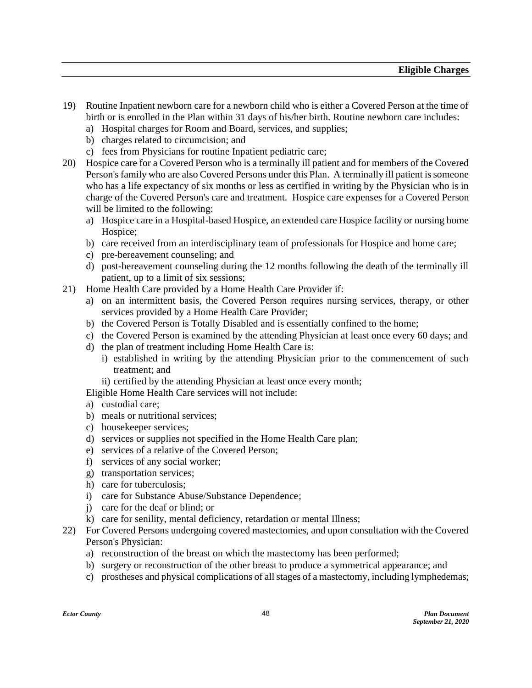- 19) Routine Inpatient newborn care for a newborn child who is either a Covered Person at the time of birth or is enrolled in the Plan within 31 days of his/her birth. Routine newborn care includes:
	- a) Hospital charges for Room and Board, services, and supplies;
	- b) charges related to circumcision; and
	- c) fees from Physicians for routine Inpatient pediatric care;
- 20) Hospice care for a Covered Person who is a terminally ill patient and for members of the Covered Person's family who are also Covered Persons under this Plan. A terminally ill patient is someone who has a life expectancy of six months or less as certified in writing by the Physician who is in charge of the Covered Person's care and treatment. Hospice care expenses for a Covered Person will be limited to the following:
	- a) Hospice care in a Hospital-based Hospice, an extended care Hospice facility or nursing home Hospice:
	- b) care received from an interdisciplinary team of professionals for Hospice and home care;
	- c) pre-bereavement counseling; and
	- d) post-bereavement counseling during the 12 months following the death of the terminally ill patient, up to a limit of six sessions;
- 21) Home Health Care provided by a Home Health Care Provider if:
	- a) on an intermittent basis, the Covered Person requires nursing services, therapy, or other services provided by a Home Health Care Provider;
	- b) the Covered Person is Totally Disabled and is essentially confined to the home;
	- c) the Covered Person is examined by the attending Physician at least once every 60 days; and
	- d) the plan of treatment including Home Health Care is:
		- i) established in writing by the attending Physician prior to the commencement of such treatment; and
		- ii) certified by the attending Physician at least once every month;

Eligible Home Health Care services will not include:

- a) custodial care;
- b) meals or nutritional services;
- c) housekeeper services;
- d) services or supplies not specified in the Home Health Care plan;
- e) services of a relative of the Covered Person;
- f) services of any social worker;
- g) transportation services;
- h) care for tuberculosis;
- i) care for Substance Abuse/Substance Dependence;
- j) care for the deaf or blind; or
- k) care for senility, mental deficiency, retardation or mental Illness;
- 22) For Covered Persons undergoing covered mastectomies, and upon consultation with the Covered Person's Physician:
	- a) reconstruction of the breast on which the mastectomy has been performed;
	- b) surgery or reconstruction of the other breast to produce a symmetrical appearance; and
	- c) prostheses and physical complications of all stages of a mastectomy, including lymphedemas;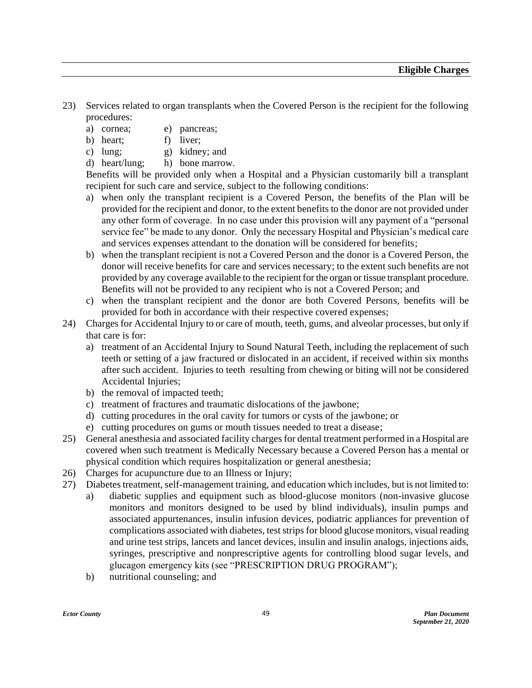- 23) Services related to organ transplants when the Covered Person is the recipient for the following procedures:
	- a) cornea; e) pancreas;
	- b) heart; f) liver;
	- c) lung; g) kidney; and
	- d) heart/lung; h) bone marrow.

Benefits will be provided only when a Hospital and a Physician customarily bill a transplant recipient for such care and service, subject to the following conditions:

- a) when only the transplant recipient is a Covered Person, the benefits of the Plan will be provided for the recipient and donor, to the extent benefits to the donor are not provided under any other form of coverage. In no case under this provision will any payment of a "personal service fee" be made to any donor. Only the necessary Hospital and Physician's medical care and services expenses attendant to the donation will be considered for benefits;
- b) when the transplant recipient is not a Covered Person and the donor is a Covered Person, the donor will receive benefits for care and services necessary; to the extent such benefits are not provided by any coverage available to the recipient for the organ or tissue transplant procedure. Benefits will not be provided to any recipient who is not a Covered Person; and
- c) when the transplant recipient and the donor are both Covered Persons, benefits will be provided for both in accordance with their respective covered expenses;
- 24) Charges for Accidental Injury to or care of mouth, teeth, gums, and alveolar processes, but only if that care is for:
	- a) treatment of an Accidental Injury to Sound Natural Teeth, including the replacement of such teeth or setting of a jaw fractured or dislocated in an accident, if received within six months after such accident. Injuries to teeth resulting from chewing or biting will not be considered Accidental Injuries;
	- b) the removal of impacted teeth;
	- c) treatment of fractures and traumatic dislocations of the jawbone;
	- d) cutting procedures in the oral cavity for tumors or cysts of the jawbone; or
	- e) cutting procedures on gums or mouth tissues needed to treat a disease;
- 25) General anesthesia and associated facility charges for dental treatment performed in a Hospital are covered when such treatment is Medically Necessary because a Covered Person has a mental or physical condition which requires hospitalization or general anesthesia;
- 26) Charges for acupuncture due to an Illness or Injury;
- 27) Diabetes treatment, self-management training, and education which includes, but is not limited to:
	- a) diabetic supplies and equipment such as blood-glucose monitors (non-invasive glucose monitors and monitors designed to be used by blind individuals), insulin pumps and associated appurtenances, insulin infusion devices, podiatric appliances for prevention of complications associated with diabetes, test strips for blood glucose monitors, visual reading and urine test strips, lancets and lancet devices, insulin and insulin analogs, injections aids, syringes, prescriptive and nonprescriptive agents for controlling blood sugar levels, and glucagon emergency kits (see "PRESCRIPTION DRUG PROGRAM");
	- b) nutritional counseling; and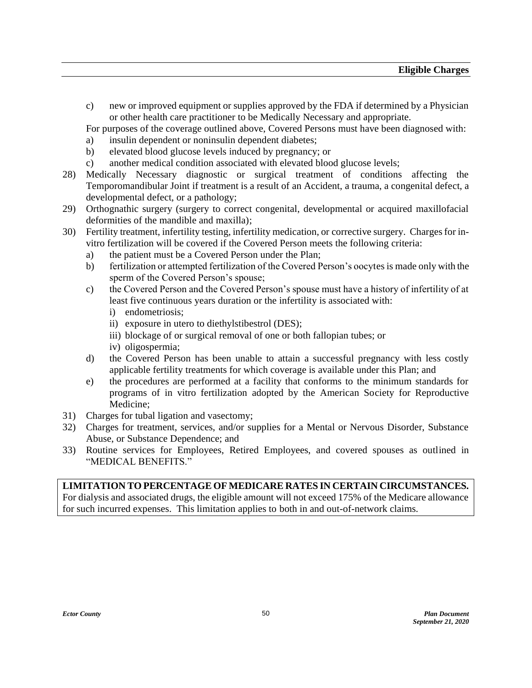c) new or improved equipment or supplies approved by the FDA if determined by a Physician or other health care practitioner to be Medically Necessary and appropriate.

For purposes of the coverage outlined above, Covered Persons must have been diagnosed with:

- a) insulin dependent or noninsulin dependent diabetes;
- b) elevated blood glucose levels induced by pregnancy; or
- c) another medical condition associated with elevated blood glucose levels;
- 28) Medically Necessary diagnostic or surgical treatment of conditions affecting the Temporomandibular Joint if treatment is a result of an Accident, a trauma, a congenital defect, a developmental defect, or a pathology;
- 29) Orthognathic surgery (surgery to correct congenital, developmental or acquired maxillofacial deformities of the mandible and maxilla);
- 30) Fertility treatment, infertility testing, infertility medication, or corrective surgery. Charges for invitro fertilization will be covered if the Covered Person meets the following criteria:
	- a) the patient must be a Covered Person under the Plan;
	- b) fertilization or attempted fertilization of the Covered Person's oocytes is made only with the sperm of the Covered Person's spouse;
	- c) the Covered Person and the Covered Person's spouse must have a history of infertility of at least five continuous years duration or the infertility is associated with:
		- i) endometriosis;
		- ii) exposure in utero to diethylstibestrol (DES);
		- iii) blockage of or surgical removal of one or both fallopian tubes; or
		- iv) oligospermia;
	- d) the Covered Person has been unable to attain a successful pregnancy with less costly applicable fertility treatments for which coverage is available under this Plan; and
	- e) the procedures are performed at a facility that conforms to the minimum standards for programs of in vitro fertilization adopted by the American Society for Reproductive Medicine;
- 31) Charges for tubal ligation and vasectomy;
- 32) Charges for treatment, services, and/or supplies for a Mental or Nervous Disorder, Substance Abuse, or Substance Dependence; and
- 33) Routine services for Employees, Retired Employees, and covered spouses as outlined in "MEDICAL BENEFITS."

**LIMITATION TO PERCENTAGE OF MEDICARE RATES IN CERTAIN CIRCUMSTANCES.** For dialysis and associated drugs, the eligible amount will not exceed 175% of the Medicare allowance for such incurred expenses. This limitation applies to both in and out-of-network claims.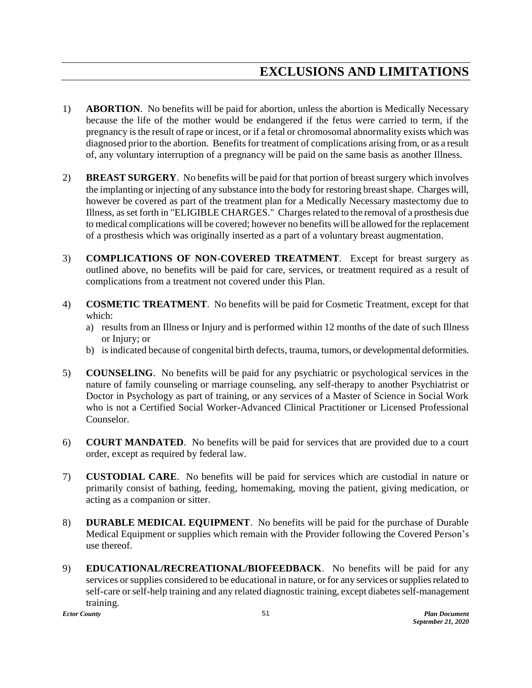- 1) **ABORTION**. No benefits will be paid for abortion, unless the abortion is Medically Necessary because the life of the mother would be endangered if the fetus were carried to term, if the pregnancy is the result of rape or incest, or if a fetal or chromosomal abnormality exists which was diagnosed prior to the abortion. Benefits for treatment of complications arising from, or as a result of, any voluntary interruption of a pregnancy will be paid on the same basis as another Illness.
- 2) **BREAST SURGERY**. No benefits will be paid for that portion of breast surgery which involves the implanting or injecting of any substance into the body for restoring breast shape. Charges will, however be covered as part of the treatment plan for a Medically Necessary mastectomy due to Illness, as set forth in "ELIGIBLE CHARGES." Charges related to the removal of a prosthesis due to medical complications will be covered; however no benefits will be allowed for the replacement of a prosthesis which was originally inserted as a part of a voluntary breast augmentation.
- 3) **COMPLICATIONS OF NON-COVERED TREATMENT**. Except for breast surgery as outlined above, no benefits will be paid for care, services, or treatment required as a result of complications from a treatment not covered under this Plan.
- 4) **COSMETIC TREATMENT**. No benefits will be paid for Cosmetic Treatment, except for that which:
	- a) results from an Illness or Injury and is performed within 12 months of the date of such Illness or Injury; or
	- b) is indicated because of congenital birth defects, trauma, tumors, or developmental deformities.
- 5) **COUNSELING**. No benefits will be paid for any psychiatric or psychological services in the nature of family counseling or marriage counseling, any self-therapy to another Psychiatrist or Doctor in Psychology as part of training, or any services of a Master of Science in Social Work who is not a Certified Social Worker-Advanced Clinical Practitioner or Licensed Professional Counselor.
- 6) **COURT MANDATED**. No benefits will be paid for services that are provided due to a court order, except as required by federal law.
- 7) **CUSTODIAL CARE**. No benefits will be paid for services which are custodial in nature or primarily consist of bathing, feeding, homemaking, moving the patient, giving medication, or acting as a companion or sitter.
- 8) **DURABLE MEDICAL EQUIPMENT**. No benefits will be paid for the purchase of Durable Medical Equipment or supplies which remain with the Provider following the Covered Person's use thereof.
- 9) **EDUCATIONAL/RECREATIONAL/BIOFEEDBACK**. No benefits will be paid for any services or supplies considered to be educational in nature, or for any services or supplies related to self-care or self-help training and any related diagnostic training, except diabetes self-management training.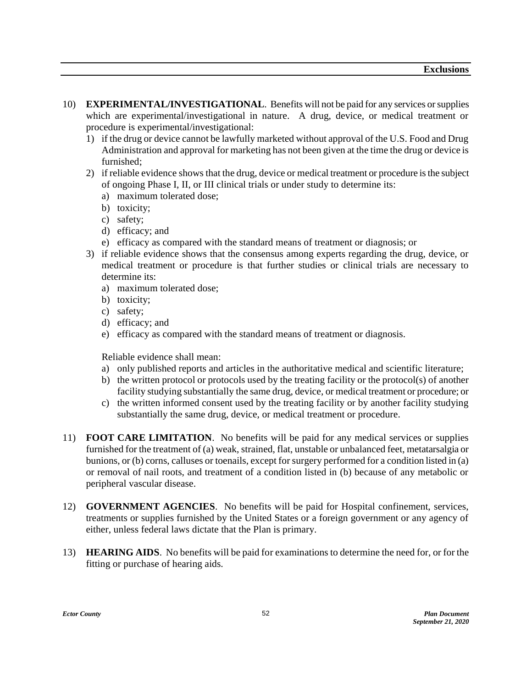- 10) **EXPERIMENTAL/INVESTIGATIONAL**. Benefits will not be paid for any services or supplies which are experimental/investigational in nature. A drug, device, or medical treatment or procedure is experimental/investigational:
	- 1) if the drug or device cannot be lawfully marketed without approval of the U.S. Food and Drug Administration and approval for marketing has not been given at the time the drug or device is furnished;
	- 2) if reliable evidence shows that the drug, device or medical treatment or procedure is the subject of ongoing Phase I, II, or III clinical trials or under study to determine its:
		- a) maximum tolerated dose;
		- b) toxicity;
		- c) safety;
		- d) efficacy; and
		- e) efficacy as compared with the standard means of treatment or diagnosis; or
	- 3) if reliable evidence shows that the consensus among experts regarding the drug, device, or medical treatment or procedure is that further studies or clinical trials are necessary to determine its:
		- a) maximum tolerated dose;
		- b) toxicity;
		- c) safety;
		- d) efficacy; and
		- e) efficacy as compared with the standard means of treatment or diagnosis.

Reliable evidence shall mean:

- a) only published reports and articles in the authoritative medical and scientific literature;
- b) the written protocol or protocols used by the treating facility or the protocol(s) of another facility studying substantially the same drug, device, or medical treatment or procedure; or
- c) the written informed consent used by the treating facility or by another facility studying substantially the same drug, device, or medical treatment or procedure.
- 11) **FOOT CARE LIMITATION**. No benefits will be paid for any medical services or supplies furnished for the treatment of (a) weak, strained, flat, unstable or unbalanced feet, metatarsalgia or bunions, or (b) corns, calluses or toenails, except for surgery performed for a condition listed in (a) or removal of nail roots, and treatment of a condition listed in (b) because of any metabolic or peripheral vascular disease.
- 12) **GOVERNMENT AGENCIES**. No benefits will be paid for Hospital confinement, services, treatments or supplies furnished by the United States or a foreign government or any agency of either, unless federal laws dictate that the Plan is primary.
- 13) **HEARING AIDS**. No benefits will be paid for examinations to determine the need for, or for the fitting or purchase of hearing aids.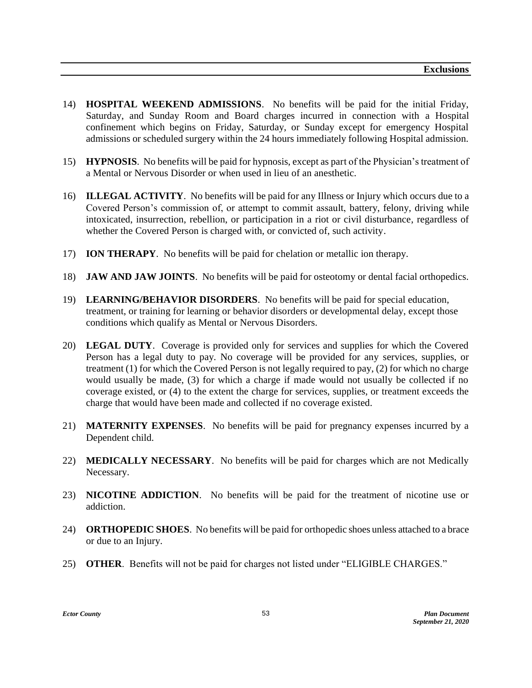- 14) **HOSPITAL WEEKEND ADMISSIONS**. No benefits will be paid for the initial Friday, Saturday, and Sunday Room and Board charges incurred in connection with a Hospital confinement which begins on Friday, Saturday, or Sunday except for emergency Hospital admissions or scheduled surgery within the 24 hours immediately following Hospital admission.
- 15) **HYPNOSIS**. No benefits will be paid for hypnosis, except as part of the Physician's treatment of a Mental or Nervous Disorder or when used in lieu of an anesthetic.
- 16) **ILLEGAL ACTIVITY**. No benefits will be paid for any Illness or Injury which occurs due to a Covered Person's commission of, or attempt to commit assault, battery, felony, driving while intoxicated, insurrection, rebellion, or participation in a riot or civil disturbance, regardless of whether the Covered Person is charged with, or convicted of, such activity.
- 17) **ION THERAPY**. No benefits will be paid for chelation or metallic ion therapy.
- 18) **JAW AND JAW JOINTS**. No benefits will be paid for osteotomy or dental facial orthopedics.
- 19) **LEARNING/BEHAVIOR DISORDERS**. No benefits will be paid for special education, treatment, or training for learning or behavior disorders or developmental delay, except those conditions which qualify as Mental or Nervous Disorders.
- 20) **LEGAL DUTY**. Coverage is provided only for services and supplies for which the Covered Person has a legal duty to pay. No coverage will be provided for any services, supplies, or treatment (1) for which the Covered Person is not legally required to pay, (2) for which no charge would usually be made, (3) for which a charge if made would not usually be collected if no coverage existed, or (4) to the extent the charge for services, supplies, or treatment exceeds the charge that would have been made and collected if no coverage existed.
- 21) **MATERNITY EXPENSES**. No benefits will be paid for pregnancy expenses incurred by a Dependent child.
- 22) **MEDICALLY NECESSARY**. No benefits will be paid for charges which are not Medically Necessary.
- 23) **NICOTINE ADDICTION**. No benefits will be paid for the treatment of nicotine use or addiction.
- 24) **ORTHOPEDIC SHOES**. No benefits will be paid for orthopedic shoes unless attached to a brace or due to an Injury.
- 25) **OTHER**. Benefits will not be paid for charges not listed under "ELIGIBLE CHARGES."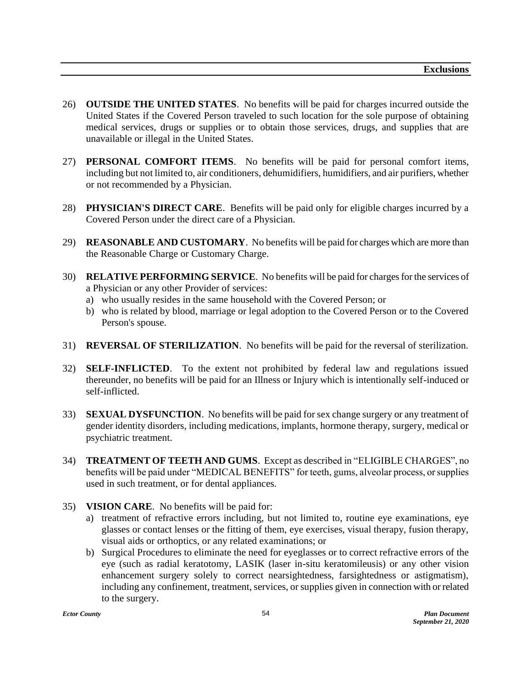- 26) **OUTSIDE THE UNITED STATES**. No benefits will be paid for charges incurred outside the United States if the Covered Person traveled to such location for the sole purpose of obtaining medical services, drugs or supplies or to obtain those services, drugs, and supplies that are unavailable or illegal in the United States.
- 27) **PERSONAL COMFORT ITEMS**. No benefits will be paid for personal comfort items, including but not limited to, air conditioners, dehumidifiers, humidifiers, and air purifiers, whether or not recommended by a Physician.
- 28) **PHYSICIAN'S DIRECT CARE**. Benefits will be paid only for eligible charges incurred by a Covered Person under the direct care of a Physician.
- 29) **REASONABLE AND CUSTOMARY**. No benefits will be paid for charges which are more than the Reasonable Charge or Customary Charge.
- 30) **RELATIVE PERFORMING SERVICE**. No benefits will be paid for charges for the services of a Physician or any other Provider of services:
	- a) who usually resides in the same household with the Covered Person; or
	- b) who is related by blood, marriage or legal adoption to the Covered Person or to the Covered Person's spouse.
- 31) **REVERSAL OF STERILIZATION**. No benefits will be paid for the reversal of sterilization.
- 32) **SELF-INFLICTED**. To the extent not prohibited by federal law and regulations issued thereunder, no benefits will be paid for an Illness or Injury which is intentionally self-induced or self-inflicted.
- 33) **SEXUAL DYSFUNCTION**. No benefits will be paid for sex change surgery or any treatment of gender identity disorders, including medications, implants, hormone therapy, surgery, medical or psychiatric treatment.
- 34) **TREATMENT OF TEETH AND GUMS**. Except as described in "ELIGIBLE CHARGES", no benefits will be paid under "MEDICAL BENEFITS" for teeth, gums, alveolar process, or supplies used in such treatment, or for dental appliances.
- 35) **VISION CARE**. No benefits will be paid for:
	- a) treatment of refractive errors including, but not limited to, routine eye examinations, eye glasses or contact lenses or the fitting of them, eye exercises, visual therapy, fusion therapy, visual aids or orthoptics, or any related examinations; or
	- b) Surgical Procedures to eliminate the need for eyeglasses or to correct refractive errors of the eye (such as radial keratotomy, LASIK (laser in-situ keratomileusis) or any other vision enhancement surgery solely to correct nearsightedness, farsightedness or astigmatism), including any confinement, treatment, services, or supplies given in connection with or related to the surgery.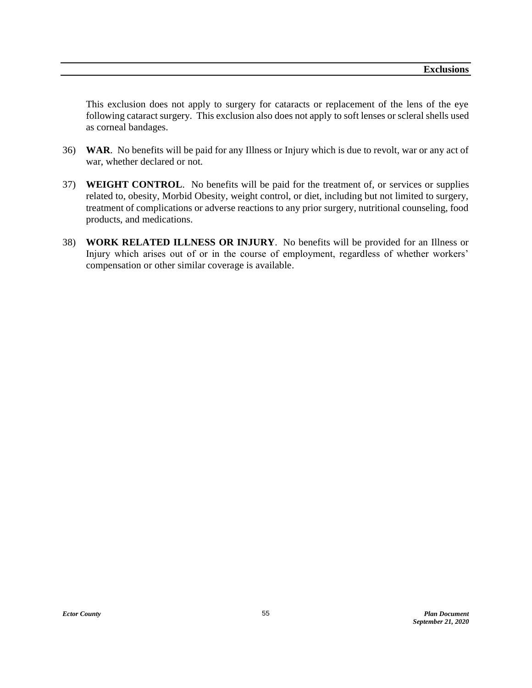This exclusion does not apply to surgery for cataracts or replacement of the lens of the eye following cataract surgery. This exclusion also does not apply to soft lenses or scleral shells used as corneal bandages.

- 36) **WAR**. No benefits will be paid for any Illness or Injury which is due to revolt, war or any act of war, whether declared or not.
- 37) **WEIGHT CONTROL**. No benefits will be paid for the treatment of, or services or supplies related to, obesity, Morbid Obesity, weight control, or diet, including but not limited to surgery, treatment of complications or adverse reactions to any prior surgery, nutritional counseling, food products, and medications.
- 38) **WORK RELATED ILLNESS OR INJURY**. No benefits will be provided for an Illness or Injury which arises out of or in the course of employment, regardless of whether workers' compensation or other similar coverage is available.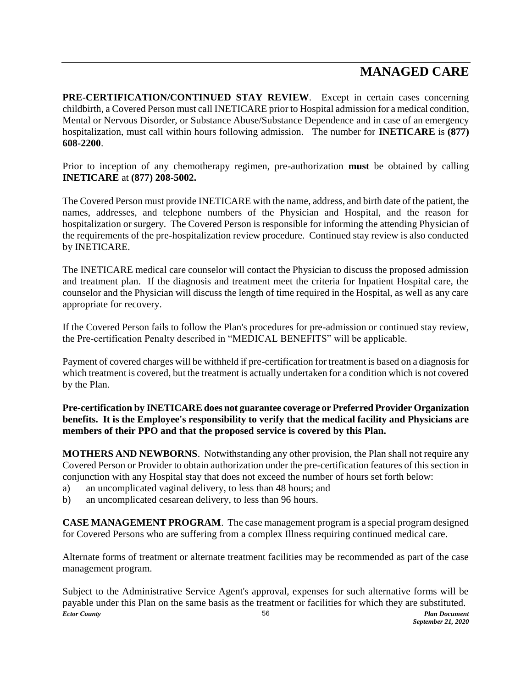## **MANAGED CARE**

**PRE-CERTIFICATION/CONTINUED STAY REVIEW**. Except in certain cases concerning childbirth, a Covered Person must call INETICARE prior to Hospital admission for a medical condition, Mental or Nervous Disorder, or Substance Abuse/Substance Dependence and in case of an emergency hospitalization, must call within hours following admission. The number for **INETICARE** is **(877) 608-2200**.

Prior to inception of any chemotherapy regimen, pre-authorization **must** be obtained by calling **INETICARE** at **(877) 208-5002.**

The Covered Person must provide INETICARE with the name, address, and birth date of the patient, the names, addresses, and telephone numbers of the Physician and Hospital, and the reason for hospitalization or surgery. The Covered Person is responsible for informing the attending Physician of the requirements of the pre-hospitalization review procedure. Continued stay review is also conducted by INETICARE.

The INETICARE medical care counselor will contact the Physician to discuss the proposed admission and treatment plan. If the diagnosis and treatment meet the criteria for Inpatient Hospital care, the counselor and the Physician will discuss the length of time required in the Hospital, as well as any care appropriate for recovery.

If the Covered Person fails to follow the Plan's procedures for pre-admission or continued stay review, the Pre-certification Penalty described in "MEDICAL BENEFITS" will be applicable.

Payment of covered charges will be withheld if pre-certification for treatment is based on a diagnosis for which treatment is covered, but the treatment is actually undertaken for a condition which is not covered by the Plan.

**Pre-certification by INETICARE does not guarantee coverage or Preferred Provider Organization benefits. It is the Employee's responsibility to verify that the medical facility and Physicians are members of their PPO and that the proposed service is covered by this Plan.**

**MOTHERS AND NEWBORNS**. Notwithstanding any other provision, the Plan shall not require any Covered Person or Provider to obtain authorization under the pre-certification features of this section in conjunction with any Hospital stay that does not exceed the number of hours set forth below:

- a) an uncomplicated vaginal delivery, to less than 48 hours; and
- b) an uncomplicated cesarean delivery, to less than 96 hours.

**CASE MANAGEMENT PROGRAM**. The case management program is a special program designed for Covered Persons who are suffering from a complex Illness requiring continued medical care.

Alternate forms of treatment or alternate treatment facilities may be recommended as part of the case management program.

*Ector County Plan Document* 56 Subject to the Administrative Service Agent's approval, expenses for such alternative forms will be payable under this Plan on the same basis as the treatment or facilities for which they are substituted.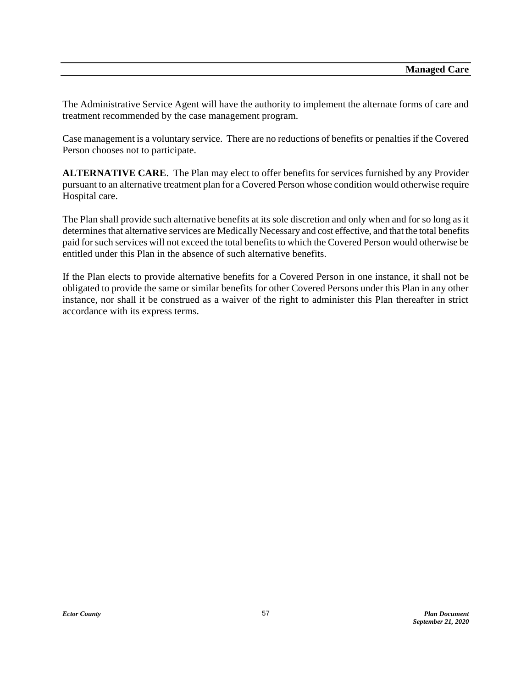The Administrative Service Agent will have the authority to implement the alternate forms of care and treatment recommended by the case management program.

Case management is a voluntary service. There are no reductions of benefits or penalties if the Covered Person chooses not to participate.

**ALTERNATIVE CARE**. The Plan may elect to offer benefits for services furnished by any Provider pursuant to an alternative treatment plan for a Covered Person whose condition would otherwise require Hospital care.

The Plan shall provide such alternative benefits at its sole discretion and only when and for so long as it determines that alternative services are Medically Necessary and cost effective, and that the total benefits paid for such services will not exceed the total benefits to which the Covered Person would otherwise be entitled under this Plan in the absence of such alternative benefits.

If the Plan elects to provide alternative benefits for a Covered Person in one instance, it shall not be obligated to provide the same or similar benefits for other Covered Persons under this Plan in any other instance, nor shall it be construed as a waiver of the right to administer this Plan thereafter in strict accordance with its express terms.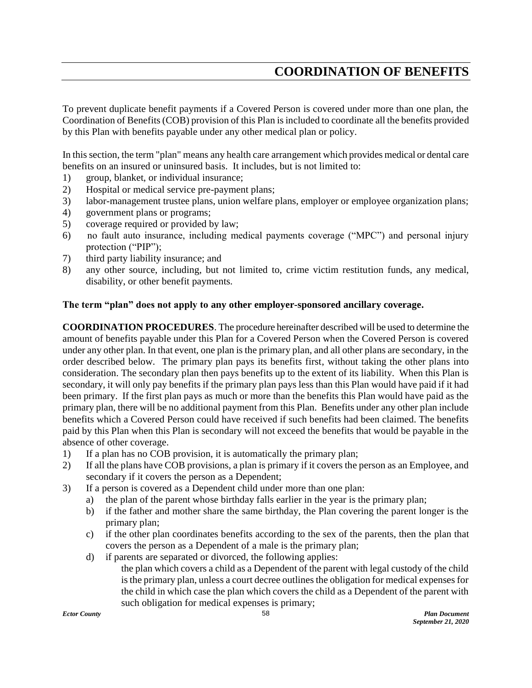## **COORDINATION OF BENEFITS**

To prevent duplicate benefit payments if a Covered Person is covered under more than one plan, the Coordination of Benefits (COB) provision of this Plan is included to coordinate all the benefits provided by this Plan with benefits payable under any other medical plan or policy.

In this section, the term "plan" means any health care arrangement which provides medical or dental care benefits on an insured or uninsured basis. It includes, but is not limited to:

- 1) group, blanket, or individual insurance;
- 2) Hospital or medical service pre-payment plans;
- 3) labor-management trustee plans, union welfare plans, employer or employee organization plans;
- 4) government plans or programs;
- 5) coverage required or provided by law;
- 6) no fault auto insurance, including medical payments coverage ("MPC") and personal injury protection ("PIP");
- 7) third party liability insurance; and
- 8) any other source, including, but not limited to, crime victim restitution funds, any medical, disability, or other benefit payments.

#### **The term "plan" does not apply to any other employer-sponsored ancillary coverage.**

**COORDINATION PROCEDURES**. The procedure hereinafter described will be used to determine the amount of benefits payable under this Plan for a Covered Person when the Covered Person is covered under any other plan. In that event, one plan is the primary plan, and all other plans are secondary, in the order described below. The primary plan pays its benefits first, without taking the other plans into consideration. The secondary plan then pays benefits up to the extent of its liability. When this Plan is secondary, it will only pay benefits if the primary plan pays less than this Plan would have paid if it had been primary. If the first plan pays as much or more than the benefits this Plan would have paid as the primary plan, there will be no additional payment from this Plan. Benefits under any other plan include benefits which a Covered Person could have received if such benefits had been claimed. The benefits paid by this Plan when this Plan is secondary will not exceed the benefits that would be payable in the absence of other coverage.

- 1) If a plan has no COB provision, it is automatically the primary plan;
- 2) If all the plans have COB provisions, a plan is primary if it covers the person as an Employee, and secondary if it covers the person as a Dependent;
- 3) If a person is covered as a Dependent child under more than one plan:
	- a) the plan of the parent whose birthday falls earlier in the year is the primary plan;
	- b) if the father and mother share the same birthday, the Plan covering the parent longer is the primary plan;
	- c) if the other plan coordinates benefits according to the sex of the parents, then the plan that covers the person as a Dependent of a male is the primary plan;
	- d) if parents are separated or divorced, the following applies:
		- the plan which covers a child as a Dependent of the parent with legal custody of the child is the primary plan, unless a court decree outlines the obligation for medical expenses for the child in which case the plan which covers the child as a Dependent of the parent with such obligation for medical expenses is primary;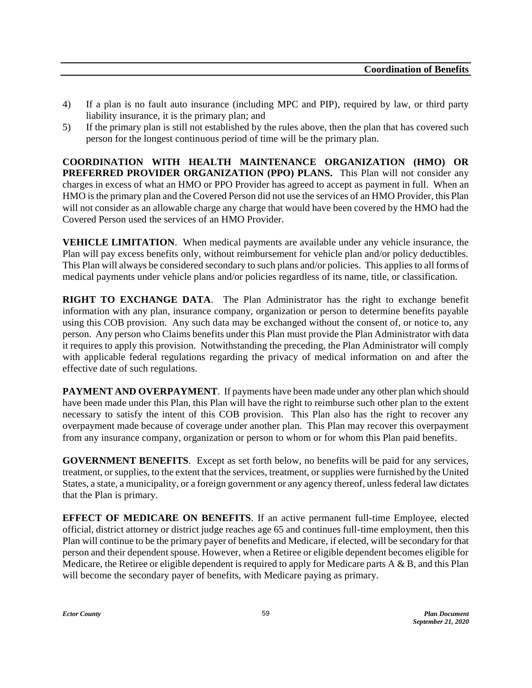- 4) If a plan is no fault auto insurance (including MPC and PIP), required by law, or third party liability insurance, it is the primary plan; and
- 5) If the primary plan is still not established by the rules above, then the plan that has covered such person for the longest continuous period of time will be the primary plan.

**COORDINATION WITH HEALTH MAINTENANCE ORGANIZATION (HMO) OR PREFERRED PROVIDER ORGANIZATION (PPO) PLANS.** This Plan will not consider any charges in excess of what an HMO or PPO Provider has agreed to accept as payment in full. When an HMO is the primary plan and the Covered Person did not use the services of an HMO Provider, this Plan will not consider as an allowable charge any charge that would have been covered by the HMO had the Covered Person used the services of an HMO Provider.

**VEHICLE LIMITATION**. When medical payments are available under any vehicle insurance, the Plan will pay excess benefits only, without reimbursement for vehicle plan and/or policy deductibles. This Plan will always be considered secondary to such plans and/or policies. This applies to all forms of medical payments under vehicle plans and/or policies regardless of its name, title, or classification.

**RIGHT TO EXCHANGE DATA**. The Plan Administrator has the right to exchange benefit information with any plan, insurance company, organization or person to determine benefits payable using this COB provision. Any such data may be exchanged without the consent of, or notice to, any person. Any person who Claims benefits under this Plan must provide the Plan Administrator with data it requires to apply this provision. Notwithstanding the preceding, the Plan Administrator will comply with applicable federal regulations regarding the privacy of medical information on and after the effective date of such regulations.

PAYMENT AND OVERPAYMENT. If payments have been made under any other plan which should have been made under this Plan, this Plan will have the right to reimburse such other plan to the extent necessary to satisfy the intent of this COB provision. This Plan also has the right to recover any overpayment made because of coverage under another plan. This Plan may recover this overpayment from any insurance company, organization or person to whom or for whom this Plan paid benefits.

**GOVERNMENT BENEFITS**. Except as set forth below, no benefits will be paid for any services, treatment, or supplies, to the extent that the services, treatment, or supplies were furnished by the United States, a state, a municipality, or a foreign government or any agency thereof, unless federal law dictates that the Plan is primary.

**EFFECT OF MEDICARE ON BENEFITS**. If an active permanent full-time Employee, elected official, district attorney or district judge reaches age 65 and continues full-time employment, then this Plan will continue to be the primary payer of benefits and Medicare, if elected, will be secondary for that person and their dependent spouse. However, when a Retiree or eligible dependent becomes eligible for Medicare, the Retiree or eligible dependent is required to apply for Medicare parts A & B, and this Plan will become the secondary payer of benefits, with Medicare paying as primary.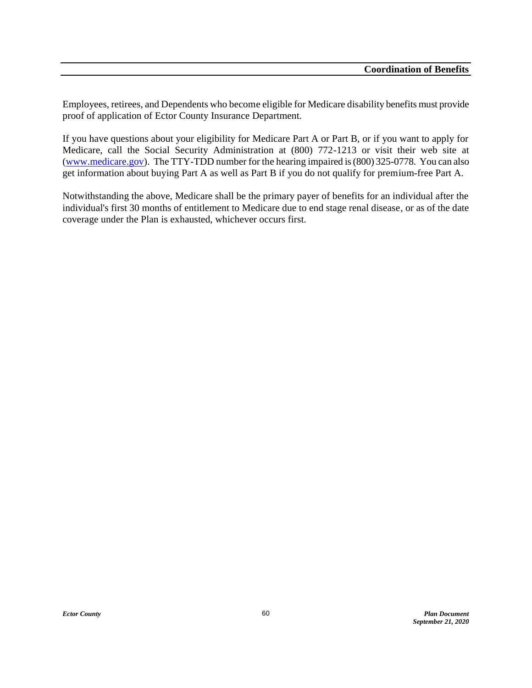Employees, retirees, and Dependents who become eligible for Medicare disability benefits must provide proof of application of Ector County Insurance Department.

If you have questions about your eligibility for Medicare Part A or Part B, or if you want to apply for Medicare, call the Social Security Administration at (800) 772-1213 or visit their web site at [\(www.medicare.gov\)](http://www.medicare.gov/). The TTY-TDD number for the hearing impaired is (800) 325-0778. You can also get information about buying Part A as well as Part B if you do not qualify for premium-free Part A.

Notwithstanding the above, Medicare shall be the primary payer of benefits for an individual after the individual's first 30 months of entitlement to Medicare due to end stage renal disease, or as of the date coverage under the Plan is exhausted, whichever occurs first.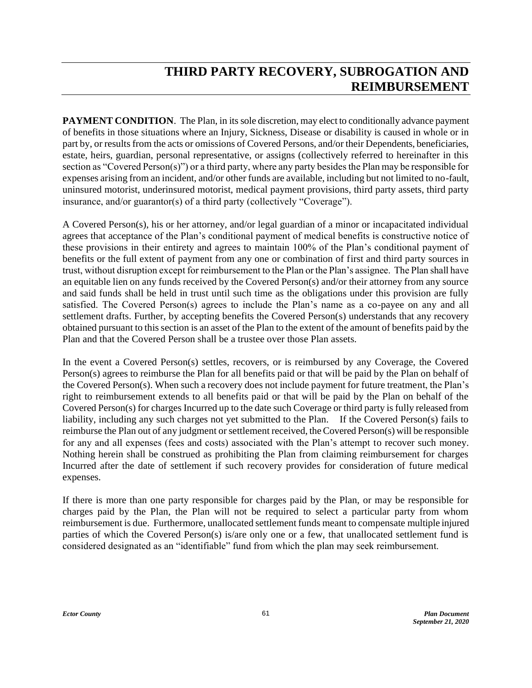# **THIRD PARTY RECOVERY, SUBROGATION AND REIMBURSEMENT**

**PAYMENT CONDITION.** The Plan, in its sole discretion, may elect to conditionally advance payment of benefits in those situations where an Injury, Sickness, Disease or disability is caused in whole or in part by, or results from the acts or omissions of Covered Persons, and/or their Dependents, beneficiaries, estate, heirs, guardian, personal representative, or assigns (collectively referred to hereinafter in this section as "Covered Person(s)") or a third party, where any party besides the Plan may be responsible for expenses arising from an incident, and/or other funds are available, including but not limited to no-fault, uninsured motorist, underinsured motorist, medical payment provisions, third party assets, third party insurance, and/or guarantor(s) of a third party (collectively "Coverage").

A Covered Person(s), his or her attorney, and/or legal guardian of a minor or incapacitated individual agrees that acceptance of the Plan's conditional payment of medical benefits is constructive notice of these provisions in their entirety and agrees to maintain 100% of the Plan's conditional payment of benefits or the full extent of payment from any one or combination of first and third party sources in trust, without disruption except for reimbursement to the Plan or the Plan's assignee. The Plan shall have an equitable lien on any funds received by the Covered Person(s) and/or their attorney from any source and said funds shall be held in trust until such time as the obligations under this provision are fully satisfied. The Covered Person(s) agrees to include the Plan's name as a co-payee on any and all settlement drafts. Further, by accepting benefits the Covered Person(s) understands that any recovery obtained pursuant to this section is an asset of the Plan to the extent of the amount of benefits paid by the Plan and that the Covered Person shall be a trustee over those Plan assets.

In the event a Covered Person(s) settles, recovers, or is reimbursed by any Coverage, the Covered Person(s) agrees to reimburse the Plan for all benefits paid or that will be paid by the Plan on behalf of the Covered Person(s). When such a recovery does not include payment for future treatment, the Plan's right to reimbursement extends to all benefits paid or that will be paid by the Plan on behalf of the Covered Person(s) for charges Incurred up to the date such Coverage or third party is fully released from liability, including any such charges not yet submitted to the Plan. If the Covered Person(s) fails to reimburse the Plan out of any judgment or settlement received, the Covered Person(s) will be responsible for any and all expenses (fees and costs) associated with the Plan's attempt to recover such money. Nothing herein shall be construed as prohibiting the Plan from claiming reimbursement for charges Incurred after the date of settlement if such recovery provides for consideration of future medical expenses.

If there is more than one party responsible for charges paid by the Plan, or may be responsible for charges paid by the Plan, the Plan will not be required to select a particular party from whom reimbursement is due. Furthermore, unallocated settlement funds meant to compensate multiple injured parties of which the Covered Person(s) is/are only one or a few, that unallocated settlement fund is considered designated as an "identifiable" fund from which the plan may seek reimbursement.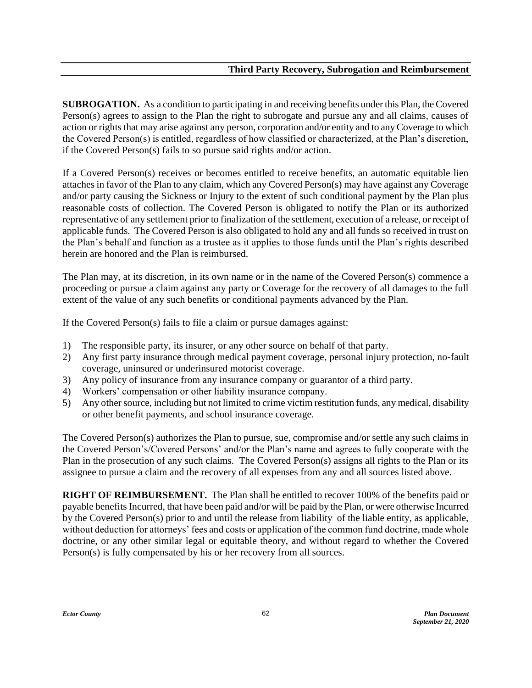**SUBROGATION.** As a condition to participating in and receiving benefits under this Plan, the Covered Person(s) agrees to assign to the Plan the right to subrogate and pursue any and all claims, causes of action or rights that may arise against any person, corporation and/or entity and to any Coverage to which the Covered Person(s) is entitled, regardless of how classified or characterized, at the Plan's discretion, if the Covered Person(s) fails to so pursue said rights and/or action.

If a Covered Person(s) receives or becomes entitled to receive benefits, an automatic equitable lien attaches in favor of the Plan to any claim, which any Covered Person(s) may have against any Coverage and/or party causing the Sickness or Injury to the extent of such conditional payment by the Plan plus reasonable costs of collection. The Covered Person is obligated to notify the Plan or its authorized representative of any settlement prior to finalization of the settlement, execution of a release, or receipt of applicable funds. The Covered Person is also obligated to hold any and all funds so received in trust on the Plan's behalf and function as a trustee as it applies to those funds until the Plan's rights described herein are honored and the Plan is reimbursed.

The Plan may, at its discretion, in its own name or in the name of the Covered Person(s) commence a proceeding or pursue a claim against any party or Coverage for the recovery of all damages to the full extent of the value of any such benefits or conditional payments advanced by the Plan.

If the Covered Person(s) fails to file a claim or pursue damages against:

- 1) The responsible party, its insurer, or any other source on behalf of that party.
- 2) Any first party insurance through medical payment coverage, personal injury protection, no-fault coverage, uninsured or underinsured motorist coverage.
- 3) Any policy of insurance from any insurance company or guarantor of a third party.
- 4) Workers' compensation or other liability insurance company.
- 5) Any other source, including but not limited to crime victim restitution funds, any medical, disability or other benefit payments, and school insurance coverage.

The Covered Person(s) authorizes the Plan to pursue, sue, compromise and/or settle any such claims in the Covered Person's/Covered Persons' and/or the Plan's name and agrees to fully cooperate with the Plan in the prosecution of any such claims. The Covered Person(s) assigns all rights to the Plan or its assignee to pursue a claim and the recovery of all expenses from any and all sources listed above.

**RIGHT OF REIMBURSEMENT.** The Plan shall be entitled to recover 100% of the benefits paid or payable benefits Incurred, that have been paid and/or will be paid by the Plan, or were otherwise Incurred by the Covered Person(s) prior to and until the release from liability of the liable entity, as applicable, without deduction for attorneys' fees and costs or application of the common fund doctrine, made whole doctrine, or any other similar legal or equitable theory, and without regard to whether the Covered Person(s) is fully compensated by his or her recovery from all sources.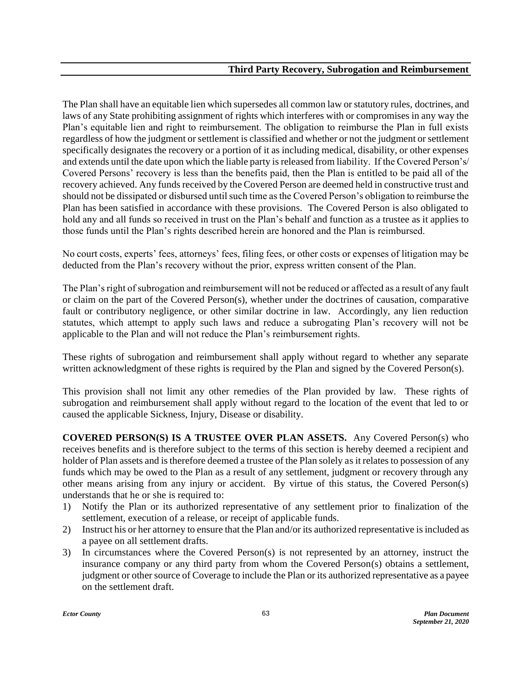The Plan shall have an equitable lien which supersedes all common law or statutory rules, doctrines, and laws of any State prohibiting assignment of rights which interferes with or compromises in any way the Plan's equitable lien and right to reimbursement. The obligation to reimburse the Plan in full exists regardless of how the judgment or settlement is classified and whether or not the judgment or settlement specifically designates the recovery or a portion of it as including medical, disability, or other expenses and extends until the date upon which the liable party is released from liability. If the Covered Person's/ Covered Persons' recovery is less than the benefits paid, then the Plan is entitled to be paid all of the recovery achieved. Any funds received by the Covered Person are deemed held in constructive trust and should not be dissipated or disbursed until such time as the Covered Person's obligation to reimburse the Plan has been satisfied in accordance with these provisions. The Covered Person is also obligated to hold any and all funds so received in trust on the Plan's behalf and function as a trustee as it applies to those funds until the Plan's rights described herein are honored and the Plan is reimbursed.

No court costs, experts' fees, attorneys' fees, filing fees, or other costs or expenses of litigation may be deducted from the Plan's recovery without the prior, express written consent of the Plan.

The Plan's right of subrogation and reimbursement will not be reduced or affected as a result of any fault or claim on the part of the Covered Person(s), whether under the doctrines of causation, comparative fault or contributory negligence, or other similar doctrine in law. Accordingly, any lien reduction statutes, which attempt to apply such laws and reduce a subrogating Plan's recovery will not be applicable to the Plan and will not reduce the Plan's reimbursement rights.

These rights of subrogation and reimbursement shall apply without regard to whether any separate written acknowledgment of these rights is required by the Plan and signed by the Covered Person(s).

This provision shall not limit any other remedies of the Plan provided by law. These rights of subrogation and reimbursement shall apply without regard to the location of the event that led to or caused the applicable Sickness, Injury, Disease or disability.

**COVERED PERSON(S) IS A TRUSTEE OVER PLAN ASSETS.** Any Covered Person(s) who receives benefits and is therefore subject to the terms of this section is hereby deemed a recipient and holder of Plan assets and is therefore deemed a trustee of the Plan solely as it relates to possession of any funds which may be owed to the Plan as a result of any settlement, judgment or recovery through any other means arising from any injury or accident. By virtue of this status, the Covered Person(s) understands that he or she is required to:

- 1) Notify the Plan or its authorized representative of any settlement prior to finalization of the settlement, execution of a release, or receipt of applicable funds.
- 2) Instruct his or her attorney to ensure that the Plan and/or its authorized representative is included as a payee on all settlement drafts.
- 3) In circumstances where the Covered Person(s) is not represented by an attorney, instruct the insurance company or any third party from whom the Covered Person(s) obtains a settlement, judgment or other source of Coverage to include the Plan or its authorized representative as a payee on the settlement draft.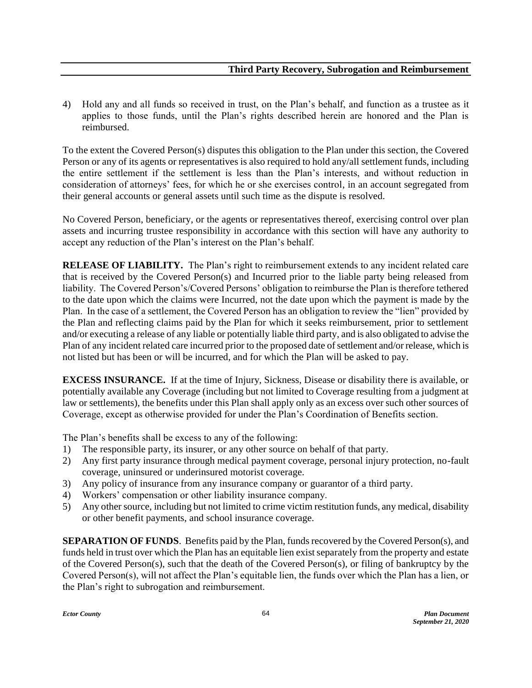4) Hold any and all funds so received in trust, on the Plan's behalf, and function as a trustee as it applies to those funds, until the Plan's rights described herein are honored and the Plan is reimbursed.

To the extent the Covered Person(s) disputes this obligation to the Plan under this section, the Covered Person or any of its agents or representatives is also required to hold any/all settlement funds, including the entire settlement if the settlement is less than the Plan's interests, and without reduction in consideration of attorneys' fees, for which he or she exercises control, in an account segregated from their general accounts or general assets until such time as the dispute is resolved.

No Covered Person, beneficiary, or the agents or representatives thereof, exercising control over plan assets and incurring trustee responsibility in accordance with this section will have any authority to accept any reduction of the Plan's interest on the Plan's behalf.

**RELEASE OF LIABILITY.** The Plan's right to reimbursement extends to any incident related care that is received by the Covered Person(s) and Incurred prior to the liable party being released from liability. The Covered Person's/Covered Persons' obligation to reimburse the Plan is therefore tethered to the date upon which the claims were Incurred, not the date upon which the payment is made by the Plan. In the case of a settlement, the Covered Person has an obligation to review the "lien" provided by the Plan and reflecting claims paid by the Plan for which it seeks reimbursement, prior to settlement and/or executing a release of any liable or potentially liable third party, and is also obligated to advise the Plan of any incident related care incurred prior to the proposed date of settlement and/or release, which is not listed but has been or will be incurred, and for which the Plan will be asked to pay.

**EXCESS INSURANCE.** If at the time of Injury, Sickness, Disease or disability there is available, or potentially available any Coverage (including but not limited to Coverage resulting from a judgment at law or settlements), the benefits under this Plan shall apply only as an excess over such other sources of Coverage, except as otherwise provided for under the Plan's Coordination of Benefits section.

The Plan's benefits shall be excess to any of the following:

- 1) The responsible party, its insurer, or any other source on behalf of that party.
- 2) Any first party insurance through medical payment coverage, personal injury protection, no-fault coverage, uninsured or underinsured motorist coverage.
- 3) Any policy of insurance from any insurance company or guarantor of a third party.
- 4) Workers' compensation or other liability insurance company.
- 5) Any other source, including but not limited to crime victim restitution funds, any medical, disability or other benefit payments, and school insurance coverage.

**SEPARATION OF FUNDS**. Benefits paid by the Plan, funds recovered by the Covered Person(s), and funds held in trust over which the Plan has an equitable lien exist separately from the property and estate of the Covered Person(s), such that the death of the Covered Person(s), or filing of bankruptcy by the Covered Person(s), will not affect the Plan's equitable lien, the funds over which the Plan has a lien, or the Plan's right to subrogation and reimbursement.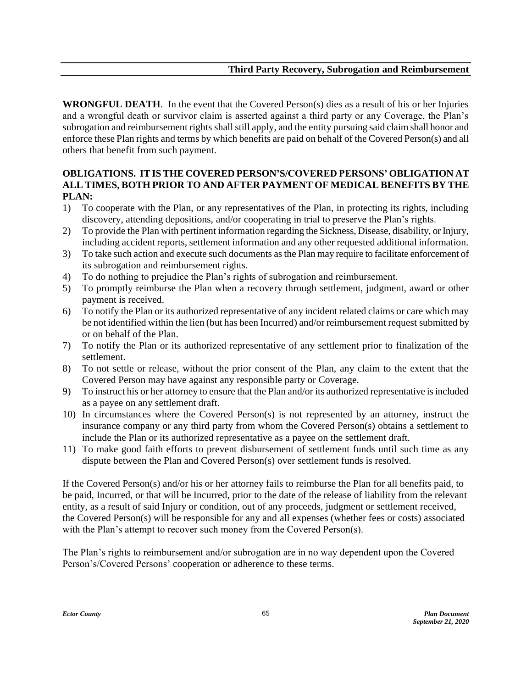**WRONGFUL DEATH**. In the event that the Covered Person(s) dies as a result of his or her Injuries and a wrongful death or survivor claim is asserted against a third party or any Coverage, the Plan's subrogation and reimbursement rights shall still apply, and the entity pursuing said claim shall honor and enforce these Plan rights and terms by which benefits are paid on behalf of the Covered Person(s) and all others that benefit from such payment.

### **OBLIGATIONS. IT IS THE COVERED PERSON'S/COVERED PERSONS' OBLIGATION AT ALL TIMES, BOTH PRIOR TO AND AFTER PAYMENT OF MEDICAL BENEFITS BY THE PLAN:**

- 1) To cooperate with the Plan, or any representatives of the Plan, in protecting its rights, including discovery, attending depositions, and/or cooperating in trial to preserve the Plan's rights.
- 2) To provide the Plan with pertinent information regarding the Sickness, Disease, disability, or Injury, including accident reports, settlement information and any other requested additional information.
- 3) To take such action and execute such documents as the Plan may require to facilitate enforcement of its subrogation and reimbursement rights.
- 4) To do nothing to prejudice the Plan's rights of subrogation and reimbursement.
- 5) To promptly reimburse the Plan when a recovery through settlement, judgment, award or other payment is received.
- 6) To notify the Plan or its authorized representative of any incident related claims or care which may be not identified within the lien (but has been Incurred) and/or reimbursement request submitted by or on behalf of the Plan.
- 7) To notify the Plan or its authorized representative of any settlement prior to finalization of the settlement.
- 8) To not settle or release, without the prior consent of the Plan, any claim to the extent that the Covered Person may have against any responsible party or Coverage.
- 9) To instruct his or her attorney to ensure that the Plan and/or its authorized representative is included as a payee on any settlement draft.
- 10) In circumstances where the Covered Person(s) is not represented by an attorney, instruct the insurance company or any third party from whom the Covered Person(s) obtains a settlement to include the Plan or its authorized representative as a payee on the settlement draft.
- 11) To make good faith efforts to prevent disbursement of settlement funds until such time as any dispute between the Plan and Covered Person(s) over settlement funds is resolved.

If the Covered Person(s) and/or his or her attorney fails to reimburse the Plan for all benefits paid, to be paid, Incurred, or that will be Incurred, prior to the date of the release of liability from the relevant entity, as a result of said Injury or condition, out of any proceeds, judgment or settlement received, the Covered Person(s) will be responsible for any and all expenses (whether fees or costs) associated with the Plan's attempt to recover such money from the Covered Person(s).

The Plan's rights to reimbursement and/or subrogation are in no way dependent upon the Covered Person's/Covered Persons' cooperation or adherence to these terms.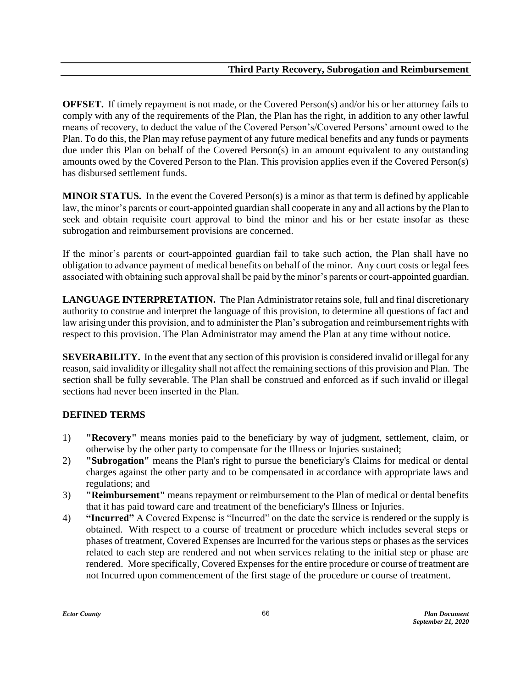**OFFSET.** If timely repayment is not made, or the Covered Person(s) and/or his or her attorney fails to comply with any of the requirements of the Plan, the Plan has the right, in addition to any other lawful means of recovery, to deduct the value of the Covered Person's/Covered Persons' amount owed to the Plan. To do this, the Plan may refuse payment of any future medical benefits and any funds or payments due under this Plan on behalf of the Covered Person(s) in an amount equivalent to any outstanding amounts owed by the Covered Person to the Plan. This provision applies even if the Covered Person(s) has disbursed settlement funds.

**MINOR STATUS.** In the event the Covered Person(s) is a minor as that term is defined by applicable law, the minor's parents or court-appointed guardian shall cooperate in any and all actions by the Plan to seek and obtain requisite court approval to bind the minor and his or her estate insofar as these subrogation and reimbursement provisions are concerned.

If the minor's parents or court-appointed guardian fail to take such action, the Plan shall have no obligation to advance payment of medical benefits on behalf of the minor. Any court costs or legal fees associated with obtaining such approval shall be paid by the minor's parents or court-appointed guardian.

LANGUAGE INTERPRETATION. The Plan Administrator retains sole, full and final discretionary authority to construe and interpret the language of this provision, to determine all questions of fact and law arising under this provision, and to administer the Plan's subrogation and reimbursement rights with respect to this provision. The Plan Administrator may amend the Plan at any time without notice.

**SEVERABILITY.** In the event that any section of this provision is considered invalid or illegal for any reason, said invalidity or illegality shall not affect the remaining sections of this provision and Plan. The section shall be fully severable. The Plan shall be construed and enforced as if such invalid or illegal sections had never been inserted in the Plan.

### **DEFINED TERMS**

- 1) **"Recovery"** means monies paid to the beneficiary by way of judgment, settlement, claim, or otherwise by the other party to compensate for the Illness or Injuries sustained;
- 2) **"Subrogation"** means the Plan's right to pursue the beneficiary's Claims for medical or dental charges against the other party and to be compensated in accordance with appropriate laws and regulations; and
- 3) **"Reimbursement"** means repayment or reimbursement to the Plan of medical or dental benefits that it has paid toward care and treatment of the beneficiary's Illness or Injuries.
- 4) **"Incurred"** A Covered Expense is "Incurred" on the date the service is rendered or the supply is obtained. With respect to a course of treatment or procedure which includes several steps or phases of treatment, Covered Expenses are Incurred for the various steps or phases as the services related to each step are rendered and not when services relating to the initial step or phase are rendered. More specifically, Covered Expenses for the entire procedure or course of treatment are not Incurred upon commencement of the first stage of the procedure or course of treatment.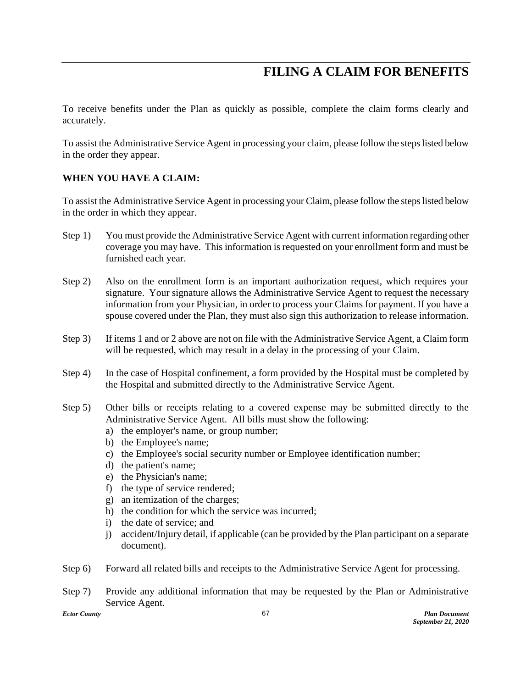## **FILING A CLAIM FOR BENEFITS**

To receive benefits under the Plan as quickly as possible, complete the claim forms clearly and accurately.

To assist the Administrative Service Agent in processing your claim, please follow the steps listed below in the order they appear.

### **WHEN YOU HAVE A CLAIM:**

To assist the Administrative Service Agent in processing your Claim, please follow the steps listed below in the order in which they appear.

- Step 1) You must provide the Administrative Service Agent with current information regarding other coverage you may have. This information is requested on your enrollment form and must be furnished each year.
- Step 2) Also on the enrollment form is an important authorization request, which requires your signature. Your signature allows the Administrative Service Agent to request the necessary information from your Physician, in order to process your Claims for payment. If you have a spouse covered under the Plan, they must also sign this authorization to release information.
- Step 3) If items 1 and or 2 above are not on file with the Administrative Service Agent, a Claim form will be requested, which may result in a delay in the processing of your Claim.
- Step 4) In the case of Hospital confinement, a form provided by the Hospital must be completed by the Hospital and submitted directly to the Administrative Service Agent.
- Step 5) Other bills or receipts relating to a covered expense may be submitted directly to the Administrative Service Agent. All bills must show the following:
	- a) the employer's name, or group number;
	- b) the Employee's name;
	- c) the Employee's social security number or Employee identification number;
	- d) the patient's name;
	- e) the Physician's name;
	- f) the type of service rendered;
	- g) an itemization of the charges;
	- h) the condition for which the service was incurred;
	- i) the date of service; and
	- j) accident/Injury detail, if applicable (can be provided by the Plan participant on a separate document).
- Step 6) Forward all related bills and receipts to the Administrative Service Agent for processing.

Step 7) Provide any additional information that may be requested by the Plan or Administrative Service Agent.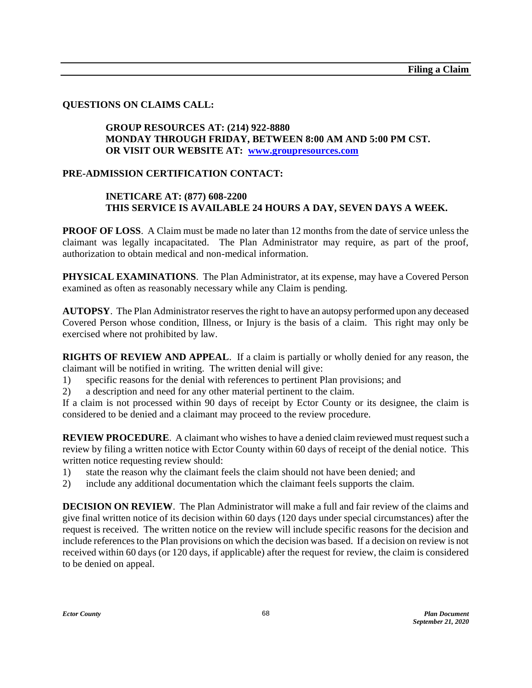### **QUESTIONS ON CLAIMS CALL:**

### **GROUP RESOURCES AT: (214) 922-8880 MONDAY THROUGH FRIDAY, BETWEEN 8:00 AM AND 5:00 PM CST. OR VISIT OUR WEBSITE AT: [www.groupresources.com](http://www.groupresources.com/)**

### **PRE-ADMISSION CERTIFICATION CONTACT:**

### **INETICARE AT: (877) 608-2200 THIS SERVICE IS AVAILABLE 24 HOURS A DAY, SEVEN DAYS A WEEK.**

**PROOF OF LOSS.** A Claim must be made no later than 12 months from the date of service unless the claimant was legally incapacitated. The Plan Administrator may require, as part of the proof, authorization to obtain medical and non-medical information.

**PHYSICAL EXAMINATIONS**. The Plan Administrator, at its expense, may have a Covered Person examined as often as reasonably necessary while any Claim is pending.

**AUTOPSY**. The Plan Administrator reserves the right to have an autopsy performed upon any deceased Covered Person whose condition, Illness, or Injury is the basis of a claim. This right may only be exercised where not prohibited by law.

**RIGHTS OF REVIEW AND APPEAL**. If a claim is partially or wholly denied for any reason, the claimant will be notified in writing. The written denial will give:

- 1) specific reasons for the denial with references to pertinent Plan provisions; and
- 2) a description and need for any other material pertinent to the claim.

If a claim is not processed within 90 days of receipt by Ector County or its designee, the claim is considered to be denied and a claimant may proceed to the review procedure.

**REVIEW PROCEDURE.** A claimant who wishes to have a denied claim reviewed must request such a review by filing a written notice with Ector County within 60 days of receipt of the denial notice. This written notice requesting review should:

- 1) state the reason why the claimant feels the claim should not have been denied; and
- 2) include any additional documentation which the claimant feels supports the claim.

**DECISION ON REVIEW.** The Plan Administrator will make a full and fair review of the claims and give final written notice of its decision within 60 days (120 days under special circumstances) after the request is received. The written notice on the review will include specific reasons for the decision and include references to the Plan provisions on which the decision was based. If a decision on review is not received within 60 days (or 120 days, if applicable) after the request for review, the claim is considered to be denied on appeal.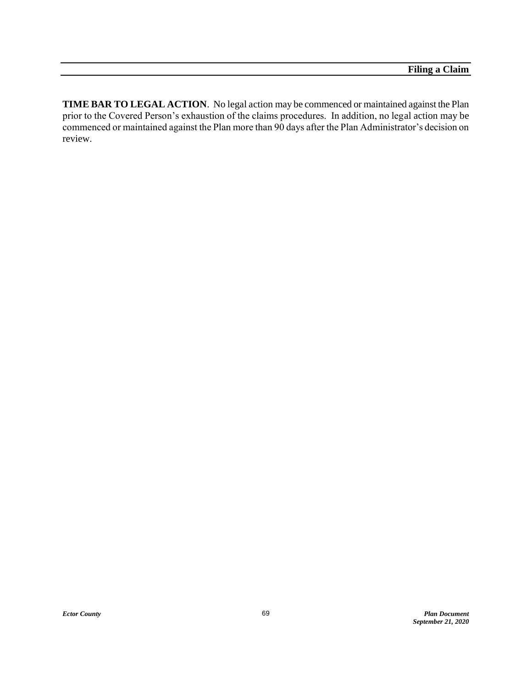**TIME BAR TO LEGAL ACTION**. No legal action may be commenced or maintained against the Plan prior to the Covered Person's exhaustion of the claims procedures. In addition, no legal action may be commenced or maintained against the Plan more than 90 days after the Plan Administrator's decision on review.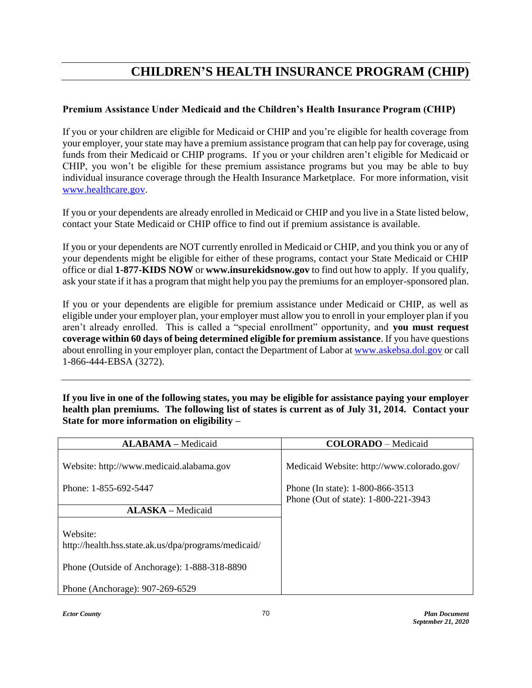## **CHILDREN'S HEALTH INSURANCE PROGRAM (CHIP)**

## **Premium Assistance Under Medicaid and the Children's Health Insurance Program (CHIP)**

If you or your children are eligible for Medicaid or CHIP and you're eligible for health coverage from your employer, your state may have a premium assistance program that can help pay for coverage, using funds from their Medicaid or CHIP programs. If you or your children aren't eligible for Medicaid or CHIP, you won't be eligible for these premium assistance programs but you may be able to buy individual insurance coverage through the Health Insurance Marketplace. For more information, visit [www.healthcare.gov.](http://www.healthcare.gov/)

If you or your dependents are already enrolled in Medicaid or CHIP and you live in a State listed below, contact your State Medicaid or CHIP office to find out if premium assistance is available.

If you or your dependents are NOT currently enrolled in Medicaid or CHIP, and you think you or any of your dependents might be eligible for either of these programs, contact your State Medicaid or CHIP office or dial **1-877-KIDS NOW** or **www.insurekidsnow.gov** to find out how to apply. If you qualify, ask your state if it has a program that might help you pay the premiums for an employer-sponsored plan.

If you or your dependents are eligible for premium assistance under Medicaid or CHIP, as well as eligible under your employer plan, your employer must allow you to enroll in your employer plan if you aren't already enrolled. This is called a "special enrollment" opportunity, and **you must request coverage within 60 days of being determined eligible for premium assistance**. If you have questions about enrolling in your employer plan, contact the Department of Labor at [www.askebsa.dol.gov](http://www.askebsa.dol.gov/) or call 1-866-444-EBSA (3272).

**If you live in one of the following states, you may be eligible for assistance paying your employer health plan premiums. The following list of states is current as of July 31, 2014. Contact your State for more information on eligibility –**

| <b>ALABAMA</b> - Medicaid                                                                                        | <b>COLORADO</b> - Medicaid                                               |
|------------------------------------------------------------------------------------------------------------------|--------------------------------------------------------------------------|
| Website: http://www.medicaid.alabama.gov                                                                         | Medicaid Website: http://www.colorado.gov/                               |
| Phone: 1-855-692-5447                                                                                            | Phone (In state): 1-800-866-3513<br>Phone (Out of state): 1-800-221-3943 |
| <b>ALASKA</b> – Medicaid                                                                                         |                                                                          |
| Website:<br>http://health.hss.state.ak.us/dpa/programs/medicaid/<br>Phone (Outside of Anchorage): 1-888-318-8890 |                                                                          |
| Phone (Anchorage): 907-269-6529                                                                                  |                                                                          |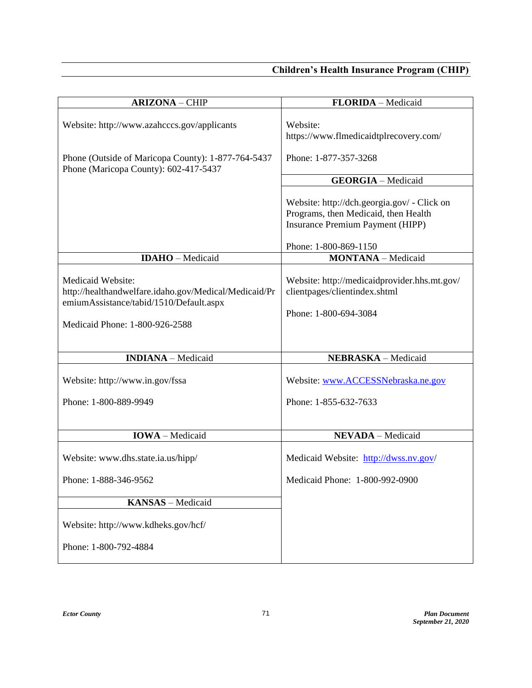| <b>ARIZONA - CHIP</b>                                                                                                                                   | FLORIDA - Medicaid                                                                                                             |
|---------------------------------------------------------------------------------------------------------------------------------------------------------|--------------------------------------------------------------------------------------------------------------------------------|
| Website: http://www.azahcccs.gov/applicants<br>Phone (Outside of Maricopa County): 1-877-764-5437<br>Phone (Maricopa County): 602-417-5437              | Website:<br>https://www.flmedicaidtplrecovery.com/<br>Phone: 1-877-357-3268                                                    |
|                                                                                                                                                         | <b>GEORGIA</b> - Medicaid                                                                                                      |
|                                                                                                                                                         | Website: http://dch.georgia.gov/ - Click on<br>Programs, then Medicaid, then Health<br><b>Insurance Premium Payment (HIPP)</b> |
|                                                                                                                                                         | Phone: 1-800-869-1150                                                                                                          |
| <b>IDAHO</b> - Medicaid                                                                                                                                 | <b>MONTANA</b> - Medicaid                                                                                                      |
| Medicaid Website:<br>http://healthandwelfare.idaho.gov/Medical/Medicaid/Pr<br>emiumAssistance/tabid/1510/Default.aspx<br>Medicaid Phone: 1-800-926-2588 | Website: http://medicaidprovider.hhs.mt.gov/<br>clientpages/clientindex.shtml<br>Phone: 1-800-694-3084                         |
| <b>INDIANA</b> - Medicaid                                                                                                                               | NEBRASKA - Medicaid                                                                                                            |
| Website: http://www.in.gov/fssa                                                                                                                         | Website: www.ACCESSNebraska.ne.gov                                                                                             |
| Phone: 1-800-889-9949                                                                                                                                   | Phone: 1-855-632-7633                                                                                                          |
|                                                                                                                                                         |                                                                                                                                |
| <b>IOWA</b> - Medicaid                                                                                                                                  | <b>NEVADA</b> - Medicaid                                                                                                       |
| Website: www.dhs.state.ia.us/hipp/                                                                                                                      | Medicaid Website: http://dwss.nv.gov/                                                                                          |
| Phone: 1-888-346-9562                                                                                                                                   | Medicaid Phone: 1-800-992-0900                                                                                                 |
| KANSAS - Medicaid                                                                                                                                       |                                                                                                                                |
| Website: http://www.kdheks.gov/hcf/                                                                                                                     |                                                                                                                                |
| Phone: 1-800-792-4884                                                                                                                                   |                                                                                                                                |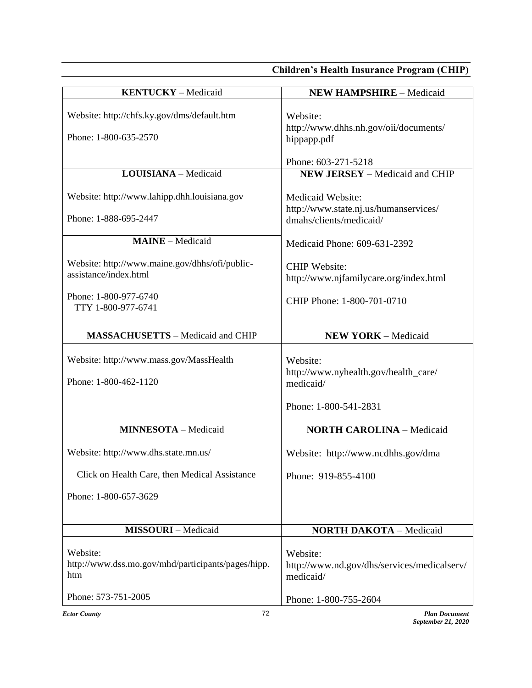| Website: http://chfs.ky.gov/dms/default.htm<br>Website:<br>http://www.dhhs.nh.gov/oii/documents/<br>Phone: 1-800-635-2570<br>hippapp.pdf<br>Phone: 603-271-5218<br>LOUISIANA - Medicaid<br><b>NEW JERSEY</b> - Medicaid and CHIP<br>Website: http://www.lahipp.dhh.louisiana.gov<br>Medicaid Website:<br>http://www.state.nj.us/humanservices/<br>Phone: 1-888-695-2447<br>dmahs/clients/medicaid/<br><b>MAINE</b> - Medicaid<br>Medicaid Phone: 609-631-2392<br>Website: http://www.maine.gov/dhhs/ofi/public-<br><b>CHIP Website:</b><br>assistance/index.html<br>http://www.njfamilycare.org/index.html<br>Phone: 1-800-977-6740<br>CHIP Phone: 1-800-701-0710<br>TTY 1-800-977-6741<br><b>MASSACHUSETTS - Medicaid and CHIP</b><br><b>NEW YORK - Medicaid</b><br>Website: http://www.mass.gov/MassHealth<br>Website:<br>http://www.nyhealth.gov/health_care/<br>Phone: 1-800-462-1120<br>medicaid/<br>Phone: 1-800-541-2831<br><b>MINNESOTA</b> - Medicaid<br><b>NORTH CAROLINA - Medicaid</b><br>Website: http://www.dhs.state.mn.us/<br>Website: http://www.ncdhhs.gov/dma<br>Click on Health Care, then Medical Assistance<br>Phone: 919-855-4100<br>Phone: 1-800-657-3629<br><b>MISSOURI</b> - Medicaid<br><b>NORTH DAKOTA - Medicaid</b><br>Website:<br>Website:<br>http://www.dss.mo.gov/mhd/participants/pages/hipp.<br>http://www.nd.gov/dhs/services/medicalserv/<br>htm<br>medicaid/<br>Phone: 573-751-2005<br>Phone: 1-800-755-2604 | <b>KENTUCKY</b> - Medicaid | <b>NEW HAMPSHIRE - Medicaid</b> |
|----------------------------------------------------------------------------------------------------------------------------------------------------------------------------------------------------------------------------------------------------------------------------------------------------------------------------------------------------------------------------------------------------------------------------------------------------------------------------------------------------------------------------------------------------------------------------------------------------------------------------------------------------------------------------------------------------------------------------------------------------------------------------------------------------------------------------------------------------------------------------------------------------------------------------------------------------------------------------------------------------------------------------------------------------------------------------------------------------------------------------------------------------------------------------------------------------------------------------------------------------------------------------------------------------------------------------------------------------------------------------------------------------------------------------------------------------|----------------------------|---------------------------------|
|                                                                                                                                                                                                                                                                                                                                                                                                                                                                                                                                                                                                                                                                                                                                                                                                                                                                                                                                                                                                                                                                                                                                                                                                                                                                                                                                                                                                                                                    |                            |                                 |
|                                                                                                                                                                                                                                                                                                                                                                                                                                                                                                                                                                                                                                                                                                                                                                                                                                                                                                                                                                                                                                                                                                                                                                                                                                                                                                                                                                                                                                                    |                            |                                 |
|                                                                                                                                                                                                                                                                                                                                                                                                                                                                                                                                                                                                                                                                                                                                                                                                                                                                                                                                                                                                                                                                                                                                                                                                                                                                                                                                                                                                                                                    |                            |                                 |
|                                                                                                                                                                                                                                                                                                                                                                                                                                                                                                                                                                                                                                                                                                                                                                                                                                                                                                                                                                                                                                                                                                                                                                                                                                                                                                                                                                                                                                                    |                            |                                 |
|                                                                                                                                                                                                                                                                                                                                                                                                                                                                                                                                                                                                                                                                                                                                                                                                                                                                                                                                                                                                                                                                                                                                                                                                                                                                                                                                                                                                                                                    |                            |                                 |
|                                                                                                                                                                                                                                                                                                                                                                                                                                                                                                                                                                                                                                                                                                                                                                                                                                                                                                                                                                                                                                                                                                                                                                                                                                                                                                                                                                                                                                                    |                            |                                 |
|                                                                                                                                                                                                                                                                                                                                                                                                                                                                                                                                                                                                                                                                                                                                                                                                                                                                                                                                                                                                                                                                                                                                                                                                                                                                                                                                                                                                                                                    |                            |                                 |
|                                                                                                                                                                                                                                                                                                                                                                                                                                                                                                                                                                                                                                                                                                                                                                                                                                                                                                                                                                                                                                                                                                                                                                                                                                                                                                                                                                                                                                                    |                            |                                 |
|                                                                                                                                                                                                                                                                                                                                                                                                                                                                                                                                                                                                                                                                                                                                                                                                                                                                                                                                                                                                                                                                                                                                                                                                                                                                                                                                                                                                                                                    |                            |                                 |
|                                                                                                                                                                                                                                                                                                                                                                                                                                                                                                                                                                                                                                                                                                                                                                                                                                                                                                                                                                                                                                                                                                                                                                                                                                                                                                                                                                                                                                                    |                            |                                 |
|                                                                                                                                                                                                                                                                                                                                                                                                                                                                                                                                                                                                                                                                                                                                                                                                                                                                                                                                                                                                                                                                                                                                                                                                                                                                                                                                                                                                                                                    |                            |                                 |
|                                                                                                                                                                                                                                                                                                                                                                                                                                                                                                                                                                                                                                                                                                                                                                                                                                                                                                                                                                                                                                                                                                                                                                                                                                                                                                                                                                                                                                                    |                            |                                 |
|                                                                                                                                                                                                                                                                                                                                                                                                                                                                                                                                                                                                                                                                                                                                                                                                                                                                                                                                                                                                                                                                                                                                                                                                                                                                                                                                                                                                                                                    |                            |                                 |
|                                                                                                                                                                                                                                                                                                                                                                                                                                                                                                                                                                                                                                                                                                                                                                                                                                                                                                                                                                                                                                                                                                                                                                                                                                                                                                                                                                                                                                                    |                            |                                 |
|                                                                                                                                                                                                                                                                                                                                                                                                                                                                                                                                                                                                                                                                                                                                                                                                                                                                                                                                                                                                                                                                                                                                                                                                                                                                                                                                                                                                                                                    |                            |                                 |
|                                                                                                                                                                                                                                                                                                                                                                                                                                                                                                                                                                                                                                                                                                                                                                                                                                                                                                                                                                                                                                                                                                                                                                                                                                                                                                                                                                                                                                                    |                            |                                 |
|                                                                                                                                                                                                                                                                                                                                                                                                                                                                                                                                                                                                                                                                                                                                                                                                                                                                                                                                                                                                                                                                                                                                                                                                                                                                                                                                                                                                                                                    |                            |                                 |
|                                                                                                                                                                                                                                                                                                                                                                                                                                                                                                                                                                                                                                                                                                                                                                                                                                                                                                                                                                                                                                                                                                                                                                                                                                                                                                                                                                                                                                                    |                            |                                 |
|                                                                                                                                                                                                                                                                                                                                                                                                                                                                                                                                                                                                                                                                                                                                                                                                                                                                                                                                                                                                                                                                                                                                                                                                                                                                                                                                                                                                                                                    |                            |                                 |
|                                                                                                                                                                                                                                                                                                                                                                                                                                                                                                                                                                                                                                                                                                                                                                                                                                                                                                                                                                                                                                                                                                                                                                                                                                                                                                                                                                                                                                                    |                            |                                 |
|                                                                                                                                                                                                                                                                                                                                                                                                                                                                                                                                                                                                                                                                                                                                                                                                                                                                                                                                                                                                                                                                                                                                                                                                                                                                                                                                                                                                                                                    |                            |                                 |
|                                                                                                                                                                                                                                                                                                                                                                                                                                                                                                                                                                                                                                                                                                                                                                                                                                                                                                                                                                                                                                                                                                                                                                                                                                                                                                                                                                                                                                                    |                            |                                 |
|                                                                                                                                                                                                                                                                                                                                                                                                                                                                                                                                                                                                                                                                                                                                                                                                                                                                                                                                                                                                                                                                                                                                                                                                                                                                                                                                                                                                                                                    |                            |                                 |
|                                                                                                                                                                                                                                                                                                                                                                                                                                                                                                                                                                                                                                                                                                                                                                                                                                                                                                                                                                                                                                                                                                                                                                                                                                                                                                                                                                                                                                                    |                            |                                 |
|                                                                                                                                                                                                                                                                                                                                                                                                                                                                                                                                                                                                                                                                                                                                                                                                                                                                                                                                                                                                                                                                                                                                                                                                                                                                                                                                                                                                                                                    |                            |                                 |
|                                                                                                                                                                                                                                                                                                                                                                                                                                                                                                                                                                                                                                                                                                                                                                                                                                                                                                                                                                                                                                                                                                                                                                                                                                                                                                                                                                                                                                                    |                            |                                 |
|                                                                                                                                                                                                                                                                                                                                                                                                                                                                                                                                                                                                                                                                                                                                                                                                                                                                                                                                                                                                                                                                                                                                                                                                                                                                                                                                                                                                                                                    |                            |                                 |
|                                                                                                                                                                                                                                                                                                                                                                                                                                                                                                                                                                                                                                                                                                                                                                                                                                                                                                                                                                                                                                                                                                                                                                                                                                                                                                                                                                                                                                                    |                            |                                 |
|                                                                                                                                                                                                                                                                                                                                                                                                                                                                                                                                                                                                                                                                                                                                                                                                                                                                                                                                                                                                                                                                                                                                                                                                                                                                                                                                                                                                                                                    |                            |                                 |
|                                                                                                                                                                                                                                                                                                                                                                                                                                                                                                                                                                                                                                                                                                                                                                                                                                                                                                                                                                                                                                                                                                                                                                                                                                                                                                                                                                                                                                                    |                            |                                 |
|                                                                                                                                                                                                                                                                                                                                                                                                                                                                                                                                                                                                                                                                                                                                                                                                                                                                                                                                                                                                                                                                                                                                                                                                                                                                                                                                                                                                                                                    |                            |                                 |
|                                                                                                                                                                                                                                                                                                                                                                                                                                                                                                                                                                                                                                                                                                                                                                                                                                                                                                                                                                                                                                                                                                                                                                                                                                                                                                                                                                                                                                                    |                            |                                 |
|                                                                                                                                                                                                                                                                                                                                                                                                                                                                                                                                                                                                                                                                                                                                                                                                                                                                                                                                                                                                                                                                                                                                                                                                                                                                                                                                                                                                                                                    |                            |                                 |
|                                                                                                                                                                                                                                                                                                                                                                                                                                                                                                                                                                                                                                                                                                                                                                                                                                                                                                                                                                                                                                                                                                                                                                                                                                                                                                                                                                                                                                                    |                            |                                 |
|                                                                                                                                                                                                                                                                                                                                                                                                                                                                                                                                                                                                                                                                                                                                                                                                                                                                                                                                                                                                                                                                                                                                                                                                                                                                                                                                                                                                                                                    |                            |                                 |
|                                                                                                                                                                                                                                                                                                                                                                                                                                                                                                                                                                                                                                                                                                                                                                                                                                                                                                                                                                                                                                                                                                                                                                                                                                                                                                                                                                                                                                                    |                            |                                 |
|                                                                                                                                                                                                                                                                                                                                                                                                                                                                                                                                                                                                                                                                                                                                                                                                                                                                                                                                                                                                                                                                                                                                                                                                                                                                                                                                                                                                                                                    |                            |                                 |
|                                                                                                                                                                                                                                                                                                                                                                                                                                                                                                                                                                                                                                                                                                                                                                                                                                                                                                                                                                                                                                                                                                                                                                                                                                                                                                                                                                                                                                                    |                            |                                 |
|                                                                                                                                                                                                                                                                                                                                                                                                                                                                                                                                                                                                                                                                                                                                                                                                                                                                                                                                                                                                                                                                                                                                                                                                                                                                                                                                                                                                                                                    |                            |                                 |
|                                                                                                                                                                                                                                                                                                                                                                                                                                                                                                                                                                                                                                                                                                                                                                                                                                                                                                                                                                                                                                                                                                                                                                                                                                                                                                                                                                                                                                                    |                            |                                 |
|                                                                                                                                                                                                                                                                                                                                                                                                                                                                                                                                                                                                                                                                                                                                                                                                                                                                                                                                                                                                                                                                                                                                                                                                                                                                                                                                                                                                                                                    |                            |                                 |
|                                                                                                                                                                                                                                                                                                                                                                                                                                                                                                                                                                                                                                                                                                                                                                                                                                                                                                                                                                                                                                                                                                                                                                                                                                                                                                                                                                                                                                                    |                            |                                 |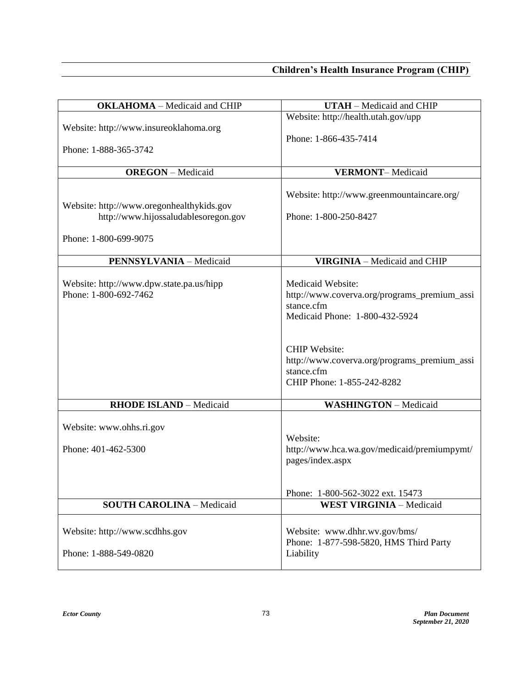| <b>OKLAHOMA</b> - Medicaid and CHIP                                                                        | <b>UTAH</b> - Medicaid and CHIP                                                                                                           |
|------------------------------------------------------------------------------------------------------------|-------------------------------------------------------------------------------------------------------------------------------------------|
| Website: http://www.insureoklahoma.org<br>Phone: 1-888-365-3742                                            | Website: http://health.utah.gov/upp<br>Phone: 1-866-435-7414                                                                              |
| <b>OREGON</b> - Medicaid                                                                                   | <b>VERMONT-Medicaid</b>                                                                                                                   |
| Website: http://www.oregonhealthykids.gov<br>http://www.hijossaludablesoregon.gov<br>Phone: 1-800-699-9075 | Website: http://www.greenmountaincare.org/<br>Phone: 1-800-250-8427                                                                       |
| <b>PENNSYLVANIA - Medicaid</b>                                                                             | <b>VIRGINIA</b> - Medicaid and CHIP                                                                                                       |
| Website: http://www.dpw.state.pa.us/hipp<br>Phone: 1-800-692-7462                                          | Medicaid Website:<br>http://www.coverva.org/programs_premium_assi<br>stance.cfm<br>Medicaid Phone: 1-800-432-5924<br><b>CHIP Website:</b> |
|                                                                                                            | http://www.coverva.org/programs_premium_assi<br>stance.cfm<br>CHIP Phone: 1-855-242-8282                                                  |
| <b>RHODE ISLAND - Medicaid</b>                                                                             | <b>WASHINGTON</b> - Medicaid                                                                                                              |
| Website: www.ohhs.ri.gov<br>Phone: 401-462-5300                                                            | Website:<br>http://www.hca.wa.gov/medicaid/premiumpymt/<br>pages/index.aspx                                                               |
|                                                                                                            | Phone: 1-800-562-3022 ext. 15473                                                                                                          |
| <b>SOUTH CAROLINA - Medicaid</b>                                                                           | <b>WEST VIRGINIA - Medicaid</b>                                                                                                           |
| Website: http://www.scdhhs.gov<br>Phone: 1-888-549-0820                                                    | Website: www.dhhr.wv.gov/bms/<br>Phone: 1-877-598-5820, HMS Third Party<br>Liability                                                      |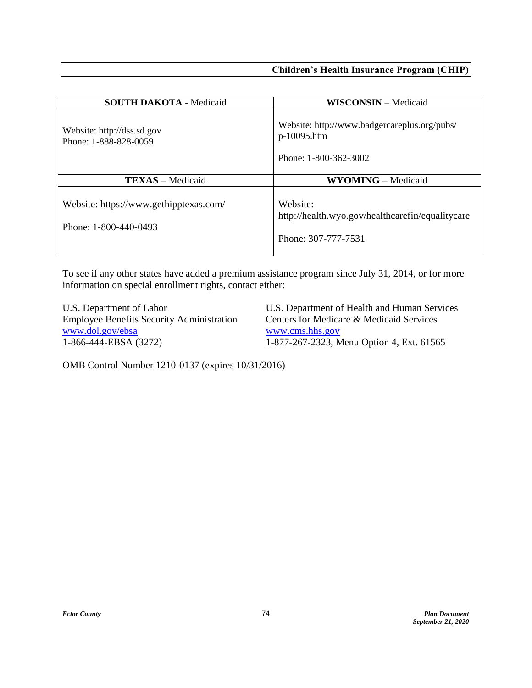| <b>SOUTH DAKOTA - Medicaid</b>                                  | <b>WISCONSIN</b> – Medicaid                                                          |
|-----------------------------------------------------------------|--------------------------------------------------------------------------------------|
| Website: http://dss.sd.gov<br>Phone: 1-888-828-0059             | Website: http://www.badgercareplus.org/pubs/<br>p-10095.htm<br>Phone: 1-800-362-3002 |
| <b>TEXAS</b> – Medicaid                                         | <b>WYOMING</b> – Medicaid                                                            |
| Website: https://www.gethipptexas.com/<br>Phone: 1-800-440-0493 | Website:<br>http://health.wyo.gov/healthcarefin/equalitycare<br>Phone: 307-777-7531  |

To see if any other states have added a premium assistance program since July 31, 2014, or for more information on special enrollment rights, contact either:

U.S. Department of Labor U.S. Department of Health and Human Services Employee Benefits Security Administration Centers for Medicare & Medicaid Services [www.dol.gov/ebsa](http://www.dol.gov/ebsa) www.cms.hhs.gov<br>1-866-444-EBSA (3272) 1-877-267-2323, M

1-877-267-2323, Menu Option 4, Ext. 61565

OMB Control Number 1210-0137 (expires 10/31/2016)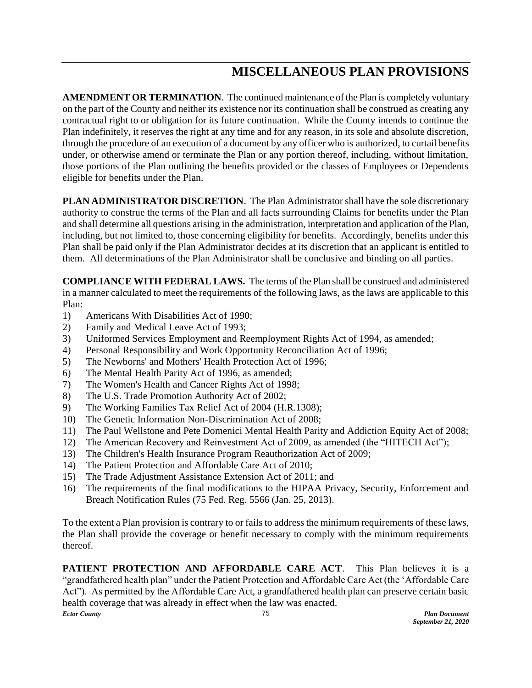## **MISCELLANEOUS PLAN PROVISIONS**

**AMENDMENT OR TERMINATION**. The continued maintenance of the Plan is completely voluntary on the part of the County and neither its existence nor its continuation shall be construed as creating any contractual right to or obligation for its future continuation. While the County intends to continue the Plan indefinitely, it reserves the right at any time and for any reason, in its sole and absolute discretion, through the procedure of an execution of a document by any officer who is authorized, to curtail benefits under, or otherwise amend or terminate the Plan or any portion thereof, including, without limitation, those portions of the Plan outlining the benefits provided or the classes of Employees or Dependents eligible for benefits under the Plan.

**PLAN ADMINISTRATOR DISCRETION**. The Plan Administrator shall have the sole discretionary authority to construe the terms of the Plan and all facts surrounding Claims for benefits under the Plan and shall determine all questions arising in the administration, interpretation and application of the Plan, including, but not limited to, those concerning eligibility for benefits. Accordingly, benefits under this Plan shall be paid only if the Plan Administrator decides at its discretion that an applicant is entitled to them. All determinations of the Plan Administrator shall be conclusive and binding on all parties.

**COMPLIANCE WITH FEDERAL LAWS.** The terms of the Plan shall be construed and administered in a manner calculated to meet the requirements of the following laws, as the laws are applicable to this Plan:

- 1) Americans With Disabilities Act of 1990;
- 2) Family and Medical Leave Act of 1993;
- 3) Uniformed Services Employment and Reemployment Rights Act of 1994, as amended;
- 4) Personal Responsibility and Work Opportunity Reconciliation Act of 1996;
- 5) The Newborns' and Mothers' Health Protection Act of 1996;
- 6) The Mental Health Parity Act of 1996, as amended;
- 7) The Women's Health and Cancer Rights Act of 1998;
- 8) The U.S. Trade Promotion Authority Act of 2002;
- 9) The Working Families Tax Relief Act of 2004 (H.R.1308);
- 10) The Genetic Information Non-Discrimination Act of 2008;
- 11) The Paul Wellstone and Pete Domenici Mental Health Parity and Addiction Equity Act of 2008;
- 12) The American Recovery and Reinvestment Act of 2009, as amended (the "HITECH Act");
- 13) The Children's Health Insurance Program Reauthorization Act of 2009;
- 14) The Patient Protection and Affordable Care Act of 2010;
- 15) The Trade Adjustment Assistance Extension Act of 2011; and
- 16) The requirements of the final modifications to the HIPAA Privacy, Security, Enforcement and Breach Notification Rules (75 Fed. Reg. 5566 (Jan. 25, 2013).

To the extent a Plan provision is contrary to or fails to address the minimum requirements of these laws, the Plan shall provide the coverage or benefit necessary to comply with the minimum requirements thereof.

*Ector County Plan Document* 75 **PATIENT PROTECTION AND AFFORDABLE CARE ACT.** This Plan believes it is a "grandfathered health plan" under the Patient Protection and Affordable Care Act (the 'Affordable Care Act"). As permitted by the Affordable Care Act, a grandfathered health plan can preserve certain basic health coverage that was already in effect when the law was enacted.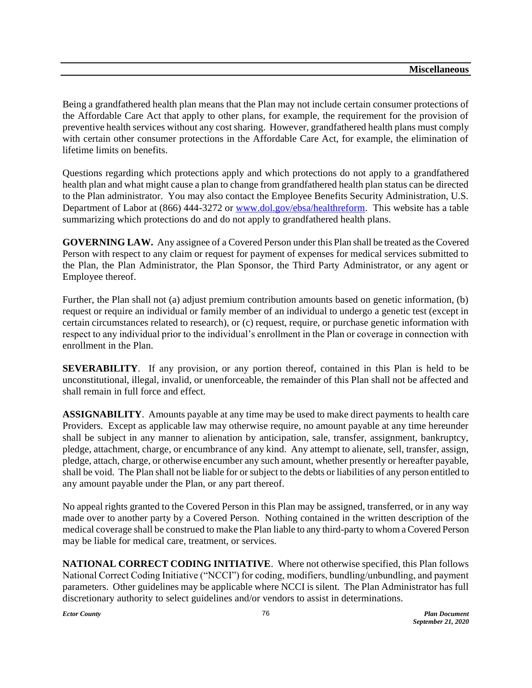Being a grandfathered health plan means that the Plan may not include certain consumer protections of the Affordable Care Act that apply to other plans, for example, the requirement for the provision of preventive health services without any cost sharing. However, grandfathered health plans must comply with certain other consumer protections in the Affordable Care Act, for example, the elimination of lifetime limits on benefits.

Questions regarding which protections apply and which protections do not apply to a grandfathered health plan and what might cause a plan to change from grandfathered health plan status can be directed to the Plan administrator. You may also contact the Employee Benefits Security Administration, U.S. Department of Labor at (866) 444-3272 or [www.dol.gov/ebsa/healthreform.](http://www.dol.gov/ebsa/healthreform) This website has a table summarizing which protections do and do not apply to grandfathered health plans.

**GOVERNING LAW.** Any assignee of a Covered Person under this Plan shall be treated as the Covered Person with respect to any claim or request for payment of expenses for medical services submitted to the Plan, the Plan Administrator, the Plan Sponsor, the Third Party Administrator, or any agent or Employee thereof.

Further, the Plan shall not (a) adjust premium contribution amounts based on genetic information, (b) request or require an individual or family member of an individual to undergo a genetic test (except in certain circumstances related to research), or (c) request, require, or purchase genetic information with respect to any individual prior to the individual's enrollment in the Plan or coverage in connection with enrollment in the Plan.

**SEVERABILITY**. If any provision, or any portion thereof, contained in this Plan is held to be unconstitutional, illegal, invalid, or unenforceable, the remainder of this Plan shall not be affected and shall remain in full force and effect.

**ASSIGNABILITY**. Amounts payable at any time may be used to make direct payments to health care Providers. Except as applicable law may otherwise require, no amount payable at any time hereunder shall be subject in any manner to alienation by anticipation, sale, transfer, assignment, bankruptcy, pledge, attachment, charge, or encumbrance of any kind. Any attempt to alienate, sell, transfer, assign, pledge, attach, charge, or otherwise encumber any such amount, whether presently or hereafter payable, shall be void. The Plan shall not be liable for or subject to the debts or liabilities of any person entitled to any amount payable under the Plan, or any part thereof.

No appeal rights granted to the Covered Person in this Plan may be assigned, transferred, or in any way made over to another party by a Covered Person. Nothing contained in the written description of the medical coverage shall be construed to make the Plan liable to any third-party to whom a Covered Person may be liable for medical care, treatment, or services.

**NATIONAL CORRECT CODING INITIATIVE.** Where not otherwise specified, this Plan follows National Correct Coding Initiative ("NCCI") for coding, modifiers, bundling/unbundling, and payment parameters. Other guidelines may be applicable where NCCI is silent. The Plan Administrator has full discretionary authority to select guidelines and/or vendors to assist in determinations.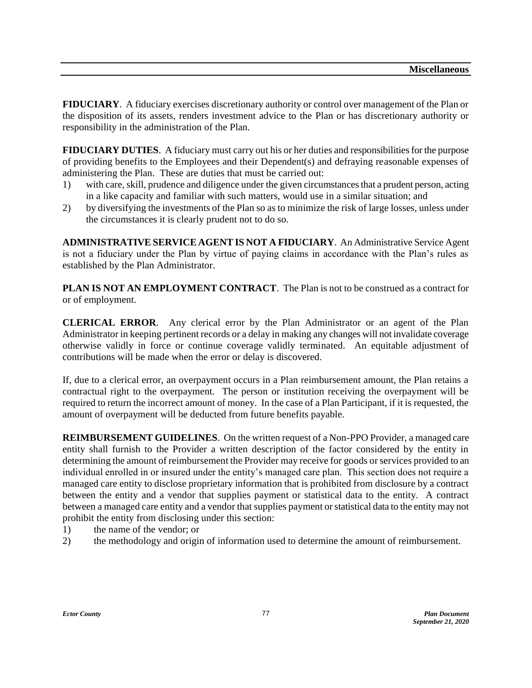**FIDUCIARY**. A fiduciary exercises discretionary authority or control over management of the Plan or the disposition of its assets, renders investment advice to the Plan or has discretionary authority or responsibility in the administration of the Plan.

**FIDUCIARY DUTIES**. A fiduciary must carry out his or her duties and responsibilities for the purpose of providing benefits to the Employees and their Dependent(s) and defraying reasonable expenses of administering the Plan. These are duties that must be carried out:

- 1) with care, skill, prudence and diligence under the given circumstances that a prudent person, acting in a like capacity and familiar with such matters, would use in a similar situation; and
- 2) by diversifying the investments of the Plan so as to minimize the risk of large losses, unless under the circumstances it is clearly prudent not to do so.

**ADMINISTRATIVE SERVICE AGENT IS NOT A FIDUCIARY**. An Administrative Service Agent is not a fiduciary under the Plan by virtue of paying claims in accordance with the Plan's rules as established by the Plan Administrator.

**PLAN IS NOT AN EMPLOYMENT CONTRACT**. The Plan is not to be construed as a contract for or of employment.

**CLERICAL ERROR**. Any clerical error by the Plan Administrator or an agent of the Plan Administrator in keeping pertinent records or a delay in making any changes will not invalidate coverage otherwise validly in force or continue coverage validly terminated. An equitable adjustment of contributions will be made when the error or delay is discovered.

If, due to a clerical error, an overpayment occurs in a Plan reimbursement amount, the Plan retains a contractual right to the overpayment. The person or institution receiving the overpayment will be required to return the incorrect amount of money. In the case of a Plan Participant, if it is requested, the amount of overpayment will be deducted from future benefits payable.

**REIMBURSEMENT GUIDELINES**. On the written request of a Non-PPO Provider, a managed care entity shall furnish to the Provider a written description of the factor considered by the entity in determining the amount of reimbursement the Provider may receive for goods or services provided to an individual enrolled in or insured under the entity's managed care plan. This section does not require a managed care entity to disclose proprietary information that is prohibited from disclosure by a contract between the entity and a vendor that supplies payment or statistical data to the entity. A contract between a managed care entity and a vendor that supplies payment or statistical data to the entity may not prohibit the entity from disclosing under this section:

- 1) the name of the vendor; or
- 2) the methodology and origin of information used to determine the amount of reimbursement.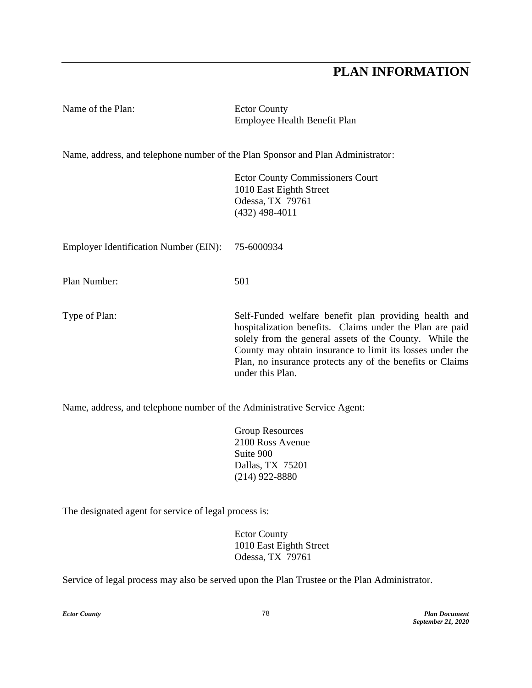## **PLAN INFORMATION**

| Name of the Plan:                                                               | <b>Ector County</b><br>Employee Health Benefit Plan                                                                                                                                                                                                                                                                        |
|---------------------------------------------------------------------------------|----------------------------------------------------------------------------------------------------------------------------------------------------------------------------------------------------------------------------------------------------------------------------------------------------------------------------|
| Name, address, and telephone number of the Plan Sponsor and Plan Administrator: |                                                                                                                                                                                                                                                                                                                            |
|                                                                                 | <b>Ector County Commissioners Court</b><br>1010 East Eighth Street<br>Odessa, TX 79761<br>$(432)$ 498-4011                                                                                                                                                                                                                 |
| <b>Employer Identification Number (EIN):</b>                                    | 75-6000934                                                                                                                                                                                                                                                                                                                 |
| Plan Number:                                                                    | 501                                                                                                                                                                                                                                                                                                                        |
| Type of Plan:                                                                   | Self-Funded welfare benefit plan providing health and<br>hospitalization benefits. Claims under the Plan are paid<br>solely from the general assets of the County. While the<br>County may obtain insurance to limit its losses under the<br>Plan, no insurance protects any of the benefits or Claims<br>under this Plan. |
| Name, address, and telephone number of the Administrative Service Agent:        |                                                                                                                                                                                                                                                                                                                            |

Group Resources 2100 Ross Avenue Suite 900 Dallas, TX 75201 (214) 922-8880

The designated agent for service of legal process is:

Ector County 1010 East Eighth Street Odessa, TX 79761

Service of legal process may also be served upon the Plan Trustee or the Plan Administrator.